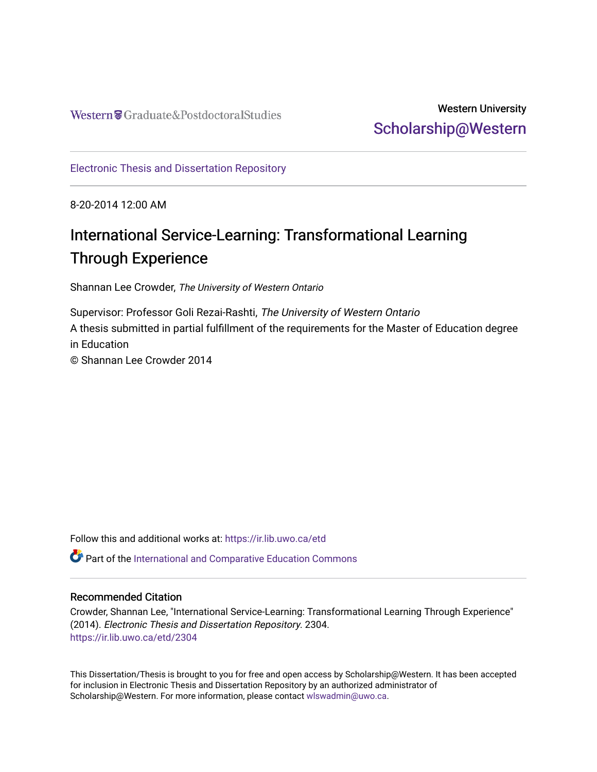## Western University [Scholarship@Western](https://ir.lib.uwo.ca/)

[Electronic Thesis and Dissertation Repository](https://ir.lib.uwo.ca/etd)

8-20-2014 12:00 AM

# International Service-Learning: Transformational Learning Through Experience

Shannan Lee Crowder, The University of Western Ontario

Supervisor: Professor Goli Rezai-Rashti, The University of Western Ontario A thesis submitted in partial fulfillment of the requirements for the Master of Education degree in Education © Shannan Lee Crowder 2014

Follow this and additional works at: [https://ir.lib.uwo.ca/etd](https://ir.lib.uwo.ca/etd?utm_source=ir.lib.uwo.ca%2Fetd%2F2304&utm_medium=PDF&utm_campaign=PDFCoverPages) 

Part of the [International and Comparative Education Commons](http://network.bepress.com/hgg/discipline/797?utm_source=ir.lib.uwo.ca%2Fetd%2F2304&utm_medium=PDF&utm_campaign=PDFCoverPages) 

#### Recommended Citation

Crowder, Shannan Lee, "International Service-Learning: Transformational Learning Through Experience" (2014). Electronic Thesis and Dissertation Repository. 2304. [https://ir.lib.uwo.ca/etd/2304](https://ir.lib.uwo.ca/etd/2304?utm_source=ir.lib.uwo.ca%2Fetd%2F2304&utm_medium=PDF&utm_campaign=PDFCoverPages)

This Dissertation/Thesis is brought to you for free and open access by Scholarship@Western. It has been accepted for inclusion in Electronic Thesis and Dissertation Repository by an authorized administrator of Scholarship@Western. For more information, please contact [wlswadmin@uwo.ca.](mailto:wlswadmin@uwo.ca)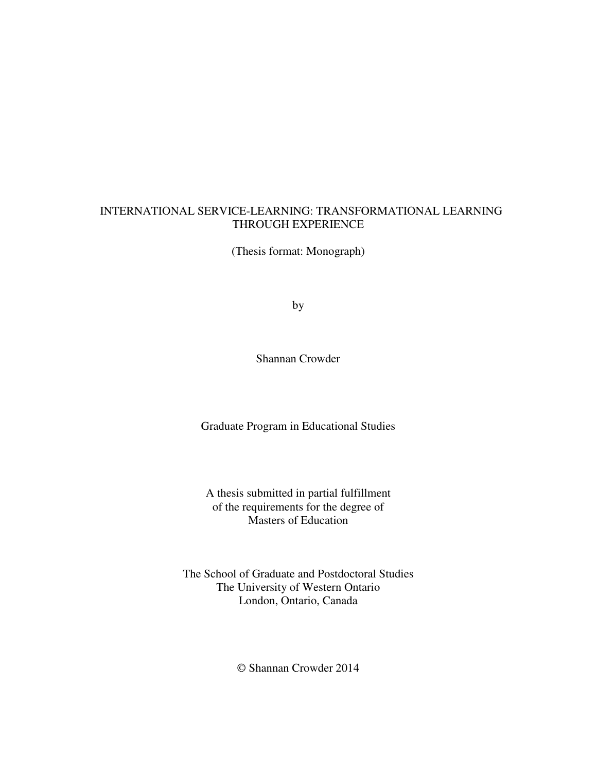#### INTERNATIONAL SERVICE-LEARNING: TRANSFORMATIONAL LEARNING THROUGH EXPERIENCE

(Thesis format: Monograph)

by

Shannan Crowder

Graduate Program in Educational Studies

A thesis submitted in partial fulfillment of the requirements for the degree of Masters of Education

The School of Graduate and Postdoctoral Studies The University of Western Ontario London, Ontario, Canada

© Shannan Crowder 2014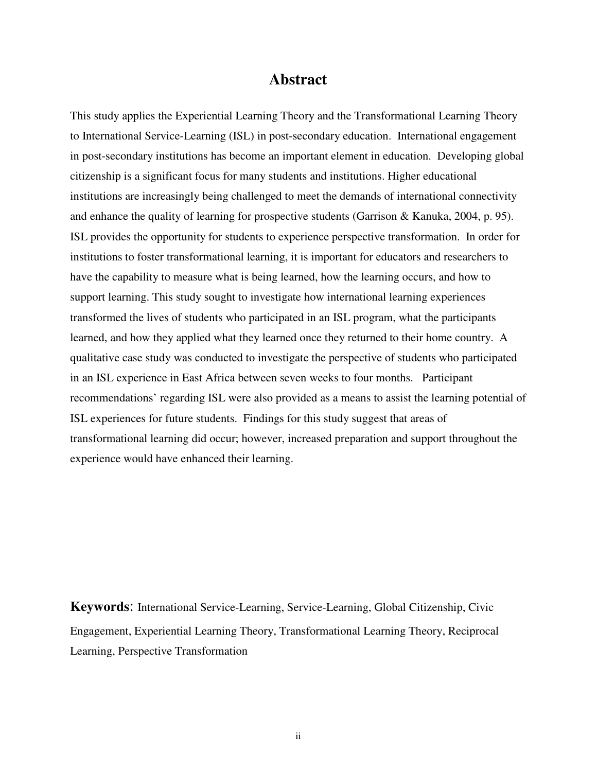#### **Abstract**

This study applies the Experiential Learning Theory and the Transformational Learning Theory to International Service-Learning (ISL) in post-secondary education. International engagement in post-secondary institutions has become an important element in education. Developing global citizenship is a significant focus for many students and institutions. Higher educational institutions are increasingly being challenged to meet the demands of international connectivity and enhance the quality of learning for prospective students (Garrison & Kanuka, 2004, p. 95). ISL provides the opportunity for students to experience perspective transformation. In order for institutions to foster transformational learning, it is important for educators and researchers to have the capability to measure what is being learned, how the learning occurs, and how to support learning. This study sought to investigate how international learning experiences transformed the lives of students who participated in an ISL program, what the participants learned, and how they applied what they learned once they returned to their home country. A qualitative case study was conducted to investigate the perspective of students who participated in an ISL experience in East Africa between seven weeks to four months. Participant recommendations' regarding ISL were also provided as a means to assist the learning potential of ISL experiences for future students. Findings for this study suggest that areas of transformational learning did occur; however, increased preparation and support throughout the experience would have enhanced their learning.

**Keywords**: International Service-Learning, Service-Learning, Global Citizenship, Civic Engagement, Experiential Learning Theory, Transformational Learning Theory, Reciprocal Learning, Perspective Transformation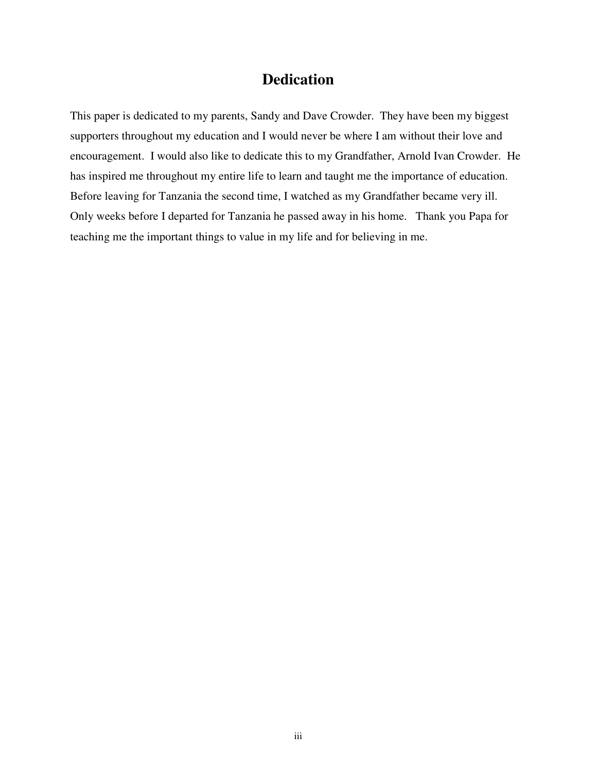## **Dedication**

This paper is dedicated to my parents, Sandy and Dave Crowder. They have been my biggest supporters throughout my education and I would never be where I am without their love and encouragement. I would also like to dedicate this to my Grandfather, Arnold Ivan Crowder. He has inspired me throughout my entire life to learn and taught me the importance of education. Before leaving for Tanzania the second time, I watched as my Grandfather became very ill. Only weeks before I departed for Tanzania he passed away in his home. Thank you Papa for teaching me the important things to value in my life and for believing in me.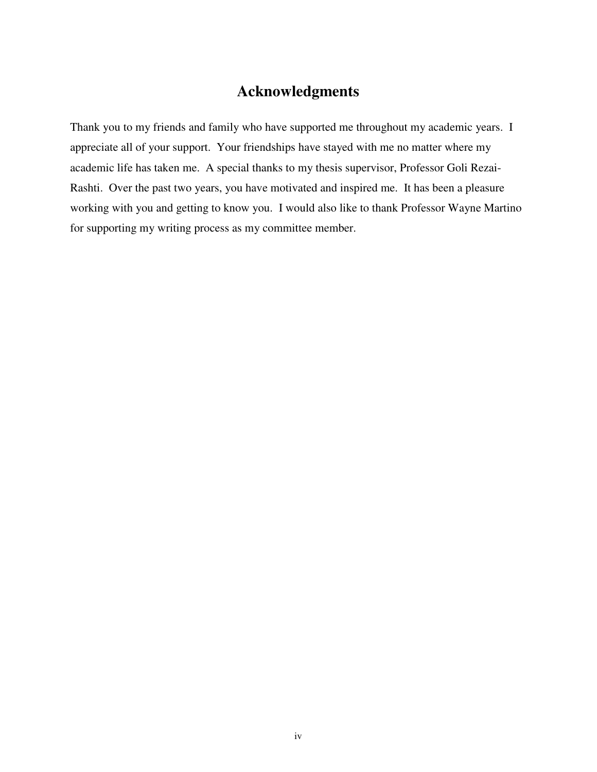## **Acknowledgments**

Thank you to my friends and family who have supported me throughout my academic years. I appreciate all of your support. Your friendships have stayed with me no matter where my academic life has taken me. A special thanks to my thesis supervisor, Professor Goli Rezai-Rashti. Over the past two years, you have motivated and inspired me. It has been a pleasure working with you and getting to know you. I would also like to thank Professor Wayne Martino for supporting my writing process as my committee member.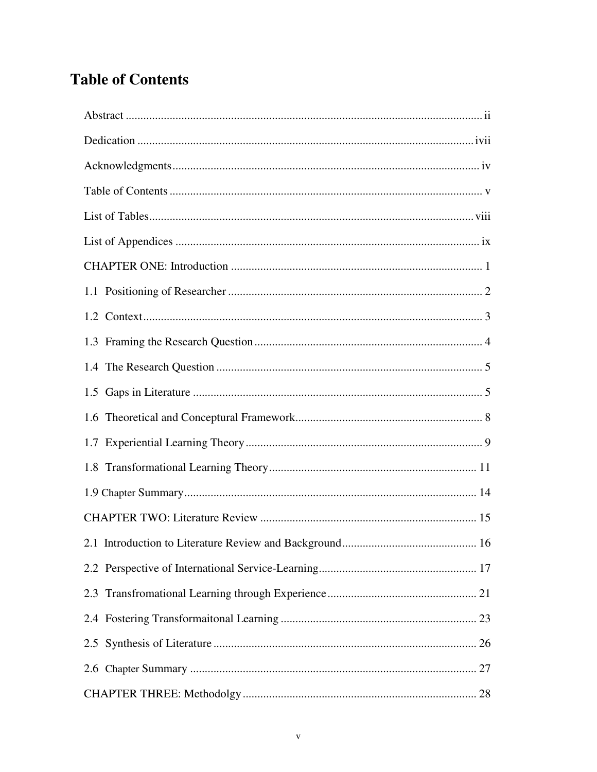# **Table of Contents**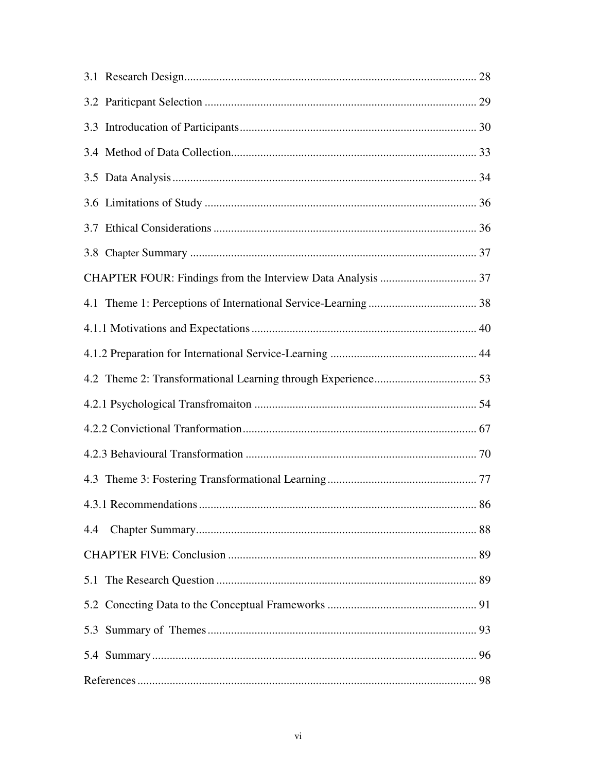| 86  |  |
|-----|--|
| 4.4 |  |
|     |  |
|     |  |
|     |  |
|     |  |
|     |  |
|     |  |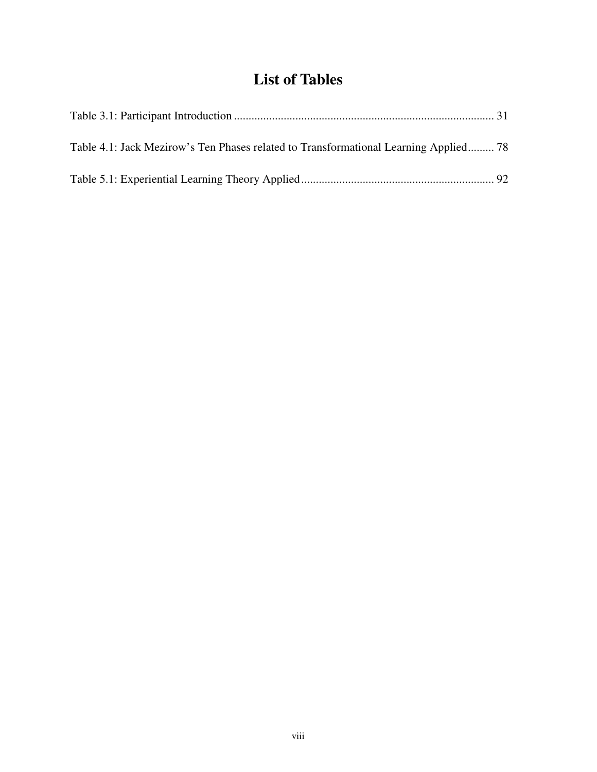# **List of Tables**

| Table 4.1: Jack Mezirow's Ten Phases related to Transformational Learning Applied 78 |  |
|--------------------------------------------------------------------------------------|--|
|                                                                                      |  |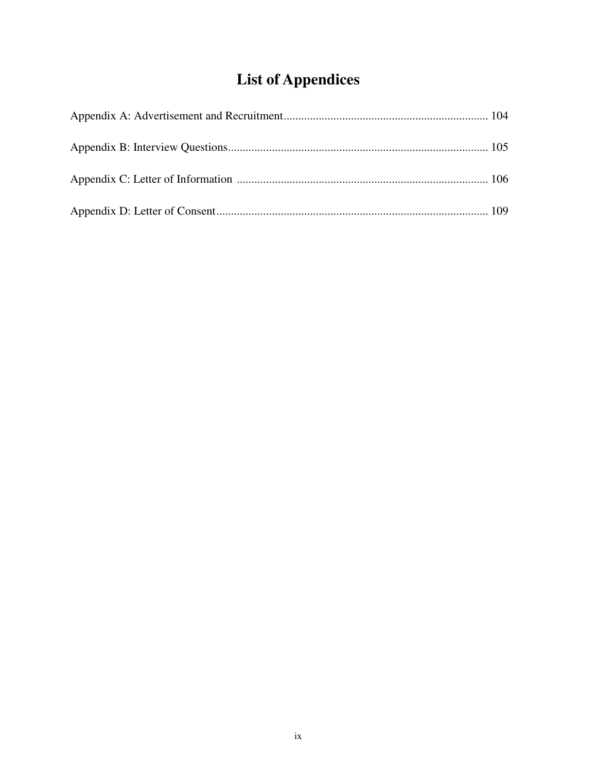# **List of Appendices**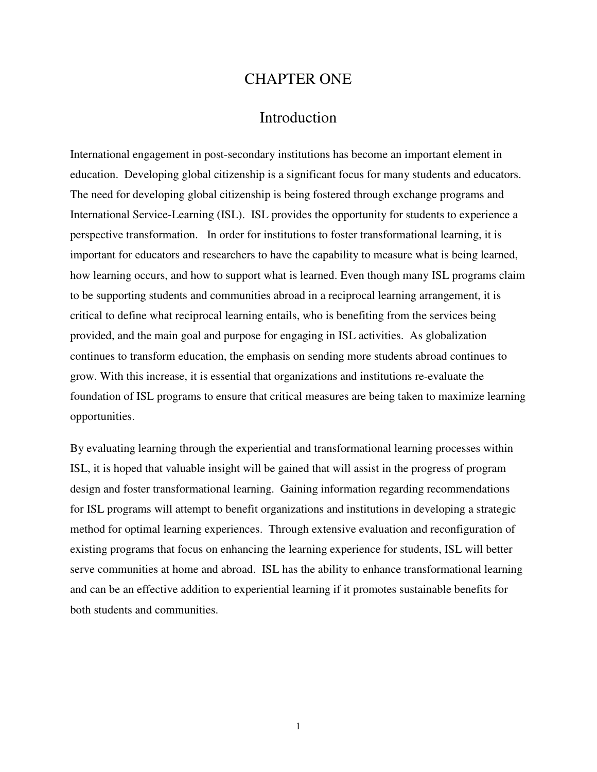### CHAPTER ONE

#### Introduction

International engagement in post-secondary institutions has become an important element in education. Developing global citizenship is a significant focus for many students and educators. The need for developing global citizenship is being fostered through exchange programs and International Service-Learning (ISL). ISL provides the opportunity for students to experience a perspective transformation. In order for institutions to foster transformational learning, it is important for educators and researchers to have the capability to measure what is being learned, how learning occurs, and how to support what is learned. Even though many ISL programs claim to be supporting students and communities abroad in a reciprocal learning arrangement, it is critical to define what reciprocal learning entails, who is benefiting from the services being provided, and the main goal and purpose for engaging in ISL activities. As globalization continues to transform education, the emphasis on sending more students abroad continues to grow. With this increase, it is essential that organizations and institutions re-evaluate the foundation of ISL programs to ensure that critical measures are being taken to maximize learning opportunities.

By evaluating learning through the experiential and transformational learning processes within ISL, it is hoped that valuable insight will be gained that will assist in the progress of program design and foster transformational learning. Gaining information regarding recommendations for ISL programs will attempt to benefit organizations and institutions in developing a strategic method for optimal learning experiences. Through extensive evaluation and reconfiguration of existing programs that focus on enhancing the learning experience for students, ISL will better serve communities at home and abroad. ISL has the ability to enhance transformational learning and can be an effective addition to experiential learning if it promotes sustainable benefits for both students and communities.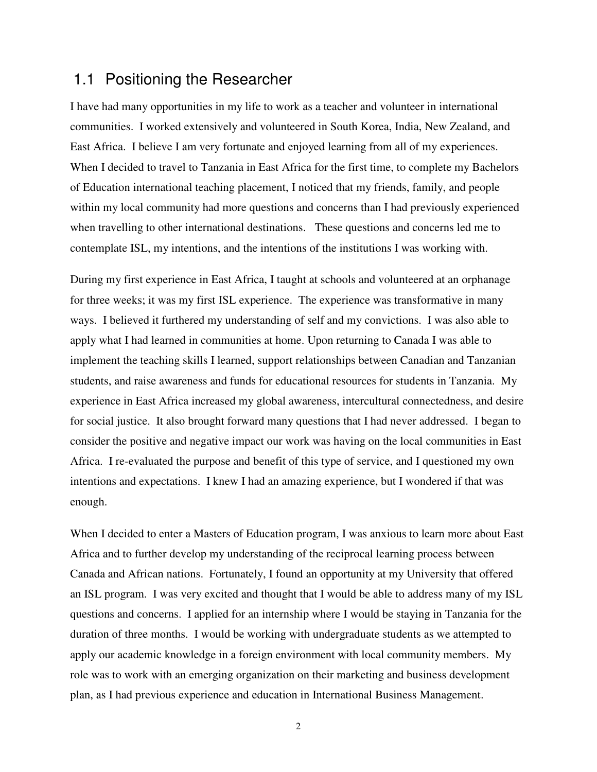### 1.1 Positioning the Researcher

I have had many opportunities in my life to work as a teacher and volunteer in international communities. I worked extensively and volunteered in South Korea, India, New Zealand, and East Africa. I believe I am very fortunate and enjoyed learning from all of my experiences. When I decided to travel to Tanzania in East Africa for the first time, to complete my Bachelors of Education international teaching placement, I noticed that my friends, family, and people within my local community had more questions and concerns than I had previously experienced when travelling to other international destinations. These questions and concerns led me to contemplate ISL, my intentions, and the intentions of the institutions I was working with.

During my first experience in East Africa, I taught at schools and volunteered at an orphanage for three weeks; it was my first ISL experience. The experience was transformative in many ways. I believed it furthered my understanding of self and my convictions. I was also able to apply what I had learned in communities at home. Upon returning to Canada I was able to implement the teaching skills I learned, support relationships between Canadian and Tanzanian students, and raise awareness and funds for educational resources for students in Tanzania. My experience in East Africa increased my global awareness, intercultural connectedness, and desire for social justice. It also brought forward many questions that I had never addressed. I began to consider the positive and negative impact our work was having on the local communities in East Africa. I re-evaluated the purpose and benefit of this type of service, and I questioned my own intentions and expectations. I knew I had an amazing experience, but I wondered if that was enough.

When I decided to enter a Masters of Education program, I was anxious to learn more about East Africa and to further develop my understanding of the reciprocal learning process between Canada and African nations. Fortunately, I found an opportunity at my University that offered an ISL program. I was very excited and thought that I would be able to address many of my ISL questions and concerns. I applied for an internship where I would be staying in Tanzania for the duration of three months. I would be working with undergraduate students as we attempted to apply our academic knowledge in a foreign environment with local community members. My role was to work with an emerging organization on their marketing and business development plan, as I had previous experience and education in International Business Management.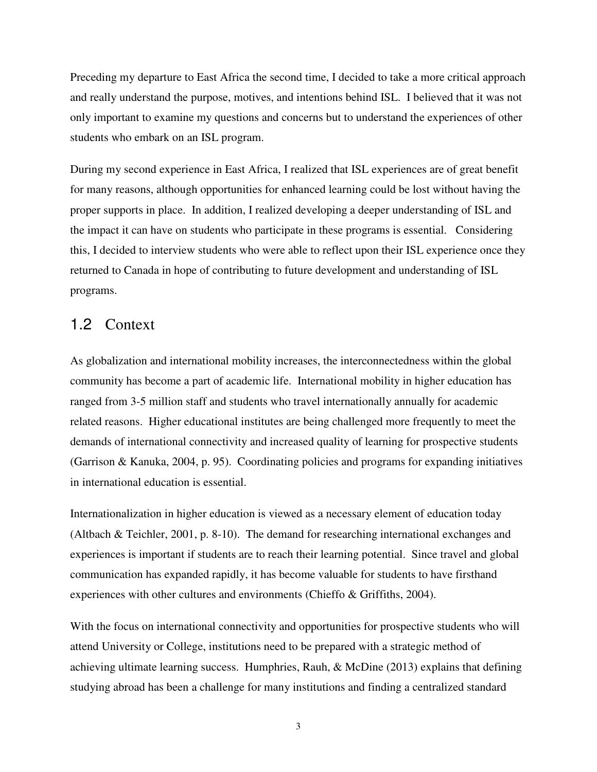Preceding my departure to East Africa the second time, I decided to take a more critical approach and really understand the purpose, motives, and intentions behind ISL. I believed that it was not only important to examine my questions and concerns but to understand the experiences of other students who embark on an ISL program.

During my second experience in East Africa, I realized that ISL experiences are of great benefit for many reasons, although opportunities for enhanced learning could be lost without having the proper supports in place. In addition, I realized developing a deeper understanding of ISL and the impact it can have on students who participate in these programs is essential. Considering this, I decided to interview students who were able to reflect upon their ISL experience once they returned to Canada in hope of contributing to future development and understanding of ISL programs.

#### 1.2 Context

As globalization and international mobility increases, the interconnectedness within the global community has become a part of academic life. International mobility in higher education has ranged from 3-5 million staff and students who travel internationally annually for academic related reasons. Higher educational institutes are being challenged more frequently to meet the demands of international connectivity and increased quality of learning for prospective students (Garrison & Kanuka, 2004, p. 95). Coordinating policies and programs for expanding initiatives in international education is essential.

Internationalization in higher education is viewed as a necessary element of education today (Altbach & Teichler, 2001, p. 8-10). The demand for researching international exchanges and experiences is important if students are to reach their learning potential. Since travel and global communication has expanded rapidly, it has become valuable for students to have firsthand experiences with other cultures and environments (Chieffo & Griffiths, 2004).

With the focus on international connectivity and opportunities for prospective students who will attend University or College, institutions need to be prepared with a strategic method of achieving ultimate learning success. Humphries, Rauh, & McDine (2013) explains that defining studying abroad has been a challenge for many institutions and finding a centralized standard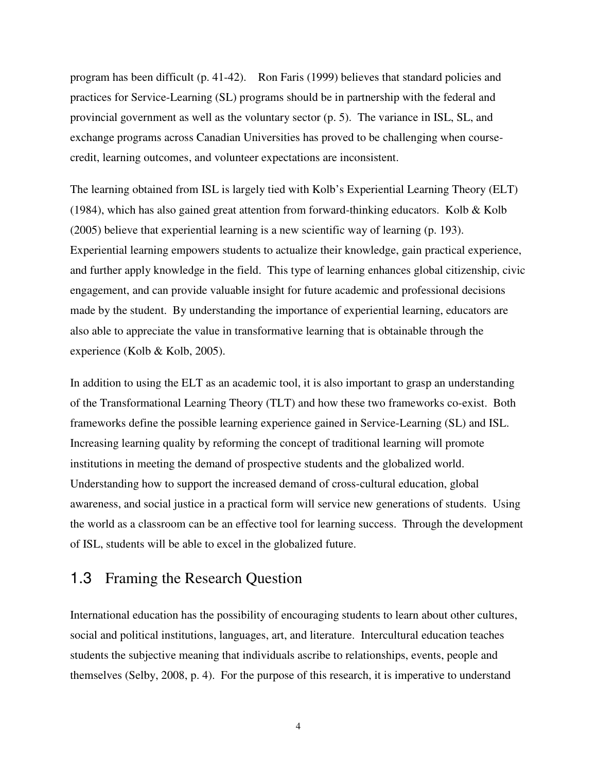program has been difficult (p. 41-42). Ron Faris (1999) believes that standard policies and practices for Service-Learning (SL) programs should be in partnership with the federal and provincial government as well as the voluntary sector (p. 5). The variance in ISL, SL, and exchange programs across Canadian Universities has proved to be challenging when coursecredit, learning outcomes, and volunteer expectations are inconsistent.

The learning obtained from ISL is largely tied with Kolb's Experiential Learning Theory (ELT) (1984), which has also gained great attention from forward-thinking educators. Kolb  $\&$  Kolb (2005) believe that experiential learning is a new scientific way of learning (p. 193). Experiential learning empowers students to actualize their knowledge, gain practical experience, and further apply knowledge in the field. This type of learning enhances global citizenship, civic engagement, and can provide valuable insight for future academic and professional decisions made by the student. By understanding the importance of experiential learning, educators are also able to appreciate the value in transformative learning that is obtainable through the experience (Kolb & Kolb, 2005).

In addition to using the ELT as an academic tool, it is also important to grasp an understanding of the Transformational Learning Theory (TLT) and how these two frameworks co-exist. Both frameworks define the possible learning experience gained in Service-Learning (SL) and ISL. Increasing learning quality by reforming the concept of traditional learning will promote institutions in meeting the demand of prospective students and the globalized world. Understanding how to support the increased demand of cross-cultural education, global awareness, and social justice in a practical form will service new generations of students. Using the world as a classroom can be an effective tool for learning success. Through the development of ISL, students will be able to excel in the globalized future.

#### 1.3 Framing the Research Question

International education has the possibility of encouraging students to learn about other cultures, social and political institutions, languages, art, and literature. Intercultural education teaches students the subjective meaning that individuals ascribe to relationships, events, people and themselves (Selby, 2008, p. 4). For the purpose of this research, it is imperative to understand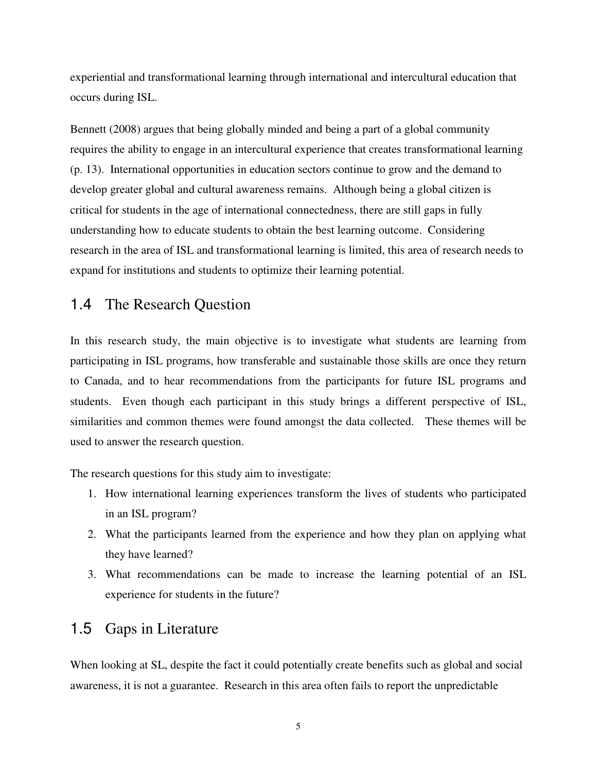experiential and transformational learning through international and intercultural education that occurs during ISL.

Bennett (2008) argues that being globally minded and being a part of a global community requires the ability to engage in an intercultural experience that creates transformational learning (p. 13). International opportunities in education sectors continue to grow and the demand to develop greater global and cultural awareness remains. Although being a global citizen is critical for students in the age of international connectedness, there are still gaps in fully understanding how to educate students to obtain the best learning outcome. Considering research in the area of ISL and transformational learning is limited, this area of research needs to expand for institutions and students to optimize their learning potential.

#### 1.4 The Research Question

In this research study, the main objective is to investigate what students are learning from participating in ISL programs, how transferable and sustainable those skills are once they return to Canada, and to hear recommendations from the participants for future ISL programs and students. Even though each participant in this study brings a different perspective of ISL, similarities and common themes were found amongst the data collected. These themes will be used to answer the research question.

The research questions for this study aim to investigate:

- 1. How international learning experiences transform the lives of students who participated in an ISL program?
- 2. What the participants learned from the experience and how they plan on applying what they have learned?
- 3. What recommendations can be made to increase the learning potential of an ISL experience for students in the future?

#### 1.5 Gaps in Literature

When looking at SL, despite the fact it could potentially create benefits such as global and social awareness, it is not a guarantee. Research in this area often fails to report the unpredictable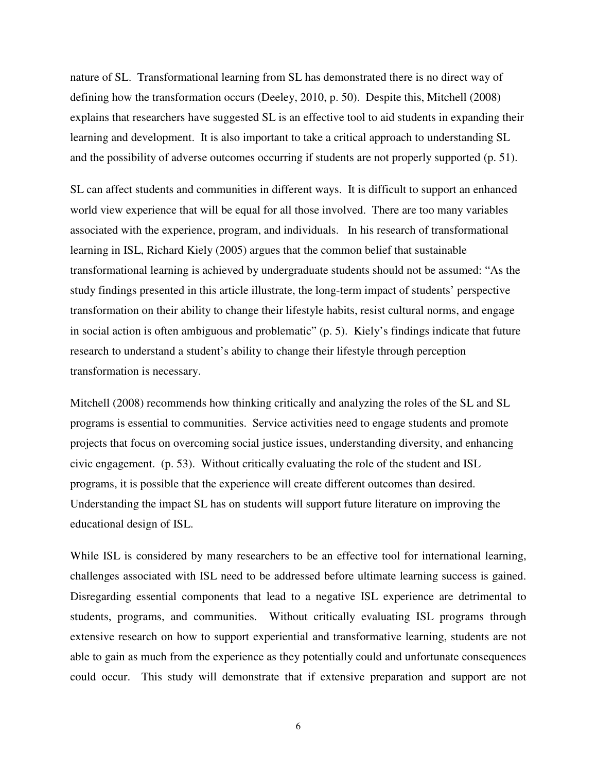nature of SL. Transformational learning from SL has demonstrated there is no direct way of defining how the transformation occurs (Deeley, 2010, p. 50). Despite this, Mitchell (2008) explains that researchers have suggested SL is an effective tool to aid students in expanding their learning and development. It is also important to take a critical approach to understanding SL and the possibility of adverse outcomes occurring if students are not properly supported (p. 51).

SL can affect students and communities in different ways. It is difficult to support an enhanced world view experience that will be equal for all those involved. There are too many variables associated with the experience, program, and individuals. In his research of transformational learning in ISL, Richard Kiely (2005) argues that the common belief that sustainable transformational learning is achieved by undergraduate students should not be assumed: "As the study findings presented in this article illustrate, the long-term impact of students' perspective transformation on their ability to change their lifestyle habits, resist cultural norms, and engage in social action is often ambiguous and problematic" (p. 5). Kiely's findings indicate that future research to understand a student's ability to change their lifestyle through perception transformation is necessary.

Mitchell (2008) recommends how thinking critically and analyzing the roles of the SL and SL programs is essential to communities. Service activities need to engage students and promote projects that focus on overcoming social justice issues, understanding diversity, and enhancing civic engagement. (p. 53). Without critically evaluating the role of the student and ISL programs, it is possible that the experience will create different outcomes than desired. Understanding the impact SL has on students will support future literature on improving the educational design of ISL.

While ISL is considered by many researchers to be an effective tool for international learning, challenges associated with ISL need to be addressed before ultimate learning success is gained. Disregarding essential components that lead to a negative ISL experience are detrimental to students, programs, and communities. Without critically evaluating ISL programs through extensive research on how to support experiential and transformative learning, students are not able to gain as much from the experience as they potentially could and unfortunate consequences could occur. This study will demonstrate that if extensive preparation and support are not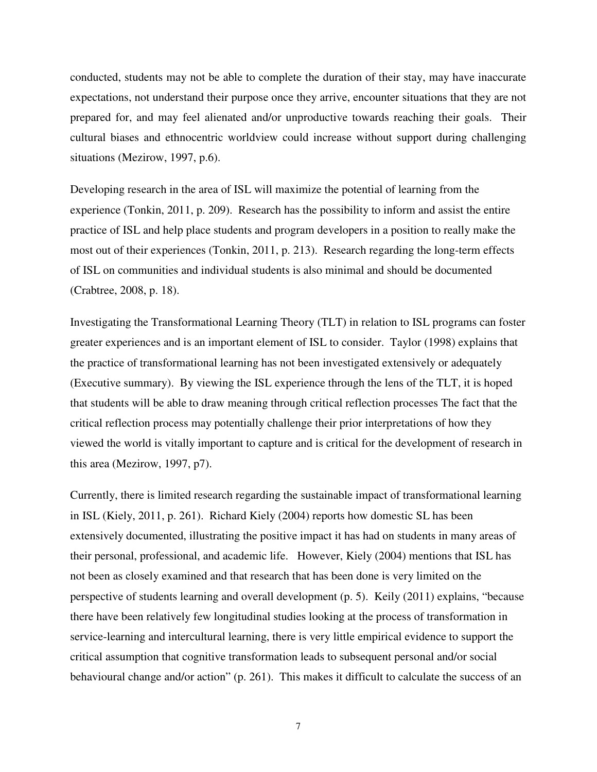conducted, students may not be able to complete the duration of their stay, may have inaccurate expectations, not understand their purpose once they arrive, encounter situations that they are not prepared for, and may feel alienated and/or unproductive towards reaching their goals. Their cultural biases and ethnocentric worldview could increase without support during challenging situations (Mezirow, 1997, p.6).

Developing research in the area of ISL will maximize the potential of learning from the experience (Tonkin, 2011, p. 209). Research has the possibility to inform and assist the entire practice of ISL and help place students and program developers in a position to really make the most out of their experiences (Tonkin, 2011, p. 213). Research regarding the long-term effects of ISL on communities and individual students is also minimal and should be documented (Crabtree, 2008, p. 18).

Investigating the Transformational Learning Theory (TLT) in relation to ISL programs can foster greater experiences and is an important element of ISL to consider. Taylor (1998) explains that the practice of transformational learning has not been investigated extensively or adequately (Executive summary). By viewing the ISL experience through the lens of the TLT, it is hoped that students will be able to draw meaning through critical reflection processes The fact that the critical reflection process may potentially challenge their prior interpretations of how they viewed the world is vitally important to capture and is critical for the development of research in this area (Mezirow, 1997, p7).

Currently, there is limited research regarding the sustainable impact of transformational learning in ISL (Kiely, 2011, p. 261). Richard Kiely (2004) reports how domestic SL has been extensively documented, illustrating the positive impact it has had on students in many areas of their personal, professional, and academic life. However, Kiely (2004) mentions that ISL has not been as closely examined and that research that has been done is very limited on the perspective of students learning and overall development (p. 5). Keily (2011) explains, "because there have been relatively few longitudinal studies looking at the process of transformation in service-learning and intercultural learning, there is very little empirical evidence to support the critical assumption that cognitive transformation leads to subsequent personal and/or social behavioural change and/or action" (p. 261). This makes it difficult to calculate the success of an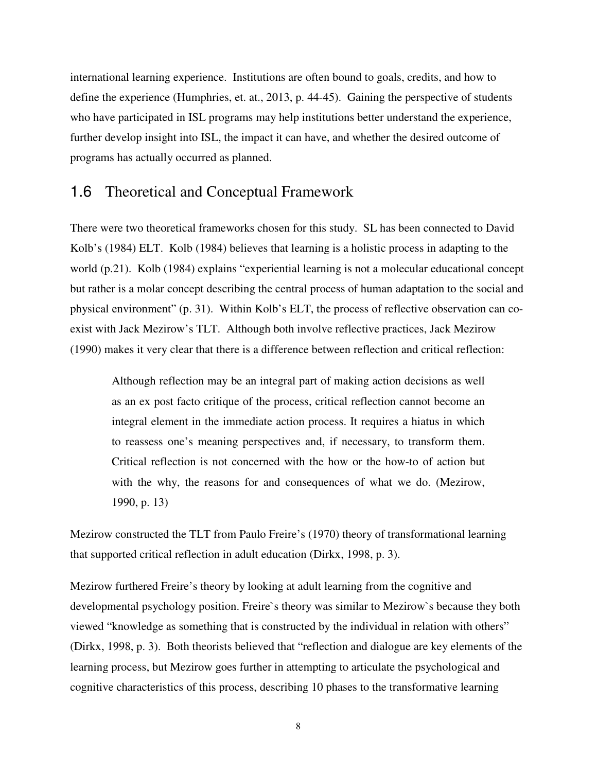international learning experience. Institutions are often bound to goals, credits, and how to define the experience (Humphries, et. at., 2013, p. 44-45). Gaining the perspective of students who have participated in ISL programs may help institutions better understand the experience, further develop insight into ISL, the impact it can have, and whether the desired outcome of programs has actually occurred as planned.

#### 1.6 Theoretical and Conceptual Framework

There were two theoretical frameworks chosen for this study. SL has been connected to David Kolb's (1984) ELT. Kolb (1984) believes that learning is a holistic process in adapting to the world (p.21). Kolb (1984) explains "experiential learning is not a molecular educational concept but rather is a molar concept describing the central process of human adaptation to the social and physical environment" (p. 31). Within Kolb's ELT, the process of reflective observation can coexist with Jack Mezirow's TLT. Although both involve reflective practices, Jack Mezirow (1990) makes it very clear that there is a difference between reflection and critical reflection:

Although reflection may be an integral part of making action decisions as well as an ex post facto critique of the process, critical reflection cannot become an integral element in the immediate action process. It requires a hiatus in which to reassess one's meaning perspectives and, if necessary, to transform them. Critical reflection is not concerned with the how or the how-to of action but with the why, the reasons for and consequences of what we do. (Mezirow, 1990, p. 13)

Mezirow constructed the TLT from Paulo Freire's (1970) theory of transformational learning that supported critical reflection in adult education (Dirkx, 1998, p. 3).

Mezirow furthered Freire's theory by looking at adult learning from the cognitive and developmental psychology position. Freire`s theory was similar to Mezirow`s because they both viewed "knowledge as something that is constructed by the individual in relation with others" (Dirkx, 1998, p. 3). Both theorists believed that "reflection and dialogue are key elements of the learning process, but Mezirow goes further in attempting to articulate the psychological and cognitive characteristics of this process, describing 10 phases to the transformative learning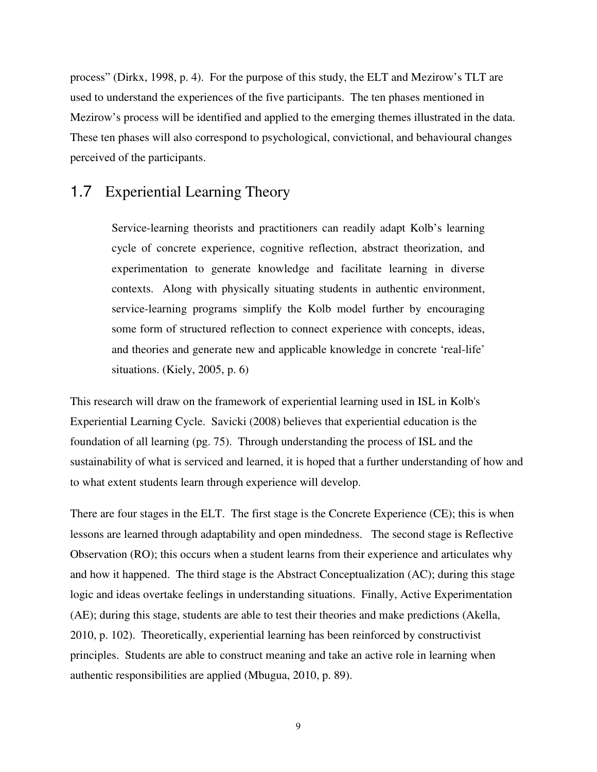process" (Dirkx, 1998, p. 4). For the purpose of this study, the ELT and Mezirow's TLT are used to understand the experiences of the five participants. The ten phases mentioned in Mezirow's process will be identified and applied to the emerging themes illustrated in the data. These ten phases will also correspond to psychological, convictional, and behavioural changes perceived of the participants.

#### 1.7 Experiential Learning Theory

Service-learning theorists and practitioners can readily adapt Kolb's learning cycle of concrete experience, cognitive reflection, abstract theorization, and experimentation to generate knowledge and facilitate learning in diverse contexts. Along with physically situating students in authentic environment, service-learning programs simplify the Kolb model further by encouraging some form of structured reflection to connect experience with concepts, ideas, and theories and generate new and applicable knowledge in concrete 'real-life' situations. (Kiely, 2005, p. 6)

This research will draw on the framework of experiential learning used in ISL in Kolb's Experiential Learning Cycle. Savicki (2008) believes that experiential education is the foundation of all learning (pg. 75). Through understanding the process of ISL and the sustainability of what is serviced and learned, it is hoped that a further understanding of how and to what extent students learn through experience will develop.

There are four stages in the ELT. The first stage is the Concrete Experience (CE); this is when lessons are learned through adaptability and open mindedness. The second stage is Reflective Observation (RO); this occurs when a student learns from their experience and articulates why and how it happened. The third stage is the Abstract Conceptualization (AC); during this stage logic and ideas overtake feelings in understanding situations. Finally, Active Experimentation (AE); during this stage, students are able to test their theories and make predictions (Akella, 2010, p. 102). Theoretically, experiential learning has been reinforced by constructivist principles. Students are able to construct meaning and take an active role in learning when authentic responsibilities are applied (Mbugua, 2010, p. 89).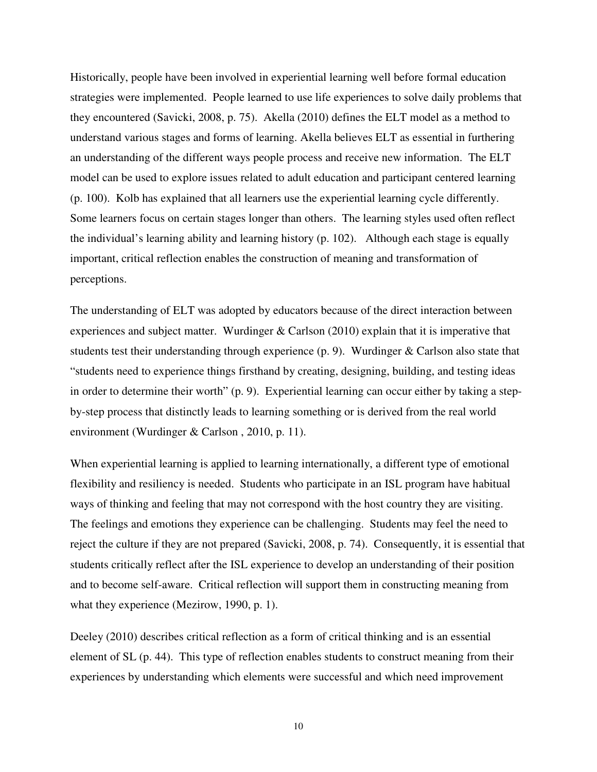Historically, people have been involved in experiential learning well before formal education strategies were implemented. People learned to use life experiences to solve daily problems that they encountered (Savicki, 2008, p. 75). Akella (2010) defines the ELT model as a method to understand various stages and forms of learning. Akella believes ELT as essential in furthering an understanding of the different ways people process and receive new information. The ELT model can be used to explore issues related to adult education and participant centered learning (p. 100). Kolb has explained that all learners use the experiential learning cycle differently. Some learners focus on certain stages longer than others. The learning styles used often reflect the individual's learning ability and learning history (p. 102). Although each stage is equally important, critical reflection enables the construction of meaning and transformation of perceptions.

The understanding of ELT was adopted by educators because of the direct interaction between experiences and subject matter. Wurdinger & Carlson (2010) explain that it is imperative that students test their understanding through experience (p. 9). Wurdinger & Carlson also state that "students need to experience things firsthand by creating, designing, building, and testing ideas in order to determine their worth" (p. 9). Experiential learning can occur either by taking a stepby-step process that distinctly leads to learning something or is derived from the real world environment (Wurdinger & Carlson , 2010, p. 11).

When experiential learning is applied to learning internationally, a different type of emotional flexibility and resiliency is needed. Students who participate in an ISL program have habitual ways of thinking and feeling that may not correspond with the host country they are visiting. The feelings and emotions they experience can be challenging. Students may feel the need to reject the culture if they are not prepared (Savicki, 2008, p. 74). Consequently, it is essential that students critically reflect after the ISL experience to develop an understanding of their position and to become self-aware. Critical reflection will support them in constructing meaning from what they experience (Mezirow, 1990, p. 1).

Deeley (2010) describes critical reflection as a form of critical thinking and is an essential element of SL (p. 44). This type of reflection enables students to construct meaning from their experiences by understanding which elements were successful and which need improvement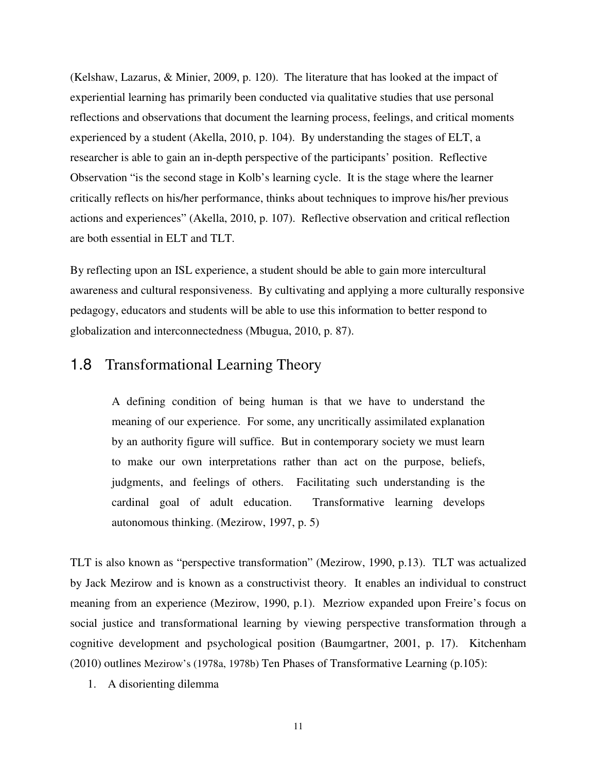(Kelshaw, Lazarus, & Minier, 2009, p. 120). The literature that has looked at the impact of experiential learning has primarily been conducted via qualitative studies that use personal reflections and observations that document the learning process, feelings, and critical moments experienced by a student (Akella, 2010, p. 104). By understanding the stages of ELT, a researcher is able to gain an in-depth perspective of the participants' position. Reflective Observation "is the second stage in Kolb's learning cycle. It is the stage where the learner critically reflects on his/her performance, thinks about techniques to improve his/her previous actions and experiences" (Akella, 2010, p. 107). Reflective observation and critical reflection are both essential in ELT and TLT.

By reflecting upon an ISL experience, a student should be able to gain more intercultural awareness and cultural responsiveness. By cultivating and applying a more culturally responsive pedagogy, educators and students will be able to use this information to better respond to globalization and interconnectedness (Mbugua, 2010, p. 87).

#### 1.8 Transformational Learning Theory

A defining condition of being human is that we have to understand the meaning of our experience. For some, any uncritically assimilated explanation by an authority figure will suffice. But in contemporary society we must learn to make our own interpretations rather than act on the purpose, beliefs, judgments, and feelings of others. Facilitating such understanding is the cardinal goal of adult education. Transformative learning develops autonomous thinking. (Mezirow, 1997, p. 5)

TLT is also known as "perspective transformation" (Mezirow, 1990, p.13). TLT was actualized by Jack Mezirow and is known as a constructivist theory. It enables an individual to construct meaning from an experience (Mezirow, 1990, p.1). Mezriow expanded upon Freire's focus on social justice and transformational learning by viewing perspective transformation through a cognitive development and psychological position (Baumgartner, 2001, p. 17). Kitchenham (2010) outlines Mezirow's (1978a, 1978b) Ten Phases of Transformative Learning (p.105):

1. A disorienting dilemma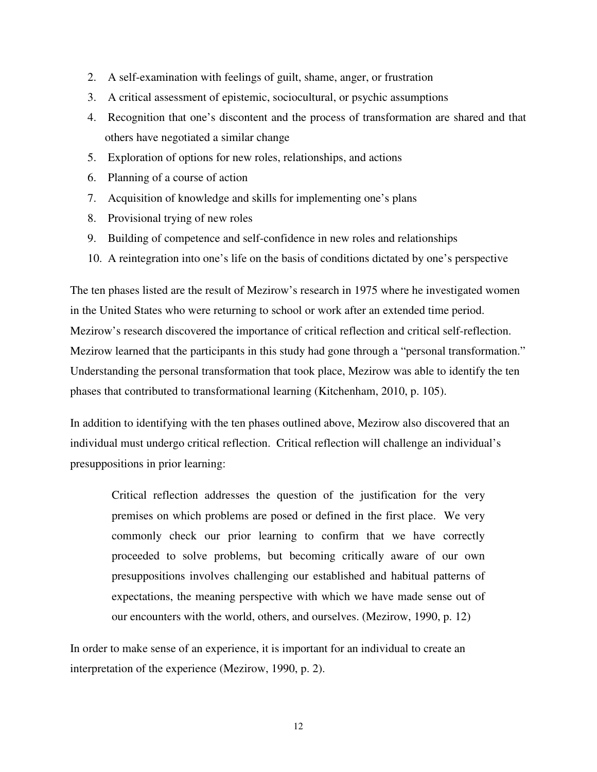- 2. A self-examination with feelings of guilt, shame, anger, or frustration
- 3. A critical assessment of epistemic, sociocultural, or psychic assumptions
- 4. Recognition that one's discontent and the process of transformation are shared and that others have negotiated a similar change
- 5. Exploration of options for new roles, relationships, and actions
- 6. Planning of a course of action
- 7. Acquisition of knowledge and skills for implementing one's plans
- 8. Provisional trying of new roles
- 9. Building of competence and self-confidence in new roles and relationships
- 10. A reintegration into one's life on the basis of conditions dictated by one's perspective

The ten phases listed are the result of Mezirow's research in 1975 where he investigated women in the United States who were returning to school or work after an extended time period. Mezirow's research discovered the importance of critical reflection and critical self-reflection. Mezirow learned that the participants in this study had gone through a "personal transformation." Understanding the personal transformation that took place, Mezirow was able to identify the ten phases that contributed to transformational learning (Kitchenham, 2010, p. 105).

In addition to identifying with the ten phases outlined above, Mezirow also discovered that an individual must undergo critical reflection. Critical reflection will challenge an individual's presuppositions in prior learning:

Critical reflection addresses the question of the justification for the very premises on which problems are posed or defined in the first place. We very commonly check our prior learning to confirm that we have correctly proceeded to solve problems, but becoming critically aware of our own presuppositions involves challenging our established and habitual patterns of expectations, the meaning perspective with which we have made sense out of our encounters with the world, others, and ourselves. (Mezirow, 1990, p. 12)

In order to make sense of an experience, it is important for an individual to create an interpretation of the experience (Mezirow, 1990, p. 2).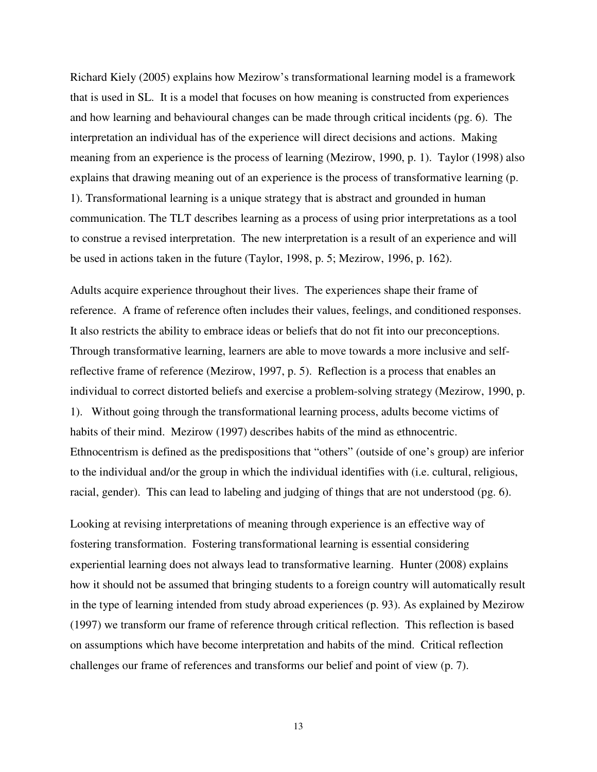Richard Kiely (2005) explains how Mezirow's transformational learning model is a framework that is used in SL. It is a model that focuses on how meaning is constructed from experiences and how learning and behavioural changes can be made through critical incidents (pg. 6). The interpretation an individual has of the experience will direct decisions and actions. Making meaning from an experience is the process of learning (Mezirow, 1990, p. 1). Taylor (1998) also explains that drawing meaning out of an experience is the process of transformative learning (p. 1). Transformational learning is a unique strategy that is abstract and grounded in human communication. The TLT describes learning as a process of using prior interpretations as a tool to construe a revised interpretation. The new interpretation is a result of an experience and will be used in actions taken in the future (Taylor, 1998, p. 5; Mezirow, 1996, p. 162).

Adults acquire experience throughout their lives. The experiences shape their frame of reference. A frame of reference often includes their values, feelings, and conditioned responses. It also restricts the ability to embrace ideas or beliefs that do not fit into our preconceptions. Through transformative learning, learners are able to move towards a more inclusive and selfreflective frame of reference (Mezirow, 1997, p. 5). Reflection is a process that enables an individual to correct distorted beliefs and exercise a problem-solving strategy (Mezirow, 1990, p. 1). Without going through the transformational learning process, adults become victims of habits of their mind. Mezirow (1997) describes habits of the mind as ethnocentric. Ethnocentrism is defined as the predispositions that "others" (outside of one's group) are inferior to the individual and/or the group in which the individual identifies with (i.e. cultural, religious, racial, gender). This can lead to labeling and judging of things that are not understood (pg. 6).

Looking at revising interpretations of meaning through experience is an effective way of fostering transformation. Fostering transformational learning is essential considering experiential learning does not always lead to transformative learning. Hunter (2008) explains how it should not be assumed that bringing students to a foreign country will automatically result in the type of learning intended from study abroad experiences (p. 93). As explained by Mezirow (1997) we transform our frame of reference through critical reflection. This reflection is based on assumptions which have become interpretation and habits of the mind. Critical reflection challenges our frame of references and transforms our belief and point of view (p. 7).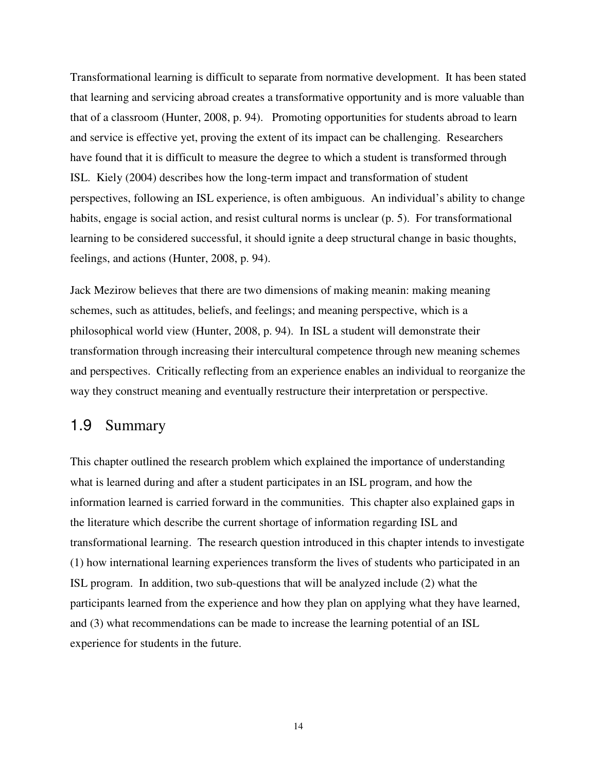Transformational learning is difficult to separate from normative development. It has been stated that learning and servicing abroad creates a transformative opportunity and is more valuable than that of a classroom (Hunter, 2008, p. 94). Promoting opportunities for students abroad to learn and service is effective yet, proving the extent of its impact can be challenging. Researchers have found that it is difficult to measure the degree to which a student is transformed through ISL. Kiely (2004) describes how the long-term impact and transformation of student perspectives, following an ISL experience, is often ambiguous. An individual's ability to change habits, engage is social action, and resist cultural norms is unclear (p. 5). For transformational learning to be considered successful, it should ignite a deep structural change in basic thoughts, feelings, and actions (Hunter, 2008, p. 94).

Jack Mezirow believes that there are two dimensions of making meanin: making meaning schemes, such as attitudes, beliefs, and feelings; and meaning perspective, which is a philosophical world view (Hunter, 2008, p. 94). In ISL a student will demonstrate their transformation through increasing their intercultural competence through new meaning schemes and perspectives. Critically reflecting from an experience enables an individual to reorganize the way they construct meaning and eventually restructure their interpretation or perspective.

#### 1.9 Summary

This chapter outlined the research problem which explained the importance of understanding what is learned during and after a student participates in an ISL program, and how the information learned is carried forward in the communities. This chapter also explained gaps in the literature which describe the current shortage of information regarding ISL and transformational learning. The research question introduced in this chapter intends to investigate (1) how international learning experiences transform the lives of students who participated in an ISL program. In addition, two sub-questions that will be analyzed include (2) what the participants learned from the experience and how they plan on applying what they have learned, and (3) what recommendations can be made to increase the learning potential of an ISL experience for students in the future.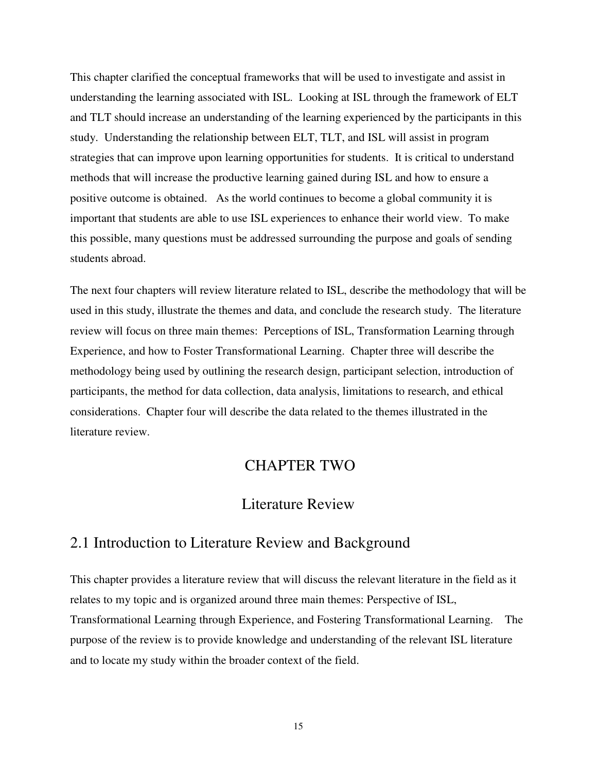This chapter clarified the conceptual frameworks that will be used to investigate and assist in understanding the learning associated with ISL. Looking at ISL through the framework of ELT and TLT should increase an understanding of the learning experienced by the participants in this study. Understanding the relationship between ELT, TLT, and ISL will assist in program strategies that can improve upon learning opportunities for students. It is critical to understand methods that will increase the productive learning gained during ISL and how to ensure a positive outcome is obtained. As the world continues to become a global community it is important that students are able to use ISL experiences to enhance their world view. To make this possible, many questions must be addressed surrounding the purpose and goals of sending students abroad.

The next four chapters will review literature related to ISL, describe the methodology that will be used in this study, illustrate the themes and data, and conclude the research study. The literature review will focus on three main themes: Perceptions of ISL, Transformation Learning through Experience, and how to Foster Transformational Learning. Chapter three will describe the methodology being used by outlining the research design, participant selection, introduction of participants, the method for data collection, data analysis, limitations to research, and ethical considerations. Chapter four will describe the data related to the themes illustrated in the literature review.

## CHAPTER TWO

#### Literature Review

### 2.1 Introduction to Literature Review and Background

This chapter provides a literature review that will discuss the relevant literature in the field as it relates to my topic and is organized around three main themes: Perspective of ISL, Transformational Learning through Experience, and Fostering Transformational Learning. The purpose of the review is to provide knowledge and understanding of the relevant ISL literature and to locate my study within the broader context of the field.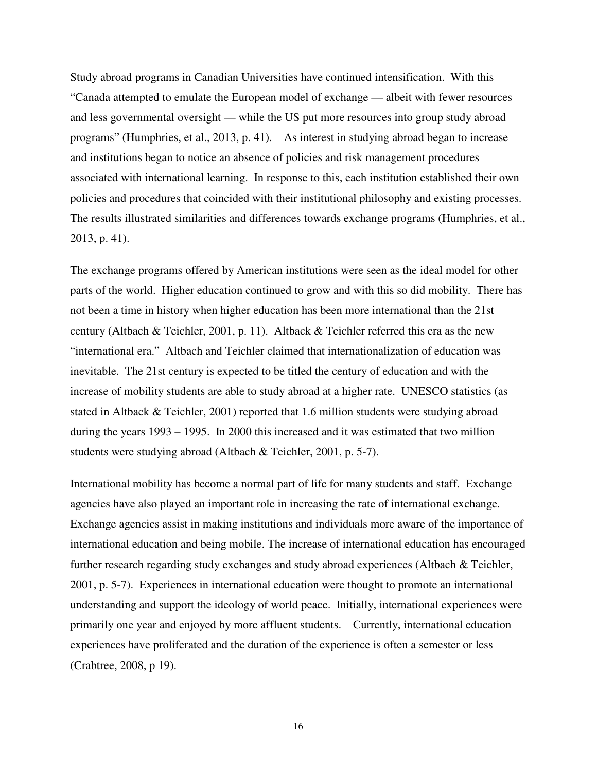Study abroad programs in Canadian Universities have continued intensification. With this "Canada attempted to emulate the European model of exchange — albeit with fewer resources and less governmental oversight — while the US put more resources into group study abroad programs" (Humphries, et al., 2013, p. 41). As interest in studying abroad began to increase and institutions began to notice an absence of policies and risk management procedures associated with international learning. In response to this, each institution established their own policies and procedures that coincided with their institutional philosophy and existing processes. The results illustrated similarities and differences towards exchange programs (Humphries, et al., 2013, p. 41).

The exchange programs offered by American institutions were seen as the ideal model for other parts of the world. Higher education continued to grow and with this so did mobility. There has not been a time in history when higher education has been more international than the 21st century (Altbach & Teichler, 2001, p. 11). Altback & Teichler referred this era as the new "international era." Altbach and Teichler claimed that internationalization of education was inevitable. The 21st century is expected to be titled the century of education and with the increase of mobility students are able to study abroad at a higher rate. UNESCO statistics (as stated in Altback & Teichler, 2001) reported that 1.6 million students were studying abroad during the years 1993 – 1995. In 2000 this increased and it was estimated that two million students were studying abroad (Altbach & Teichler, 2001, p. 5-7).

International mobility has become a normal part of life for many students and staff. Exchange agencies have also played an important role in increasing the rate of international exchange. Exchange agencies assist in making institutions and individuals more aware of the importance of international education and being mobile. The increase of international education has encouraged further research regarding study exchanges and study abroad experiences (Altbach & Teichler, 2001, p. 5-7). Experiences in international education were thought to promote an international understanding and support the ideology of world peace. Initially, international experiences were primarily one year and enjoyed by more affluent students. Currently, international education experiences have proliferated and the duration of the experience is often a semester or less (Crabtree, 2008, p 19).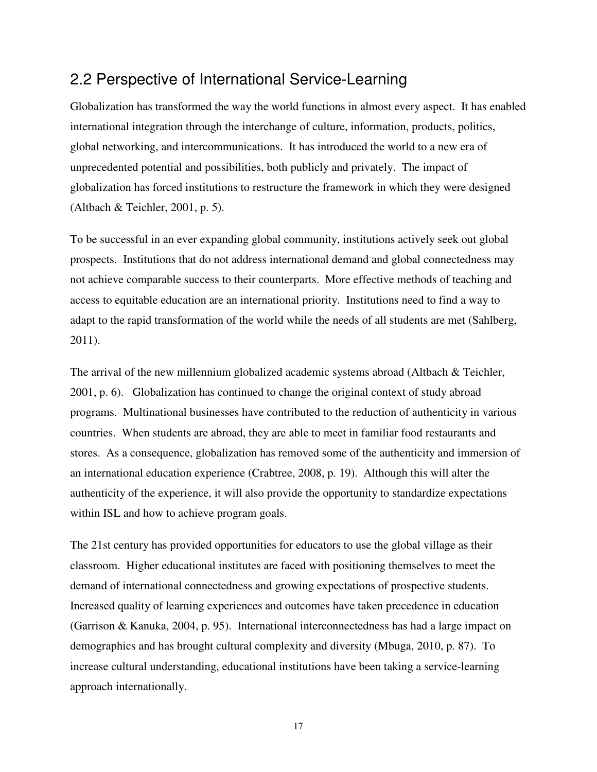# 2.2 Perspective of International Service-Learning

Globalization has transformed the way the world functions in almost every aspect. It has enabled international integration through the interchange of culture, information, products, politics, global networking, and intercommunications. It has introduced the world to a new era of unprecedented potential and possibilities, both publicly and privately. The impact of globalization has forced institutions to restructure the framework in which they were designed (Altbach & Teichler, 2001, p. 5).

To be successful in an ever expanding global community, institutions actively seek out global prospects. Institutions that do not address international demand and global connectedness may not achieve comparable success to their counterparts. More effective methods of teaching and access to equitable education are an international priority. Institutions need to find a way to adapt to the rapid transformation of the world while the needs of all students are met (Sahlberg, 2011).

The arrival of the new millennium globalized academic systems abroad (Altbach & Teichler, 2001, p. 6). Globalization has continued to change the original context of study abroad programs. Multinational businesses have contributed to the reduction of authenticity in various countries. When students are abroad, they are able to meet in familiar food restaurants and stores. As a consequence, globalization has removed some of the authenticity and immersion of an international education experience (Crabtree, 2008, p. 19). Although this will alter the authenticity of the experience, it will also provide the opportunity to standardize expectations within ISL and how to achieve program goals.

The 21st century has provided opportunities for educators to use the global village as their classroom. Higher educational institutes are faced with positioning themselves to meet the demand of international connectedness and growing expectations of prospective students. Increased quality of learning experiences and outcomes have taken precedence in education (Garrison & Kanuka, 2004, p. 95). International interconnectedness has had a large impact on demographics and has brought cultural complexity and diversity (Mbuga, 2010, p. 87). To increase cultural understanding, educational institutions have been taking a service-learning approach internationally.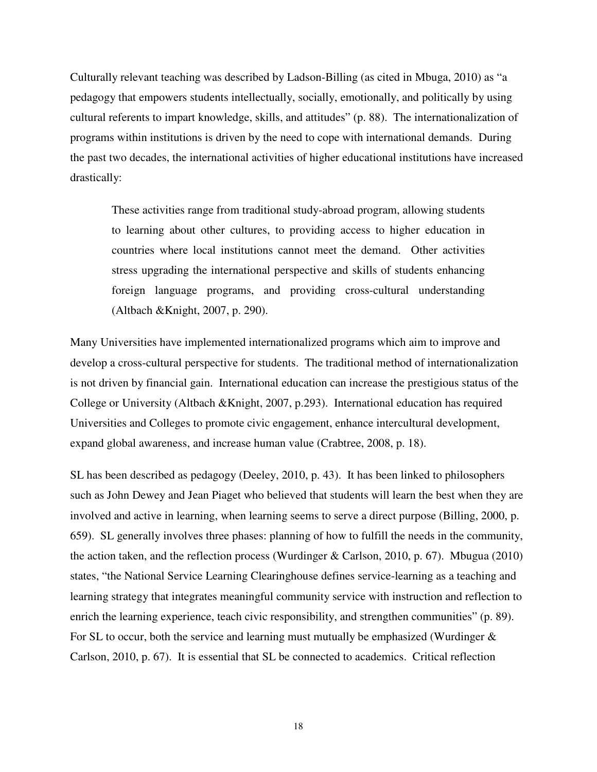Culturally relevant teaching was described by Ladson-Billing (as cited in Mbuga, 2010) as "a pedagogy that empowers students intellectually, socially, emotionally, and politically by using cultural referents to impart knowledge, skills, and attitudes" (p. 88). The internationalization of programs within institutions is driven by the need to cope with international demands. During the past two decades, the international activities of higher educational institutions have increased drastically:

These activities range from traditional study-abroad program, allowing students to learning about other cultures, to providing access to higher education in countries where local institutions cannot meet the demand. Other activities stress upgrading the international perspective and skills of students enhancing foreign language programs, and providing cross-cultural understanding (Altbach &Knight, 2007, p. 290).

Many Universities have implemented internationalized programs which aim to improve and develop a cross-cultural perspective for students. The traditional method of internationalization is not driven by financial gain. International education can increase the prestigious status of the College or University (Altbach &Knight, 2007, p.293). International education has required Universities and Colleges to promote civic engagement, enhance intercultural development, expand global awareness, and increase human value (Crabtree, 2008, p. 18).

SL has been described as pedagogy (Deeley, 2010, p. 43). It has been linked to philosophers such as John Dewey and Jean Piaget who believed that students will learn the best when they are involved and active in learning, when learning seems to serve a direct purpose (Billing, 2000, p. 659). SL generally involves three phases: planning of how to fulfill the needs in the community, the action taken, and the reflection process (Wurdinger & Carlson, 2010, p. 67). Mbugua (2010) states, "the National Service Learning Clearinghouse defines service-learning as a teaching and learning strategy that integrates meaningful community service with instruction and reflection to enrich the learning experience, teach civic responsibility, and strengthen communities" (p. 89). For SL to occur, both the service and learning must mutually be emphasized (Wurdinger  $\&$ Carlson, 2010, p. 67). It is essential that SL be connected to academics. Critical reflection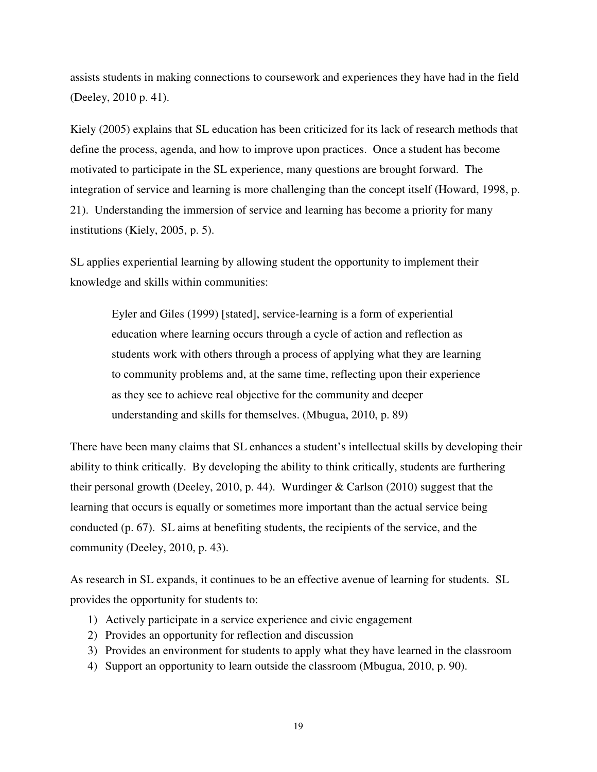assists students in making connections to coursework and experiences they have had in the field (Deeley, 2010 p. 41).

Kiely (2005) explains that SL education has been criticized for its lack of research methods that define the process, agenda, and how to improve upon practices. Once a student has become motivated to participate in the SL experience, many questions are brought forward. The integration of service and learning is more challenging than the concept itself (Howard, 1998, p. 21). Understanding the immersion of service and learning has become a priority for many institutions (Kiely, 2005, p. 5).

SL applies experiential learning by allowing student the opportunity to implement their knowledge and skills within communities:

> Eyler and Giles (1999) [stated], service-learning is a form of experiential education where learning occurs through a cycle of action and reflection as students work with others through a process of applying what they are learning to community problems and, at the same time, reflecting upon their experience as they see to achieve real objective for the community and deeper understanding and skills for themselves. (Mbugua, 2010, p. 89)

There have been many claims that SL enhances a student's intellectual skills by developing their ability to think critically. By developing the ability to think critically, students are furthering their personal growth (Deeley, 2010, p. 44). Wurdinger & Carlson (2010) suggest that the learning that occurs is equally or sometimes more important than the actual service being conducted (p. 67). SL aims at benefiting students, the recipients of the service, and the community (Deeley, 2010, p. 43).

As research in SL expands, it continues to be an effective avenue of learning for students. SL provides the opportunity for students to:

- 1) Actively participate in a service experience and civic engagement
- 2) Provides an opportunity for reflection and discussion
- 3) Provides an environment for students to apply what they have learned in the classroom
- 4) Support an opportunity to learn outside the classroom (Mbugua, 2010, p. 90).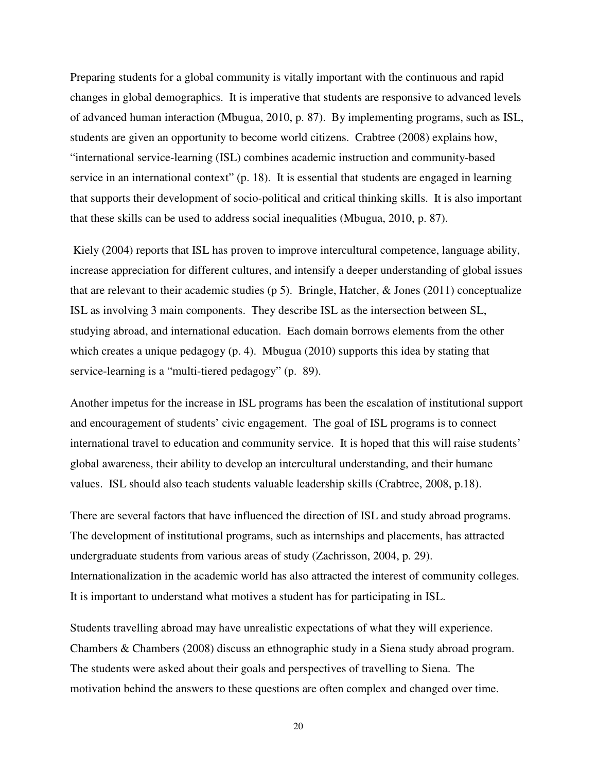Preparing students for a global community is vitally important with the continuous and rapid changes in global demographics. It is imperative that students are responsive to advanced levels of advanced human interaction (Mbugua, 2010, p. 87). By implementing programs, such as ISL, students are given an opportunity to become world citizens. Crabtree (2008) explains how, "international service-learning (ISL) combines academic instruction and community-based service in an international context" (p. 18). It is essential that students are engaged in learning that supports their development of socio-political and critical thinking skills. It is also important that these skills can be used to address social inequalities (Mbugua, 2010, p. 87).

 Kiely (2004) reports that ISL has proven to improve intercultural competence, language ability, increase appreciation for different cultures, and intensify a deeper understanding of global issues that are relevant to their academic studies ( $p 5$ ). Bringle, Hatcher, & Jones (2011) conceptualize ISL as involving 3 main components. They describe ISL as the intersection between SL, studying abroad, and international education. Each domain borrows elements from the other which creates a unique pedagogy (p. 4). Mbugua (2010) supports this idea by stating that service-learning is a "multi-tiered pedagogy" (p. 89).

Another impetus for the increase in ISL programs has been the escalation of institutional support and encouragement of students' civic engagement. The goal of ISL programs is to connect international travel to education and community service. It is hoped that this will raise students' global awareness, their ability to develop an intercultural understanding, and their humane values. ISL should also teach students valuable leadership skills (Crabtree, 2008, p.18).

There are several factors that have influenced the direction of ISL and study abroad programs. The development of institutional programs, such as internships and placements, has attracted undergraduate students from various areas of study (Zachrisson, 2004, p. 29). Internationalization in the academic world has also attracted the interest of community colleges. It is important to understand what motives a student has for participating in ISL.

Students travelling abroad may have unrealistic expectations of what they will experience. Chambers & Chambers (2008) discuss an ethnographic study in a Siena study abroad program. The students were asked about their goals and perspectives of travelling to Siena. The motivation behind the answers to these questions are often complex and changed over time.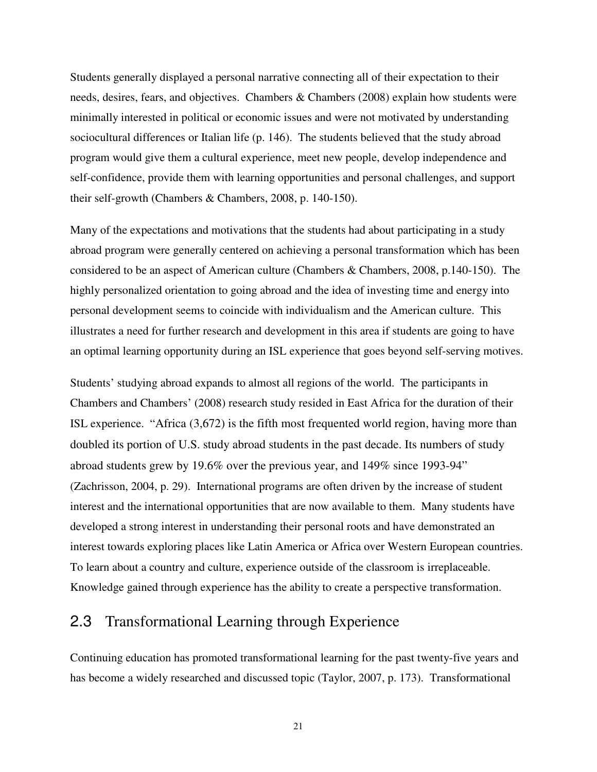Students generally displayed a personal narrative connecting all of their expectation to their needs, desires, fears, and objectives. Chambers & Chambers (2008) explain how students were minimally interested in political or economic issues and were not motivated by understanding sociocultural differences or Italian life (p. 146). The students believed that the study abroad program would give them a cultural experience, meet new people, develop independence and self-confidence, provide them with learning opportunities and personal challenges, and support their self-growth (Chambers & Chambers, 2008, p. 140-150).

Many of the expectations and motivations that the students had about participating in a study abroad program were generally centered on achieving a personal transformation which has been considered to be an aspect of American culture (Chambers & Chambers, 2008, p.140-150). The highly personalized orientation to going abroad and the idea of investing time and energy into personal development seems to coincide with individualism and the American culture. This illustrates a need for further research and development in this area if students are going to have an optimal learning opportunity during an ISL experience that goes beyond self-serving motives.

Students' studying abroad expands to almost all regions of the world. The participants in Chambers and Chambers' (2008) research study resided in East Africa for the duration of their ISL experience. "Africa (3,672) is the fifth most frequented world region, having more than doubled its portion of U.S. study abroad students in the past decade. Its numbers of study abroad students grew by 19.6% over the previous year, and 149% since 1993-94" (Zachrisson, 2004, p. 29). International programs are often driven by the increase of student interest and the international opportunities that are now available to them. Many students have developed a strong interest in understanding their personal roots and have demonstrated an interest towards exploring places like Latin America or Africa over Western European countries. To learn about a country and culture, experience outside of the classroom is irreplaceable. Knowledge gained through experience has the ability to create a perspective transformation.

#### 2.3 Transformational Learning through Experience

Continuing education has promoted transformational learning for the past twenty-five years and has become a widely researched and discussed topic (Taylor, 2007, p. 173). Transformational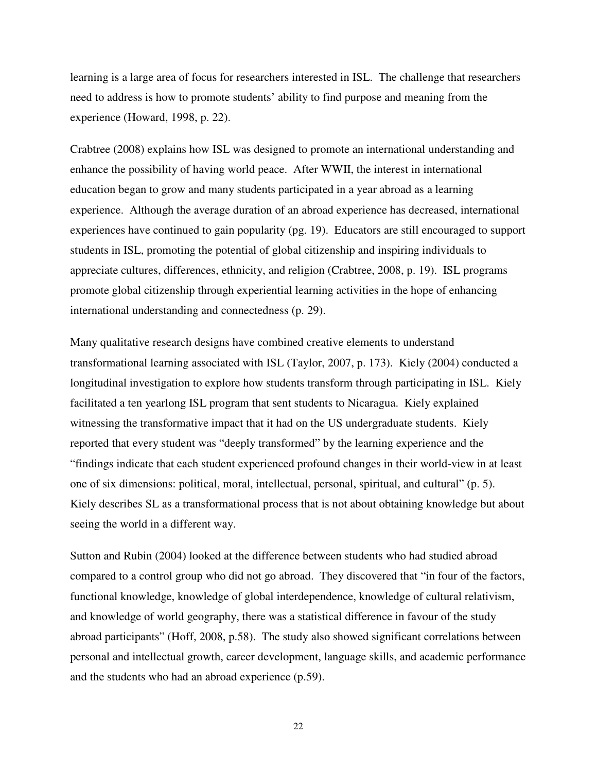learning is a large area of focus for researchers interested in ISL. The challenge that researchers need to address is how to promote students' ability to find purpose and meaning from the experience (Howard, 1998, p. 22).

Crabtree (2008) explains how ISL was designed to promote an international understanding and enhance the possibility of having world peace. After WWII, the interest in international education began to grow and many students participated in a year abroad as a learning experience. Although the average duration of an abroad experience has decreased, international experiences have continued to gain popularity (pg. 19). Educators are still encouraged to support students in ISL, promoting the potential of global citizenship and inspiring individuals to appreciate cultures, differences, ethnicity, and religion (Crabtree, 2008, p. 19). ISL programs promote global citizenship through experiential learning activities in the hope of enhancing international understanding and connectedness (p. 29).

Many qualitative research designs have combined creative elements to understand transformational learning associated with ISL (Taylor, 2007, p. 173). Kiely (2004) conducted a longitudinal investigation to explore how students transform through participating in ISL. Kiely facilitated a ten yearlong ISL program that sent students to Nicaragua. Kiely explained witnessing the transformative impact that it had on the US undergraduate students. Kiely reported that every student was "deeply transformed" by the learning experience and the "findings indicate that each student experienced profound changes in their world-view in at least one of six dimensions: political, moral, intellectual, personal, spiritual, and cultural" (p. 5). Kiely describes SL as a transformational process that is not about obtaining knowledge but about seeing the world in a different way.

Sutton and Rubin (2004) looked at the difference between students who had studied abroad compared to a control group who did not go abroad. They discovered that "in four of the factors, functional knowledge, knowledge of global interdependence, knowledge of cultural relativism, and knowledge of world geography, there was a statistical difference in favour of the study abroad participants" (Hoff, 2008, p.58). The study also showed significant correlations between personal and intellectual growth, career development, language skills, and academic performance and the students who had an abroad experience (p.59).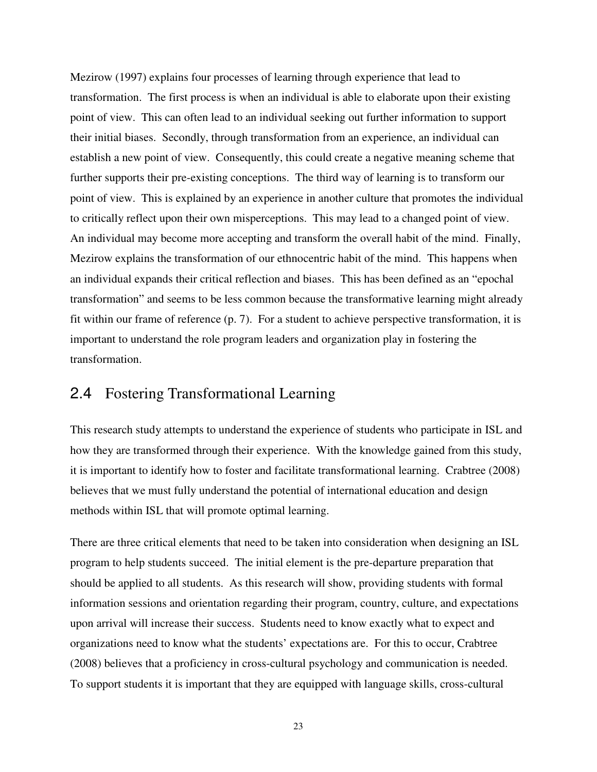Mezirow (1997) explains four processes of learning through experience that lead to transformation. The first process is when an individual is able to elaborate upon their existing point of view. This can often lead to an individual seeking out further information to support their initial biases. Secondly, through transformation from an experience, an individual can establish a new point of view. Consequently, this could create a negative meaning scheme that further supports their pre-existing conceptions. The third way of learning is to transform our point of view. This is explained by an experience in another culture that promotes the individual to critically reflect upon their own misperceptions. This may lead to a changed point of view. An individual may become more accepting and transform the overall habit of the mind. Finally, Mezirow explains the transformation of our ethnocentric habit of the mind. This happens when an individual expands their critical reflection and biases. This has been defined as an "epochal transformation" and seems to be less common because the transformative learning might already fit within our frame of reference (p. 7). For a student to achieve perspective transformation, it is important to understand the role program leaders and organization play in fostering the transformation.

### 2.4 Fostering Transformational Learning

This research study attempts to understand the experience of students who participate in ISL and how they are transformed through their experience. With the knowledge gained from this study, it is important to identify how to foster and facilitate transformational learning. Crabtree (2008) believes that we must fully understand the potential of international education and design methods within ISL that will promote optimal learning.

There are three critical elements that need to be taken into consideration when designing an ISL program to help students succeed. The initial element is the pre-departure preparation that should be applied to all students. As this research will show, providing students with formal information sessions and orientation regarding their program, country, culture, and expectations upon arrival will increase their success. Students need to know exactly what to expect and organizations need to know what the students' expectations are. For this to occur, Crabtree (2008) believes that a proficiency in cross-cultural psychology and communication is needed. To support students it is important that they are equipped with language skills, cross-cultural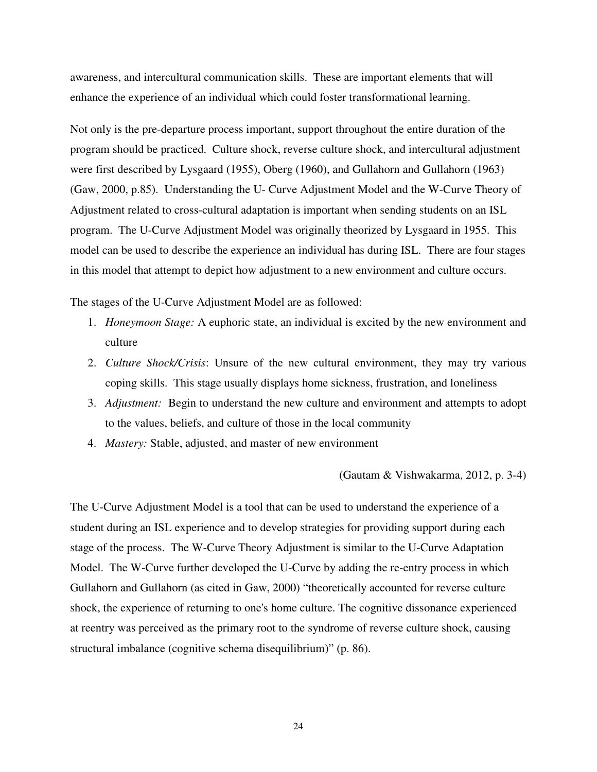awareness, and intercultural communication skills. These are important elements that will enhance the experience of an individual which could foster transformational learning.

Not only is the pre-departure process important, support throughout the entire duration of the program should be practiced. Culture shock, reverse culture shock, and intercultural adjustment were first described by Lysgaard (1955), Oberg (1960), and Gullahorn and Gullahorn (1963) (Gaw, 2000, p.85). Understanding the U- Curve Adjustment Model and the W-Curve Theory of Adjustment related to cross-cultural adaptation is important when sending students on an ISL program. The U-Curve Adjustment Model was originally theorized by Lysgaard in 1955. This model can be used to describe the experience an individual has during ISL. There are four stages in this model that attempt to depict how adjustment to a new environment and culture occurs.

The stages of the U-Curve Adjustment Model are as followed:

- 1. *Honeymoon Stage:* A euphoric state, an individual is excited by the new environment and culture
- 2. *Culture Shock/Crisis*: Unsure of the new cultural environment, they may try various coping skills. This stage usually displays home sickness, frustration, and loneliness
- 3. *Adjustment:* Begin to understand the new culture and environment and attempts to adopt to the values, beliefs, and culture of those in the local community
- 4. *Mastery:* Stable, adjusted, and master of new environment

(Gautam & Vishwakarma, 2012, p. 3-4)

The U-Curve Adjustment Model is a tool that can be used to understand the experience of a student during an ISL experience and to develop strategies for providing support during each stage of the process. The W-Curve Theory Adjustment is similar to the U-Curve Adaptation Model. The W-Curve further developed the U-Curve by adding the re-entry process in which Gullahorn and Gullahorn (as cited in Gaw, 2000) "theoretically accounted for reverse culture shock, the experience of returning to one's home culture. The cognitive dissonance experienced at reentry was perceived as the primary root to the syndrome of reverse culture shock, causing structural imbalance (cognitive schema disequilibrium)" (p. 86).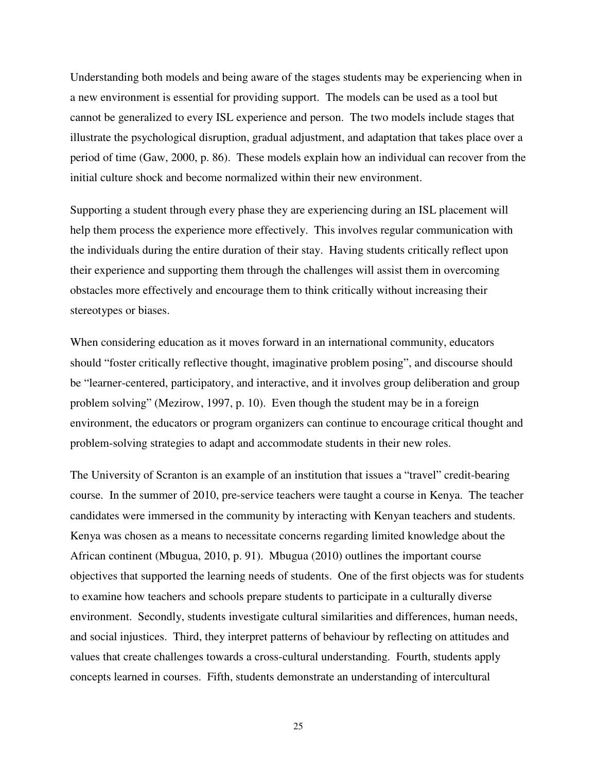Understanding both models and being aware of the stages students may be experiencing when in a new environment is essential for providing support. The models can be used as a tool but cannot be generalized to every ISL experience and person. The two models include stages that illustrate the psychological disruption, gradual adjustment, and adaptation that takes place over a period of time (Gaw, 2000, p. 86). These models explain how an individual can recover from the initial culture shock and become normalized within their new environment.

Supporting a student through every phase they are experiencing during an ISL placement will help them process the experience more effectively. This involves regular communication with the individuals during the entire duration of their stay. Having students critically reflect upon their experience and supporting them through the challenges will assist them in overcoming obstacles more effectively and encourage them to think critically without increasing their stereotypes or biases.

When considering education as it moves forward in an international community, educators should "foster critically reflective thought, imaginative problem posing", and discourse should be "learner-centered, participatory, and interactive, and it involves group deliberation and group problem solving" (Mezirow, 1997, p. 10). Even though the student may be in a foreign environment, the educators or program organizers can continue to encourage critical thought and problem-solving strategies to adapt and accommodate students in their new roles.

The University of Scranton is an example of an institution that issues a "travel" credit-bearing course. In the summer of 2010, pre-service teachers were taught a course in Kenya. The teacher candidates were immersed in the community by interacting with Kenyan teachers and students. Kenya was chosen as a means to necessitate concerns regarding limited knowledge about the African continent (Mbugua, 2010, p. 91). Mbugua (2010) outlines the important course objectives that supported the learning needs of students. One of the first objects was for students to examine how teachers and schools prepare students to participate in a culturally diverse environment. Secondly, students investigate cultural similarities and differences, human needs, and social injustices. Third, they interpret patterns of behaviour by reflecting on attitudes and values that create challenges towards a cross-cultural understanding. Fourth, students apply concepts learned in courses. Fifth, students demonstrate an understanding of intercultural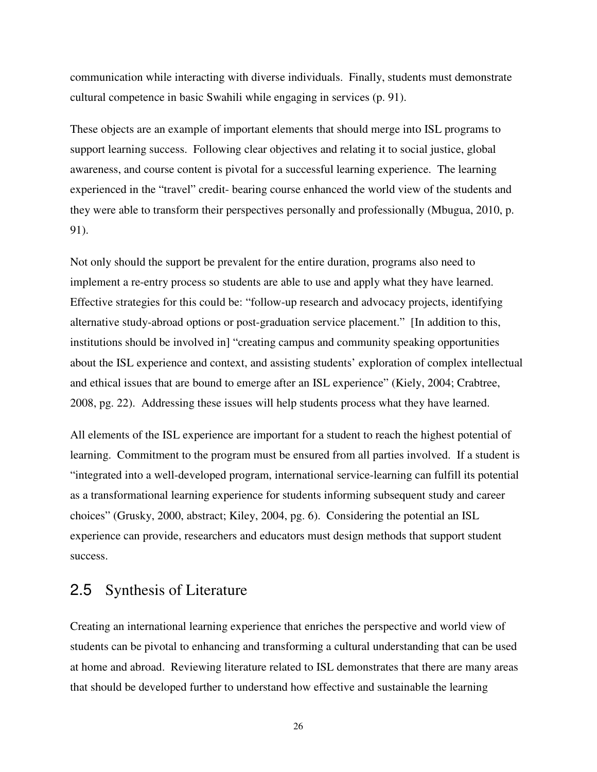communication while interacting with diverse individuals. Finally, students must demonstrate cultural competence in basic Swahili while engaging in services (p. 91).

These objects are an example of important elements that should merge into ISL programs to support learning success. Following clear objectives and relating it to social justice, global awareness, and course content is pivotal for a successful learning experience. The learning experienced in the "travel" credit- bearing course enhanced the world view of the students and they were able to transform their perspectives personally and professionally (Mbugua, 2010, p. 91).

Not only should the support be prevalent for the entire duration, programs also need to implement a re-entry process so students are able to use and apply what they have learned. Effective strategies for this could be: "follow-up research and advocacy projects, identifying alternative study-abroad options or post-graduation service placement." [In addition to this, institutions should be involved in] "creating campus and community speaking opportunities about the ISL experience and context, and assisting students' exploration of complex intellectual and ethical issues that are bound to emerge after an ISL experience" (Kiely, 2004; Crabtree, 2008, pg. 22). Addressing these issues will help students process what they have learned.

All elements of the ISL experience are important for a student to reach the highest potential of learning. Commitment to the program must be ensured from all parties involved. If a student is "integrated into a well-developed program, international service-learning can fulfill its potential as a transformational learning experience for students informing subsequent study and career choices" (Grusky, 2000, abstract; Kiley, 2004, pg. 6). Considering the potential an ISL experience can provide, researchers and educators must design methods that support student success.

#### 2.5 Synthesis of Literature

Creating an international learning experience that enriches the perspective and world view of students can be pivotal to enhancing and transforming a cultural understanding that can be used at home and abroad. Reviewing literature related to ISL demonstrates that there are many areas that should be developed further to understand how effective and sustainable the learning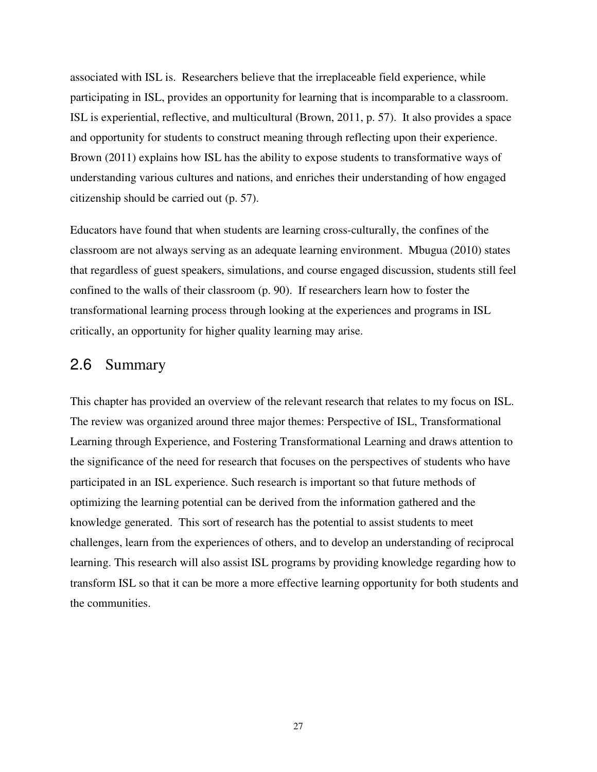associated with ISL is. Researchers believe that the irreplaceable field experience, while participating in ISL, provides an opportunity for learning that is incomparable to a classroom. ISL is experiential, reflective, and multicultural (Brown, 2011, p. 57). It also provides a space and opportunity for students to construct meaning through reflecting upon their experience. Brown (2011) explains how ISL has the ability to expose students to transformative ways of understanding various cultures and nations, and enriches their understanding of how engaged citizenship should be carried out (p. 57).

Educators have found that when students are learning cross-culturally, the confines of the classroom are not always serving as an adequate learning environment. Mbugua (2010) states that regardless of guest speakers, simulations, and course engaged discussion, students still feel confined to the walls of their classroom (p. 90). If researchers learn how to foster the transformational learning process through looking at the experiences and programs in ISL critically, an opportunity for higher quality learning may arise.

### 2.6 Summary

This chapter has provided an overview of the relevant research that relates to my focus on ISL. The review was organized around three major themes: Perspective of ISL, Transformational Learning through Experience, and Fostering Transformational Learning and draws attention to the significance of the need for research that focuses on the perspectives of students who have participated in an ISL experience. Such research is important so that future methods of optimizing the learning potential can be derived from the information gathered and the knowledge generated. This sort of research has the potential to assist students to meet challenges, learn from the experiences of others, and to develop an understanding of reciprocal learning. This research will also assist ISL programs by providing knowledge regarding how to transform ISL so that it can be more a more effective learning opportunity for both students and the communities.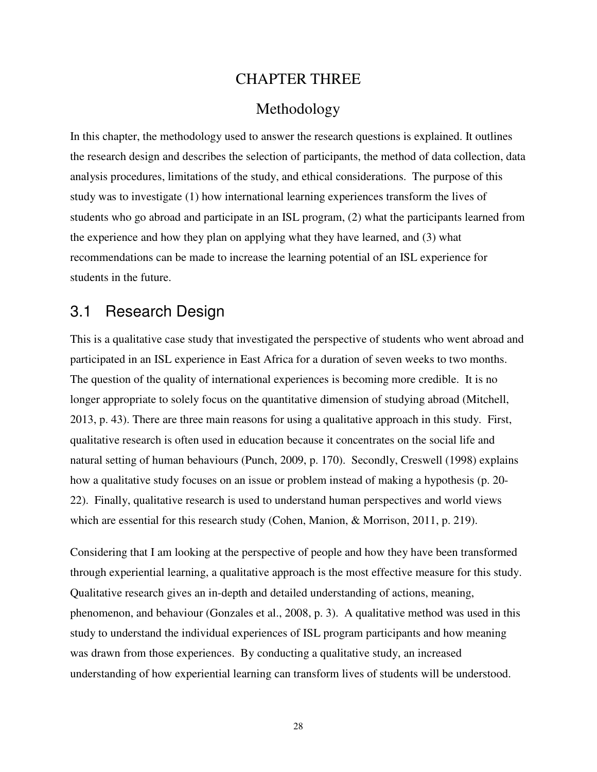### CHAPTER THREE

## Methodology

In this chapter, the methodology used to answer the research questions is explained. It outlines the research design and describes the selection of participants, the method of data collection, data analysis procedures, limitations of the study, and ethical considerations. The purpose of this study was to investigate (1) how international learning experiences transform the lives of students who go abroad and participate in an ISL program, (2) what the participants learned from the experience and how they plan on applying what they have learned, and (3) what recommendations can be made to increase the learning potential of an ISL experience for students in the future.

## 3.1 Research Design

This is a qualitative case study that investigated the perspective of students who went abroad and participated in an ISL experience in East Africa for a duration of seven weeks to two months. The question of the quality of international experiences is becoming more credible. It is no longer appropriate to solely focus on the quantitative dimension of studying abroad (Mitchell, 2013, p. 43). There are three main reasons for using a qualitative approach in this study. First, qualitative research is often used in education because it concentrates on the social life and natural setting of human behaviours (Punch, 2009, p. 170). Secondly, Creswell (1998) explains how a qualitative study focuses on an issue or problem instead of making a hypothesis (p. 20- 22). Finally, qualitative research is used to understand human perspectives and world views which are essential for this research study (Cohen, Manion, & Morrison, 2011, p. 219).

Considering that I am looking at the perspective of people and how they have been transformed through experiential learning, a qualitative approach is the most effective measure for this study. Qualitative research gives an in-depth and detailed understanding of actions, meaning, phenomenon, and behaviour (Gonzales et al., 2008, p. 3). A qualitative method was used in this study to understand the individual experiences of ISL program participants and how meaning was drawn from those experiences. By conducting a qualitative study, an increased understanding of how experiential learning can transform lives of students will be understood.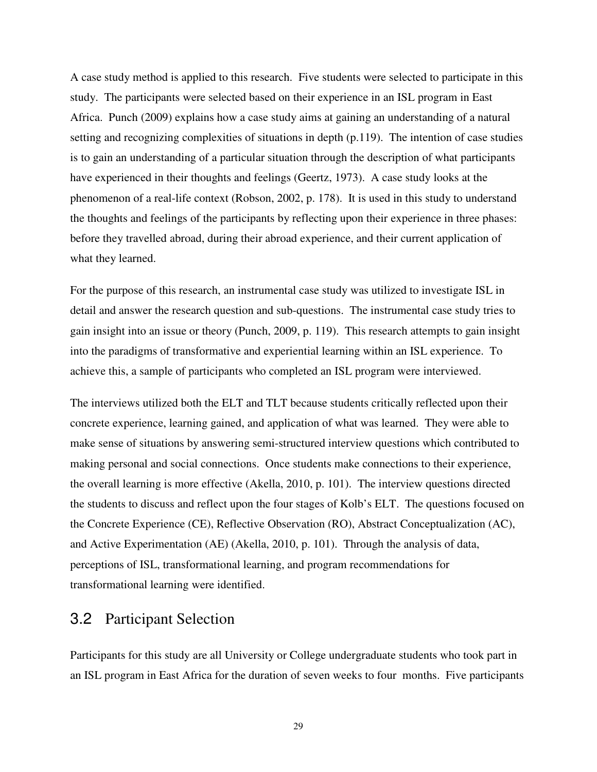A case study method is applied to this research. Five students were selected to participate in this study. The participants were selected based on their experience in an ISL program in East Africa. Punch (2009) explains how a case study aims at gaining an understanding of a natural setting and recognizing complexities of situations in depth (p.119). The intention of case studies is to gain an understanding of a particular situation through the description of what participants have experienced in their thoughts and feelings (Geertz, 1973). A case study looks at the phenomenon of a real-life context (Robson, 2002, p. 178). It is used in this study to understand the thoughts and feelings of the participants by reflecting upon their experience in three phases: before they travelled abroad, during their abroad experience, and their current application of what they learned.

For the purpose of this research, an instrumental case study was utilized to investigate ISL in detail and answer the research question and sub-questions. The instrumental case study tries to gain insight into an issue or theory (Punch, 2009, p. 119). This research attempts to gain insight into the paradigms of transformative and experiential learning within an ISL experience. To achieve this, a sample of participants who completed an ISL program were interviewed.

The interviews utilized both the ELT and TLT because students critically reflected upon their concrete experience, learning gained, and application of what was learned. They were able to make sense of situations by answering semi-structured interview questions which contributed to making personal and social connections. Once students make connections to their experience, the overall learning is more effective (Akella, 2010, p. 101). The interview questions directed the students to discuss and reflect upon the four stages of Kolb's ELT. The questions focused on the Concrete Experience (CE), Reflective Observation (RO), Abstract Conceptualization (AC), and Active Experimentation (AE) (Akella, 2010, p. 101). Through the analysis of data, perceptions of ISL, transformational learning, and program recommendations for transformational learning were identified.

### 3.2 Participant Selection

Participants for this study are all University or College undergraduate students who took part in an ISL program in East Africa for the duration of seven weeks to four months. Five participants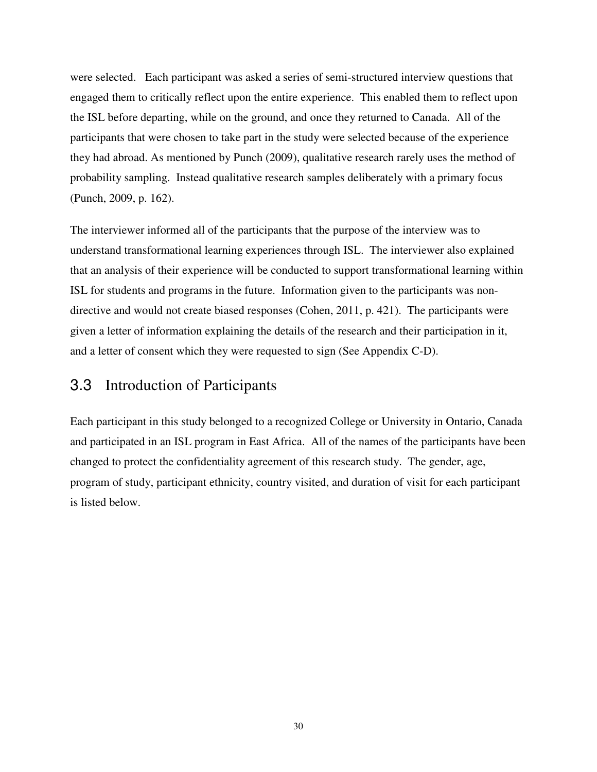were selected. Each participant was asked a series of semi-structured interview questions that engaged them to critically reflect upon the entire experience. This enabled them to reflect upon the ISL before departing, while on the ground, and once they returned to Canada. All of the participants that were chosen to take part in the study were selected because of the experience they had abroad. As mentioned by Punch (2009), qualitative research rarely uses the method of probability sampling. Instead qualitative research samples deliberately with a primary focus (Punch, 2009, p. 162).

The interviewer informed all of the participants that the purpose of the interview was to understand transformational learning experiences through ISL. The interviewer also explained that an analysis of their experience will be conducted to support transformational learning within ISL for students and programs in the future. Information given to the participants was nondirective and would not create biased responses (Cohen, 2011, p. 421). The participants were given a letter of information explaining the details of the research and their participation in it, and a letter of consent which they were requested to sign (See Appendix C-D).

### 3.3 Introduction of Participants

Each participant in this study belonged to a recognized College or University in Ontario, Canada and participated in an ISL program in East Africa. All of the names of the participants have been changed to protect the confidentiality agreement of this research study. The gender, age, program of study, participant ethnicity, country visited, and duration of visit for each participant is listed below.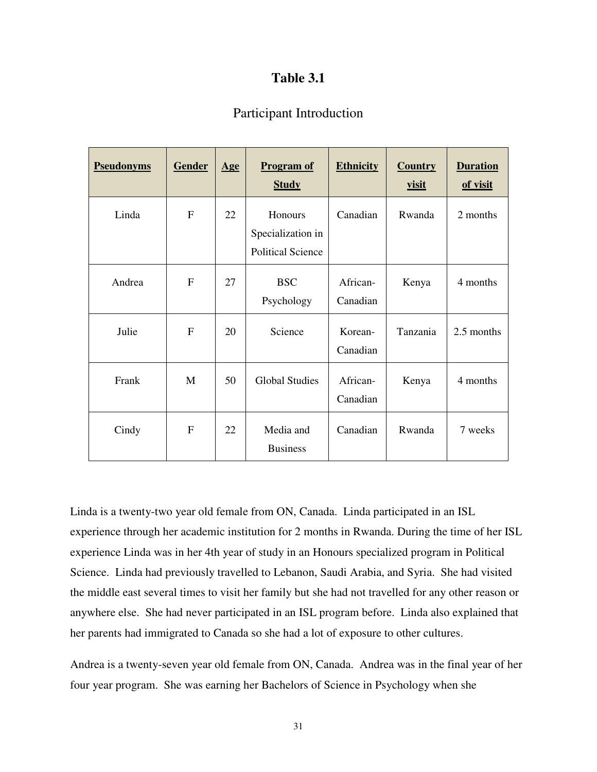#### **Table 3.1**

### Participant Introduction

| <b>Pseudonyms</b> | <b>Gender</b>  | <b>Age</b> | <b>Program of</b><br><b>Study</b>                        | <b>Ethnicity</b>     | <b>Country</b><br><u>visit</u> | <b>Duration</b><br>of visit |
|-------------------|----------------|------------|----------------------------------------------------------|----------------------|--------------------------------|-----------------------------|
| Linda             | $\mathbf{F}$   | 22         | Honours<br>Specialization in<br><b>Political Science</b> | Canadian             | Rwanda                         | 2 months                    |
| Andrea            | $\mathbf{F}$   | 27         | <b>BSC</b><br>Psychology                                 | African-<br>Canadian | Kenya                          | 4 months                    |
| Julie             | F              | 20         | Science                                                  | Korean-<br>Canadian  | Tanzania                       | 2.5 months                  |
| Frank             | M              | 50         | <b>Global Studies</b>                                    | African-<br>Canadian | Kenya                          | 4 months                    |
| Cindy             | $\overline{F}$ | 22         | Media and<br><b>Business</b>                             | Canadian             | Rwanda                         | 7 weeks                     |

Linda is a twenty-two year old female from ON, Canada. Linda participated in an ISL experience through her academic institution for 2 months in Rwanda. During the time of her ISL experience Linda was in her 4th year of study in an Honours specialized program in Political Science. Linda had previously travelled to Lebanon, Saudi Arabia, and Syria. She had visited the middle east several times to visit her family but she had not travelled for any other reason or anywhere else. She had never participated in an ISL program before. Linda also explained that her parents had immigrated to Canada so she had a lot of exposure to other cultures.

Andrea is a twenty-seven year old female from ON, Canada. Andrea was in the final year of her four year program. She was earning her Bachelors of Science in Psychology when she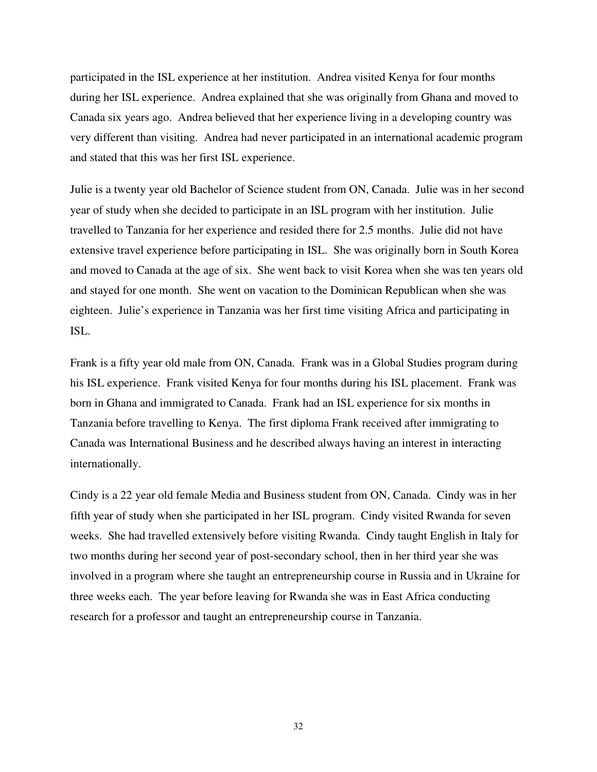participated in the ISL experience at her institution. Andrea visited Kenya for four months during her ISL experience. Andrea explained that she was originally from Ghana and moved to Canada six years ago. Andrea believed that her experience living in a developing country was very different than visiting. Andrea had never participated in an international academic program and stated that this was her first ISL experience.

Julie is a twenty year old Bachelor of Science student from ON, Canada. Julie was in her second year of study when she decided to participate in an ISL program with her institution. Julie travelled to Tanzania for her experience and resided there for 2.5 months. Julie did not have extensive travel experience before participating in ISL. She was originally born in South Korea and moved to Canada at the age of six. She went back to visit Korea when she was ten years old and stayed for one month. She went on vacation to the Dominican Republican when she was eighteen. Julie's experience in Tanzania was her first time visiting Africa and participating in ISL.

Frank is a fifty year old male from ON, Canada. Frank was in a Global Studies program during his ISL experience. Frank visited Kenya for four months during his ISL placement. Frank was born in Ghana and immigrated to Canada. Frank had an ISL experience for six months in Tanzania before travelling to Kenya. The first diploma Frank received after immigrating to Canada was International Business and he described always having an interest in interacting internationally.

Cindy is a 22 year old female Media and Business student from ON, Canada. Cindy was in her fifth year of study when she participated in her ISL program. Cindy visited Rwanda for seven weeks. She had travelled extensively before visiting Rwanda. Cindy taught English in Italy for two months during her second year of post-secondary school, then in her third year she was involved in a program where she taught an entrepreneurship course in Russia and in Ukraine for three weeks each. The year before leaving for Rwanda she was in East Africa conducting research for a professor and taught an entrepreneurship course in Tanzania.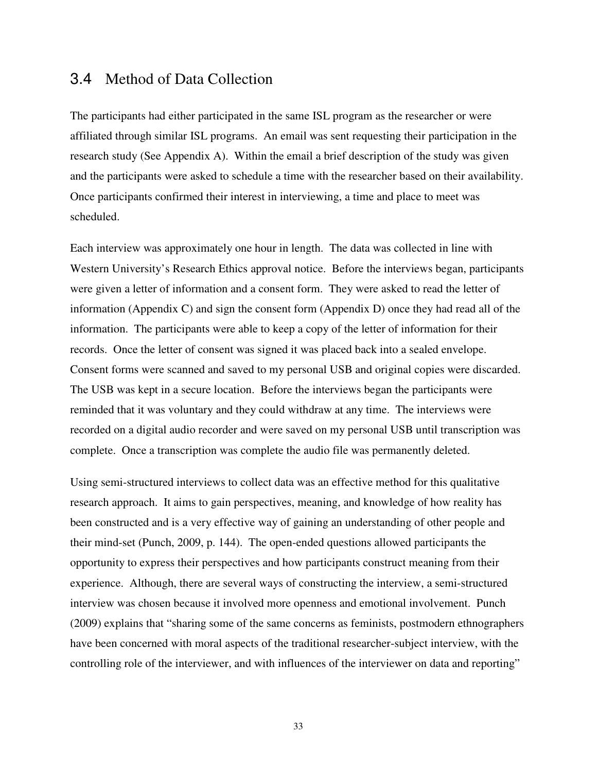### 3.4 Method of Data Collection

The participants had either participated in the same ISL program as the researcher or were affiliated through similar ISL programs. An email was sent requesting their participation in the research study (See Appendix A). Within the email a brief description of the study was given and the participants were asked to schedule a time with the researcher based on their availability. Once participants confirmed their interest in interviewing, a time and place to meet was scheduled.

Each interview was approximately one hour in length. The data was collected in line with Western University's Research Ethics approval notice. Before the interviews began, participants were given a letter of information and a consent form. They were asked to read the letter of information (Appendix C) and sign the consent form (Appendix D) once they had read all of the information. The participants were able to keep a copy of the letter of information for their records. Once the letter of consent was signed it was placed back into a sealed envelope. Consent forms were scanned and saved to my personal USB and original copies were discarded. The USB was kept in a secure location. Before the interviews began the participants were reminded that it was voluntary and they could withdraw at any time. The interviews were recorded on a digital audio recorder and were saved on my personal USB until transcription was complete. Once a transcription was complete the audio file was permanently deleted.

Using semi-structured interviews to collect data was an effective method for this qualitative research approach. It aims to gain perspectives, meaning, and knowledge of how reality has been constructed and is a very effective way of gaining an understanding of other people and their mind-set (Punch, 2009, p. 144). The open-ended questions allowed participants the opportunity to express their perspectives and how participants construct meaning from their experience. Although, there are several ways of constructing the interview, a semi-structured interview was chosen because it involved more openness and emotional involvement. Punch (2009) explains that "sharing some of the same concerns as feminists, postmodern ethnographers have been concerned with moral aspects of the traditional researcher-subject interview, with the controlling role of the interviewer, and with influences of the interviewer on data and reporting"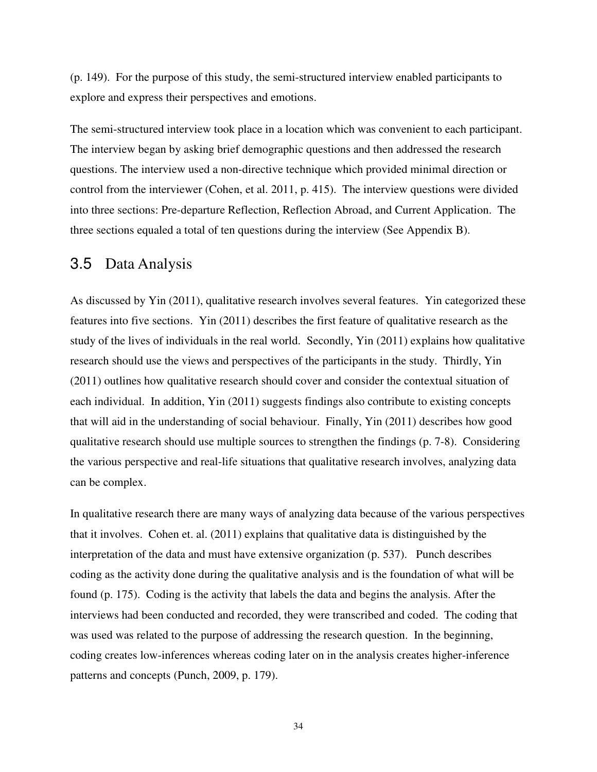(p. 149). For the purpose of this study, the semi-structured interview enabled participants to explore and express their perspectives and emotions.

The semi-structured interview took place in a location which was convenient to each participant. The interview began by asking brief demographic questions and then addressed the research questions. The interview used a non-directive technique which provided minimal direction or control from the interviewer (Cohen, et al. 2011, p. 415). The interview questions were divided into three sections: Pre-departure Reflection, Reflection Abroad, and Current Application. The three sections equaled a total of ten questions during the interview (See Appendix B).

### 3.5 Data Analysis

As discussed by Yin (2011), qualitative research involves several features. Yin categorized these features into five sections. Yin (2011) describes the first feature of qualitative research as the study of the lives of individuals in the real world. Secondly, Yin (2011) explains how qualitative research should use the views and perspectives of the participants in the study. Thirdly, Yin (2011) outlines how qualitative research should cover and consider the contextual situation of each individual. In addition, Yin (2011) suggests findings also contribute to existing concepts that will aid in the understanding of social behaviour. Finally, Yin (2011) describes how good qualitative research should use multiple sources to strengthen the findings (p. 7-8). Considering the various perspective and real-life situations that qualitative research involves, analyzing data can be complex.

In qualitative research there are many ways of analyzing data because of the various perspectives that it involves. Cohen et. al. (2011) explains that qualitative data is distinguished by the interpretation of the data and must have extensive organization (p. 537). Punch describes coding as the activity done during the qualitative analysis and is the foundation of what will be found (p. 175). Coding is the activity that labels the data and begins the analysis. After the interviews had been conducted and recorded, they were transcribed and coded. The coding that was used was related to the purpose of addressing the research question. In the beginning, coding creates low-inferences whereas coding later on in the analysis creates higher-inference patterns and concepts (Punch, 2009, p. 179).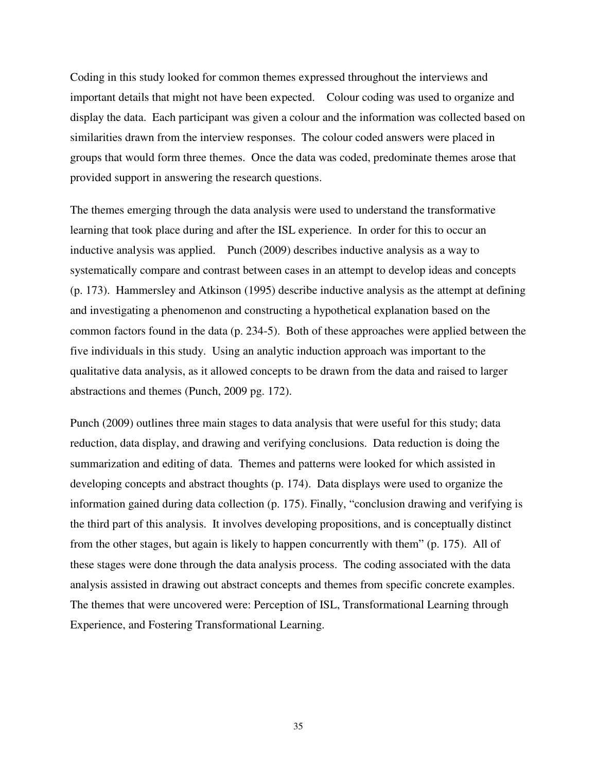Coding in this study looked for common themes expressed throughout the interviews and important details that might not have been expected. Colour coding was used to organize and display the data. Each participant was given a colour and the information was collected based on similarities drawn from the interview responses. The colour coded answers were placed in groups that would form three themes. Once the data was coded, predominate themes arose that provided support in answering the research questions.

The themes emerging through the data analysis were used to understand the transformative learning that took place during and after the ISL experience. In order for this to occur an inductive analysis was applied. Punch (2009) describes inductive analysis as a way to systematically compare and contrast between cases in an attempt to develop ideas and concepts (p. 173). Hammersley and Atkinson (1995) describe inductive analysis as the attempt at defining and investigating a phenomenon and constructing a hypothetical explanation based on the common factors found in the data (p. 234-5). Both of these approaches were applied between the five individuals in this study. Using an analytic induction approach was important to the qualitative data analysis, as it allowed concepts to be drawn from the data and raised to larger abstractions and themes (Punch, 2009 pg. 172).

Punch (2009) outlines three main stages to data analysis that were useful for this study; data reduction, data display, and drawing and verifying conclusions. Data reduction is doing the summarization and editing of data. Themes and patterns were looked for which assisted in developing concepts and abstract thoughts (p. 174). Data displays were used to organize the information gained during data collection (p. 175). Finally, "conclusion drawing and verifying is the third part of this analysis. It involves developing propositions, and is conceptually distinct from the other stages, but again is likely to happen concurrently with them" (p. 175). All of these stages were done through the data analysis process. The coding associated with the data analysis assisted in drawing out abstract concepts and themes from specific concrete examples. The themes that were uncovered were: Perception of ISL, Transformational Learning through Experience, and Fostering Transformational Learning.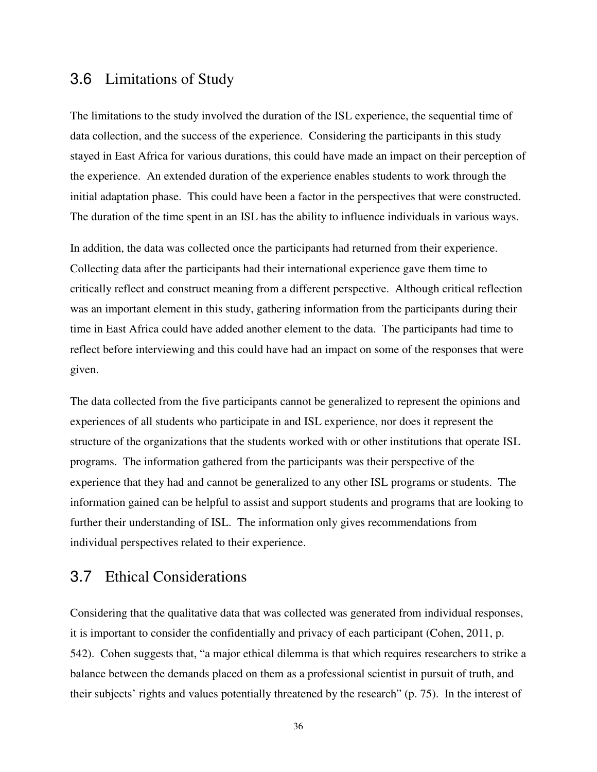### 3.6 Limitations of Study

The limitations to the study involved the duration of the ISL experience, the sequential time of data collection, and the success of the experience. Considering the participants in this study stayed in East Africa for various durations, this could have made an impact on their perception of the experience. An extended duration of the experience enables students to work through the initial adaptation phase. This could have been a factor in the perspectives that were constructed. The duration of the time spent in an ISL has the ability to influence individuals in various ways.

In addition, the data was collected once the participants had returned from their experience. Collecting data after the participants had their international experience gave them time to critically reflect and construct meaning from a different perspective. Although critical reflection was an important element in this study, gathering information from the participants during their time in East Africa could have added another element to the data. The participants had time to reflect before interviewing and this could have had an impact on some of the responses that were given.

The data collected from the five participants cannot be generalized to represent the opinions and experiences of all students who participate in and ISL experience, nor does it represent the structure of the organizations that the students worked with or other institutions that operate ISL programs. The information gathered from the participants was their perspective of the experience that they had and cannot be generalized to any other ISL programs or students. The information gained can be helpful to assist and support students and programs that are looking to further their understanding of ISL. The information only gives recommendations from individual perspectives related to their experience.

### 3.7 Ethical Considerations

Considering that the qualitative data that was collected was generated from individual responses, it is important to consider the confidentially and privacy of each participant (Cohen, 2011, p. 542). Cohen suggests that, "a major ethical dilemma is that which requires researchers to strike a balance between the demands placed on them as a professional scientist in pursuit of truth, and their subjects' rights and values potentially threatened by the research" (p. 75). In the interest of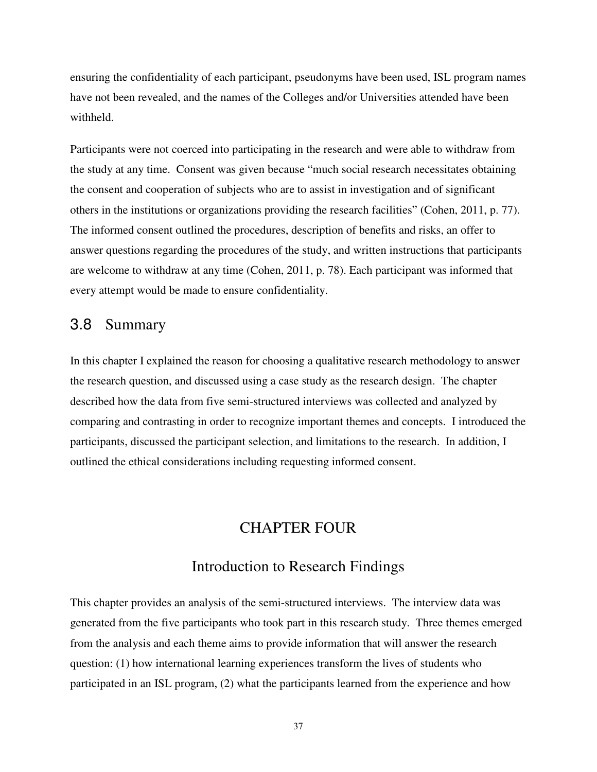ensuring the confidentiality of each participant, pseudonyms have been used, ISL program names have not been revealed, and the names of the Colleges and/or Universities attended have been withheld.

Participants were not coerced into participating in the research and were able to withdraw from the study at any time. Consent was given because "much social research necessitates obtaining the consent and cooperation of subjects who are to assist in investigation and of significant others in the institutions or organizations providing the research facilities" (Cohen, 2011, p. 77). The informed consent outlined the procedures, description of benefits and risks, an offer to answer questions regarding the procedures of the study, and written instructions that participants are welcome to withdraw at any time (Cohen, 2011, p. 78). Each participant was informed that every attempt would be made to ensure confidentiality.

### 3.8 Summary

In this chapter I explained the reason for choosing a qualitative research methodology to answer the research question, and discussed using a case study as the research design. The chapter described how the data from five semi-structured interviews was collected and analyzed by comparing and contrasting in order to recognize important themes and concepts. I introduced the participants, discussed the participant selection, and limitations to the research. In addition, I outlined the ethical considerations including requesting informed consent.

#### CHAPTER FOUR

### Introduction to Research Findings

This chapter provides an analysis of the semi-structured interviews. The interview data was generated from the five participants who took part in this research study. Three themes emerged from the analysis and each theme aims to provide information that will answer the research question: (1) how international learning experiences transform the lives of students who participated in an ISL program, (2) what the participants learned from the experience and how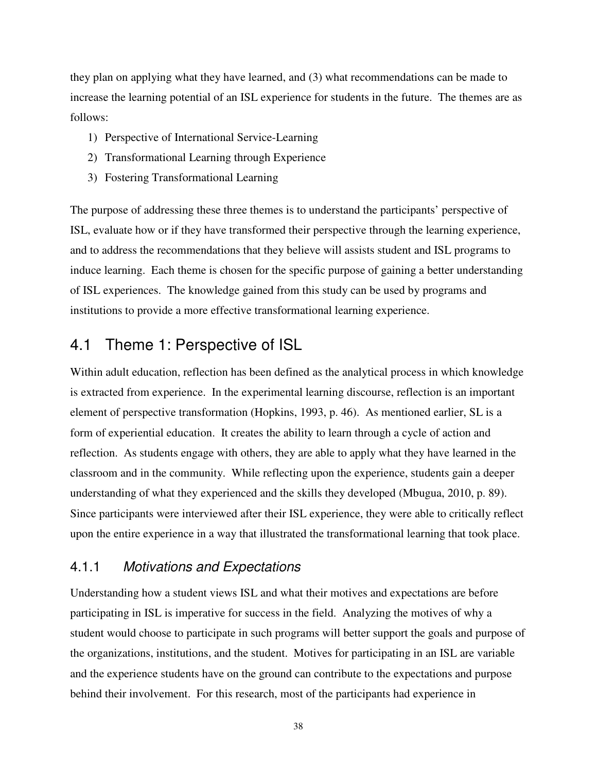they plan on applying what they have learned, and (3) what recommendations can be made to increase the learning potential of an ISL experience for students in the future. The themes are as follows:

- 1) Perspective of International Service-Learning
- 2) Transformational Learning through Experience
- 3) Fostering Transformational Learning

The purpose of addressing these three themes is to understand the participants' perspective of ISL, evaluate how or if they have transformed their perspective through the learning experience, and to address the recommendations that they believe will assists student and ISL programs to induce learning. Each theme is chosen for the specific purpose of gaining a better understanding of ISL experiences. The knowledge gained from this study can be used by programs and institutions to provide a more effective transformational learning experience.

# 4.1 Theme 1: Perspective of ISL

Within adult education, reflection has been defined as the analytical process in which knowledge is extracted from experience. In the experimental learning discourse, reflection is an important element of perspective transformation (Hopkins, 1993, p. 46). As mentioned earlier, SL is a form of experiential education. It creates the ability to learn through a cycle of action and reflection. As students engage with others, they are able to apply what they have learned in the classroom and in the community. While reflecting upon the experience, students gain a deeper understanding of what they experienced and the skills they developed (Mbugua, 2010, p. 89). Since participants were interviewed after their ISL experience, they were able to critically reflect upon the entire experience in a way that illustrated the transformational learning that took place.

### 4.1.1 Motivations and Expectations

Understanding how a student views ISL and what their motives and expectations are before participating in ISL is imperative for success in the field. Analyzing the motives of why a student would choose to participate in such programs will better support the goals and purpose of the organizations, institutions, and the student. Motives for participating in an ISL are variable and the experience students have on the ground can contribute to the expectations and purpose behind their involvement. For this research, most of the participants had experience in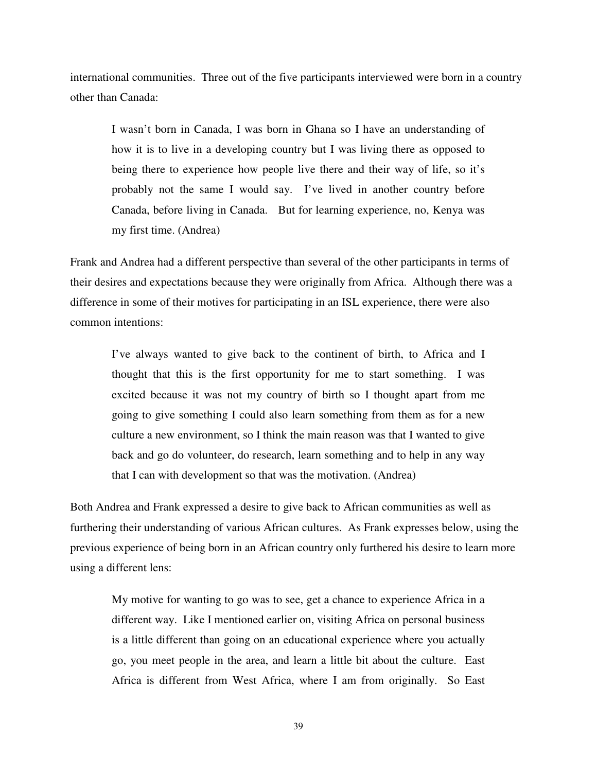international communities. Three out of the five participants interviewed were born in a country other than Canada:

I wasn't born in Canada, I was born in Ghana so I have an understanding of how it is to live in a developing country but I was living there as opposed to being there to experience how people live there and their way of life, so it's probably not the same I would say. I've lived in another country before Canada, before living in Canada. But for learning experience, no, Kenya was my first time. (Andrea)

Frank and Andrea had a different perspective than several of the other participants in terms of their desires and expectations because they were originally from Africa. Although there was a difference in some of their motives for participating in an ISL experience, there were also common intentions:

I've always wanted to give back to the continent of birth, to Africa and I thought that this is the first opportunity for me to start something. I was excited because it was not my country of birth so I thought apart from me going to give something I could also learn something from them as for a new culture a new environment, so I think the main reason was that I wanted to give back and go do volunteer, do research, learn something and to help in any way that I can with development so that was the motivation. (Andrea)

Both Andrea and Frank expressed a desire to give back to African communities as well as furthering their understanding of various African cultures. As Frank expresses below, using the previous experience of being born in an African country only furthered his desire to learn more using a different lens:

My motive for wanting to go was to see, get a chance to experience Africa in a different way. Like I mentioned earlier on, visiting Africa on personal business is a little different than going on an educational experience where you actually go, you meet people in the area, and learn a little bit about the culture. East Africa is different from West Africa, where I am from originally. So East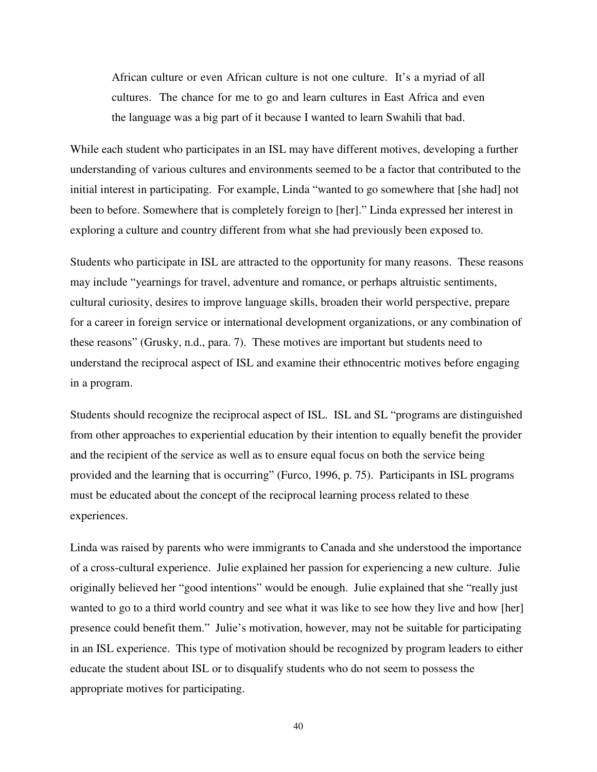African culture or even African culture is not one culture. It's a myriad of all cultures. The chance for me to go and learn cultures in East Africa and even the language was a big part of it because I wanted to learn Swahili that bad.

While each student who participates in an ISL may have different motives, developing a further understanding of various cultures and environments seemed to be a factor that contributed to the initial interest in participating. For example, Linda "wanted to go somewhere that [she had] not been to before. Somewhere that is completely foreign to [her]." Linda expressed her interest in exploring a culture and country different from what she had previously been exposed to.

Students who participate in ISL are attracted to the opportunity for many reasons. These reasons may include "yearnings for travel, adventure and romance, or perhaps altruistic sentiments, cultural curiosity, desires to improve language skills, broaden their world perspective, prepare for a career in foreign service or international development organizations, or any combination of these reasons" (Grusky, n.d., para. 7). These motives are important but students need to understand the reciprocal aspect of ISL and examine their ethnocentric motives before engaging in a program.

Students should recognize the reciprocal aspect of ISL. ISL and SL "programs are distinguished from other approaches to experiential education by their intention to equally benefit the provider and the recipient of the service as well as to ensure equal focus on both the service being provided and the learning that is occurring" (Furco, 1996, p. 75). Participants in ISL programs must be educated about the concept of the reciprocal learning process related to these experiences.

Linda was raised by parents who were immigrants to Canada and she understood the importance of a cross-cultural experience. Julie explained her passion for experiencing a new culture. Julie originally believed her "good intentions" would be enough. Julie explained that she "really just wanted to go to a third world country and see what it was like to see how they live and how [her] presence could benefit them." Julie's motivation, however, may not be suitable for participating in an ISL experience. This type of motivation should be recognized by program leaders to either educate the student about ISL or to disqualify students who do not seem to possess the appropriate motives for participating.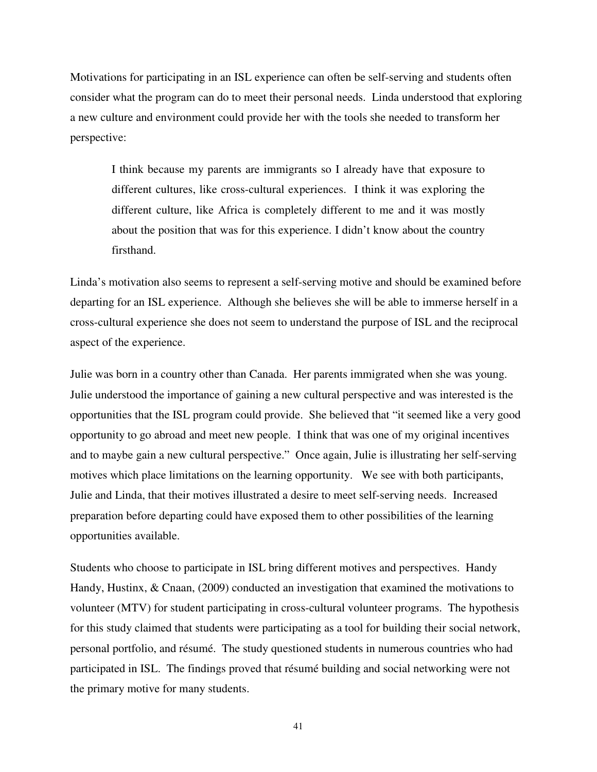Motivations for participating in an ISL experience can often be self-serving and students often consider what the program can do to meet their personal needs. Linda understood that exploring a new culture and environment could provide her with the tools she needed to transform her perspective:

I think because my parents are immigrants so I already have that exposure to different cultures, like cross-cultural experiences. I think it was exploring the different culture, like Africa is completely different to me and it was mostly about the position that was for this experience. I didn't know about the country firsthand.

Linda's motivation also seems to represent a self-serving motive and should be examined before departing for an ISL experience. Although she believes she will be able to immerse herself in a cross-cultural experience she does not seem to understand the purpose of ISL and the reciprocal aspect of the experience.

Julie was born in a country other than Canada. Her parents immigrated when she was young. Julie understood the importance of gaining a new cultural perspective and was interested is the opportunities that the ISL program could provide. She believed that "it seemed like a very good opportunity to go abroad and meet new people. I think that was one of my original incentives and to maybe gain a new cultural perspective." Once again, Julie is illustrating her self-serving motives which place limitations on the learning opportunity. We see with both participants, Julie and Linda, that their motives illustrated a desire to meet self-serving needs. Increased preparation before departing could have exposed them to other possibilities of the learning opportunities available.

Students who choose to participate in ISL bring different motives and perspectives. Handy Handy, Hustinx, & Cnaan, (2009) conducted an investigation that examined the motivations to volunteer (MTV) for student participating in cross-cultural volunteer programs. The hypothesis for this study claimed that students were participating as a tool for building their social network, personal portfolio, and résumé. The study questioned students in numerous countries who had participated in ISL. The findings proved that résumé building and social networking were not the primary motive for many students.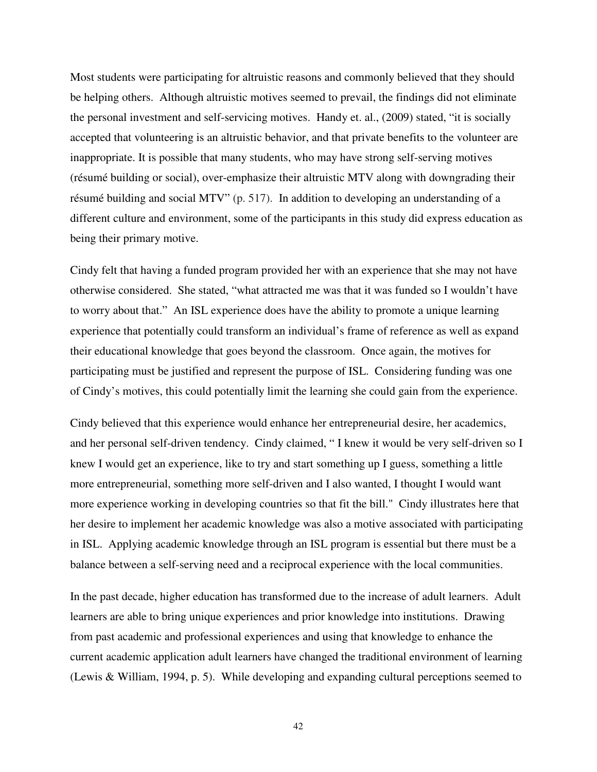Most students were participating for altruistic reasons and commonly believed that they should be helping others. Although altruistic motives seemed to prevail, the findings did not eliminate the personal investment and self-servicing motives. Handy et. al., (2009) stated, "it is socially accepted that volunteering is an altruistic behavior, and that private benefits to the volunteer are inappropriate. It is possible that many students, who may have strong self-serving motives (résumé building or social), over-emphasize their altruistic MTV along with downgrading their résumé building and social MTV" (p. 517). In addition to developing an understanding of a different culture and environment, some of the participants in this study did express education as being their primary motive.

Cindy felt that having a funded program provided her with an experience that she may not have otherwise considered. She stated, "what attracted me was that it was funded so I wouldn't have to worry about that." An ISL experience does have the ability to promote a unique learning experience that potentially could transform an individual's frame of reference as well as expand their educational knowledge that goes beyond the classroom. Once again, the motives for participating must be justified and represent the purpose of ISL. Considering funding was one of Cindy's motives, this could potentially limit the learning she could gain from the experience.

Cindy believed that this experience would enhance her entrepreneurial desire, her academics, and her personal self-driven tendency. Cindy claimed, " I knew it would be very self-driven so I knew I would get an experience, like to try and start something up I guess, something a little more entrepreneurial, something more self-driven and I also wanted, I thought I would want more experience working in developing countries so that fit the bill." Cindy illustrates here that her desire to implement her academic knowledge was also a motive associated with participating in ISL. Applying academic knowledge through an ISL program is essential but there must be a balance between a self-serving need and a reciprocal experience with the local communities.

In the past decade, higher education has transformed due to the increase of adult learners. Adult learners are able to bring unique experiences and prior knowledge into institutions. Drawing from past academic and professional experiences and using that knowledge to enhance the current academic application adult learners have changed the traditional environment of learning (Lewis & William, 1994, p. 5). While developing and expanding cultural perceptions seemed to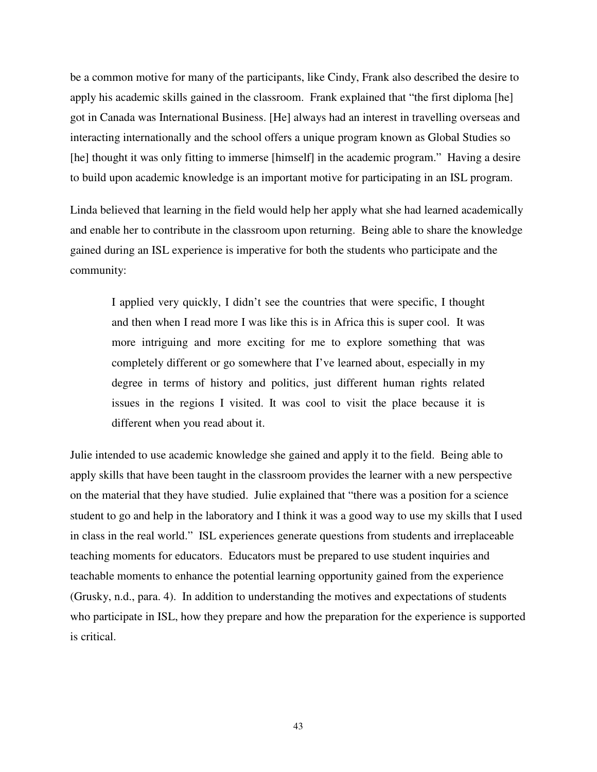be a common motive for many of the participants, like Cindy, Frank also described the desire to apply his academic skills gained in the classroom. Frank explained that "the first diploma [he] got in Canada was International Business. [He] always had an interest in travelling overseas and interacting internationally and the school offers a unique program known as Global Studies so [he] thought it was only fitting to immerse [himself] in the academic program." Having a desire to build upon academic knowledge is an important motive for participating in an ISL program.

Linda believed that learning in the field would help her apply what she had learned academically and enable her to contribute in the classroom upon returning. Being able to share the knowledge gained during an ISL experience is imperative for both the students who participate and the community:

I applied very quickly, I didn't see the countries that were specific, I thought and then when I read more I was like this is in Africa this is super cool. It was more intriguing and more exciting for me to explore something that was completely different or go somewhere that I've learned about, especially in my degree in terms of history and politics, just different human rights related issues in the regions I visited. It was cool to visit the place because it is different when you read about it.

Julie intended to use academic knowledge she gained and apply it to the field. Being able to apply skills that have been taught in the classroom provides the learner with a new perspective on the material that they have studied. Julie explained that "there was a position for a science student to go and help in the laboratory and I think it was a good way to use my skills that I used in class in the real world." ISL experiences generate questions from students and irreplaceable teaching moments for educators. Educators must be prepared to use student inquiries and teachable moments to enhance the potential learning opportunity gained from the experience (Grusky, n.d., para. 4). In addition to understanding the motives and expectations of students who participate in ISL, how they prepare and how the preparation for the experience is supported is critical.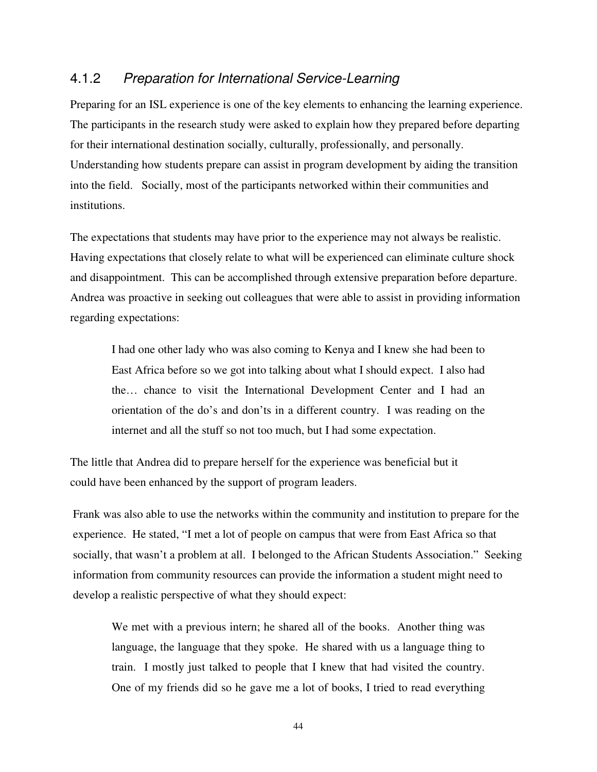#### 4.1.2 Preparation for International Service-Learning

Preparing for an ISL experience is one of the key elements to enhancing the learning experience. The participants in the research study were asked to explain how they prepared before departing for their international destination socially, culturally, professionally, and personally. Understanding how students prepare can assist in program development by aiding the transition into the field. Socially, most of the participants networked within their communities and institutions.

The expectations that students may have prior to the experience may not always be realistic. Having expectations that closely relate to what will be experienced can eliminate culture shock and disappointment. This can be accomplished through extensive preparation before departure. Andrea was proactive in seeking out colleagues that were able to assist in providing information regarding expectations:

I had one other lady who was also coming to Kenya and I knew she had been to East Africa before so we got into talking about what I should expect. I also had the… chance to visit the International Development Center and I had an orientation of the do's and don'ts in a different country. I was reading on the internet and all the stuff so not too much, but I had some expectation.

The little that Andrea did to prepare herself for the experience was beneficial but it could have been enhanced by the support of program leaders.

Frank was also able to use the networks within the community and institution to prepare for the experience. He stated, "I met a lot of people on campus that were from East Africa so that socially, that wasn't a problem at all. I belonged to the African Students Association." Seeking information from community resources can provide the information a student might need to develop a realistic perspective of what they should expect:

We met with a previous intern; he shared all of the books. Another thing was language, the language that they spoke. He shared with us a language thing to train. I mostly just talked to people that I knew that had visited the country. One of my friends did so he gave me a lot of books, I tried to read everything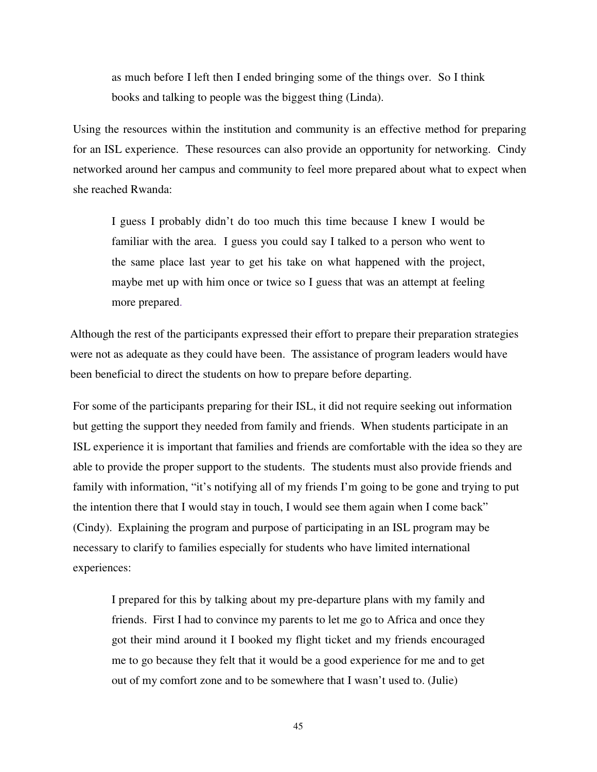as much before I left then I ended bringing some of the things over. So I think books and talking to people was the biggest thing (Linda).

Using the resources within the institution and community is an effective method for preparing for an ISL experience. These resources can also provide an opportunity for networking. Cindy networked around her campus and community to feel more prepared about what to expect when she reached Rwanda:

I guess I probably didn't do too much this time because I knew I would be familiar with the area. I guess you could say I talked to a person who went to the same place last year to get his take on what happened with the project, maybe met up with him once or twice so I guess that was an attempt at feeling more prepared.

Although the rest of the participants expressed their effort to prepare their preparation strategies were not as adequate as they could have been. The assistance of program leaders would have been beneficial to direct the students on how to prepare before departing.

For some of the participants preparing for their ISL, it did not require seeking out information but getting the support they needed from family and friends. When students participate in an ISL experience it is important that families and friends are comfortable with the idea so they are able to provide the proper support to the students. The students must also provide friends and family with information, "it's notifying all of my friends I'm going to be gone and trying to put the intention there that I would stay in touch, I would see them again when I come back" (Cindy). Explaining the program and purpose of participating in an ISL program may be necessary to clarify to families especially for students who have limited international experiences:

I prepared for this by talking about my pre-departure plans with my family and friends. First I had to convince my parents to let me go to Africa and once they got their mind around it I booked my flight ticket and my friends encouraged me to go because they felt that it would be a good experience for me and to get out of my comfort zone and to be somewhere that I wasn't used to. (Julie)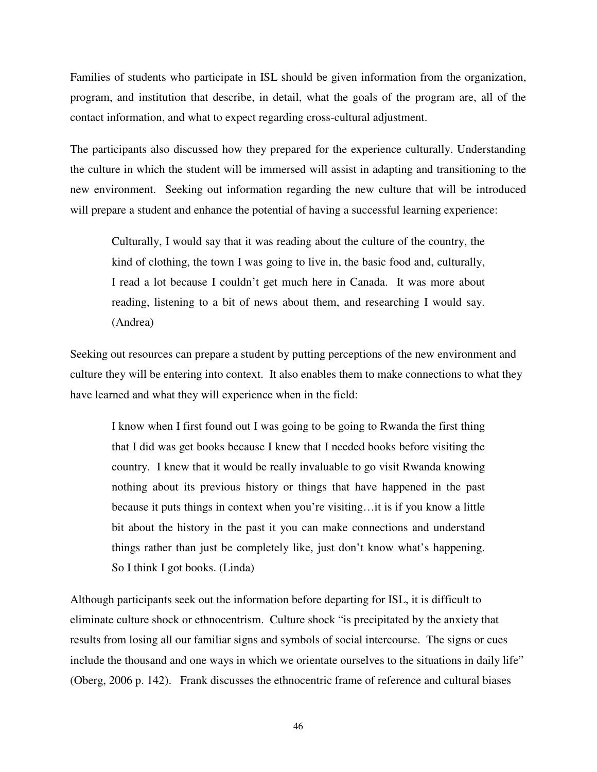Families of students who participate in ISL should be given information from the organization, program, and institution that describe, in detail, what the goals of the program are, all of the contact information, and what to expect regarding cross-cultural adjustment.

The participants also discussed how they prepared for the experience culturally. Understanding the culture in which the student will be immersed will assist in adapting and transitioning to the new environment. Seeking out information regarding the new culture that will be introduced will prepare a student and enhance the potential of having a successful learning experience:

Culturally, I would say that it was reading about the culture of the country, the kind of clothing, the town I was going to live in, the basic food and, culturally, I read a lot because I couldn't get much here in Canada. It was more about reading, listening to a bit of news about them, and researching I would say. (Andrea)

Seeking out resources can prepare a student by putting perceptions of the new environment and culture they will be entering into context. It also enables them to make connections to what they have learned and what they will experience when in the field:

I know when I first found out I was going to be going to Rwanda the first thing that I did was get books because I knew that I needed books before visiting the country. I knew that it would be really invaluable to go visit Rwanda knowing nothing about its previous history or things that have happened in the past because it puts things in context when you're visiting…it is if you know a little bit about the history in the past it you can make connections and understand things rather than just be completely like, just don't know what's happening. So I think I got books. (Linda)

Although participants seek out the information before departing for ISL, it is difficult to eliminate culture shock or ethnocentrism. Culture shock "is precipitated by the anxiety that results from losing all our familiar signs and symbols of social intercourse. The signs or cues include the thousand and one ways in which we orientate ourselves to the situations in daily life" (Oberg, 2006 p. 142). Frank discusses the ethnocentric frame of reference and cultural biases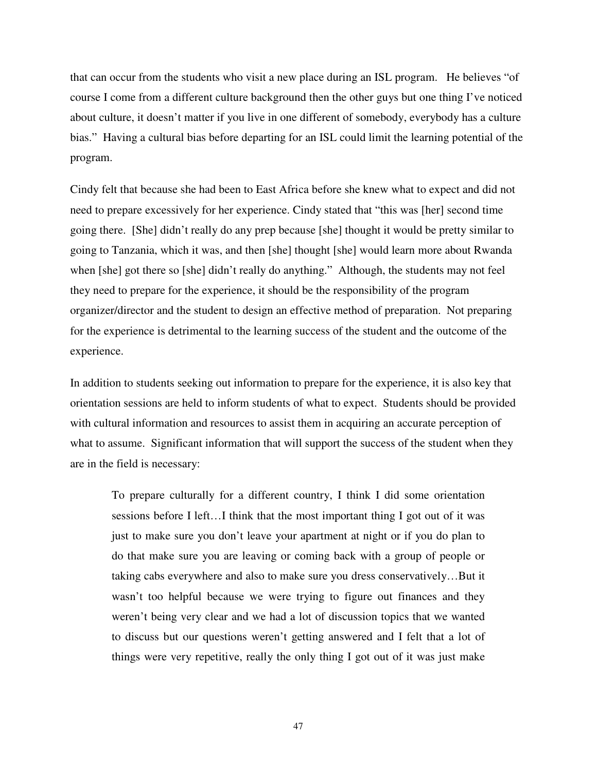that can occur from the students who visit a new place during an ISL program. He believes "of course I come from a different culture background then the other guys but one thing I've noticed about culture, it doesn't matter if you live in one different of somebody, everybody has a culture bias." Having a cultural bias before departing for an ISL could limit the learning potential of the program.

Cindy felt that because she had been to East Africa before she knew what to expect and did not need to prepare excessively for her experience. Cindy stated that "this was [her] second time going there. [She] didn't really do any prep because [she] thought it would be pretty similar to going to Tanzania, which it was, and then [she] thought [she] would learn more about Rwanda when [she] got there so [she] didn't really do anything." Although, the students may not feel they need to prepare for the experience, it should be the responsibility of the program organizer/director and the student to design an effective method of preparation. Not preparing for the experience is detrimental to the learning success of the student and the outcome of the experience.

In addition to students seeking out information to prepare for the experience, it is also key that orientation sessions are held to inform students of what to expect. Students should be provided with cultural information and resources to assist them in acquiring an accurate perception of what to assume. Significant information that will support the success of the student when they are in the field is necessary:

To prepare culturally for a different country, I think I did some orientation sessions before I left…I think that the most important thing I got out of it was just to make sure you don't leave your apartment at night or if you do plan to do that make sure you are leaving or coming back with a group of people or taking cabs everywhere and also to make sure you dress conservatively…But it wasn't too helpful because we were trying to figure out finances and they weren't being very clear and we had a lot of discussion topics that we wanted to discuss but our questions weren't getting answered and I felt that a lot of things were very repetitive, really the only thing I got out of it was just make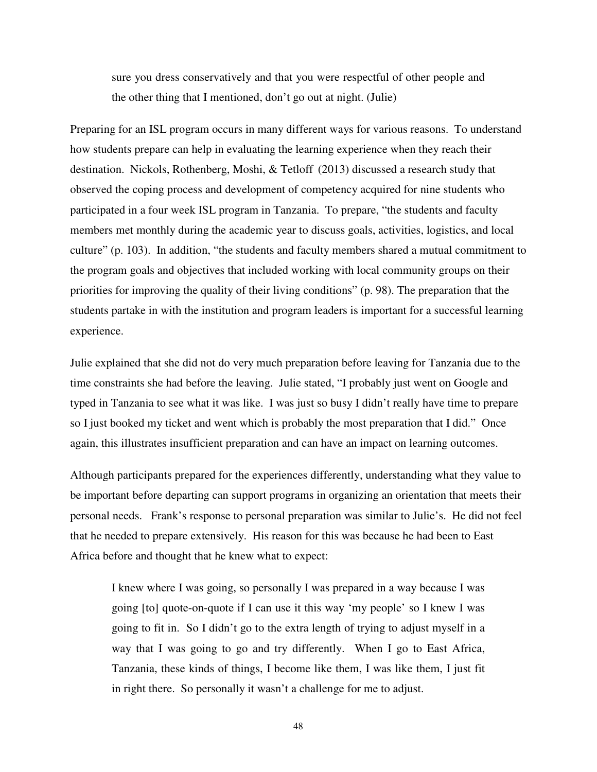sure you dress conservatively and that you were respectful of other people and the other thing that I mentioned, don't go out at night. (Julie)

Preparing for an ISL program occurs in many different ways for various reasons. To understand how students prepare can help in evaluating the learning experience when they reach their destination. Nickols, Rothenberg, Moshi, & Tetloff (2013) discussed a research study that observed the coping process and development of competency acquired for nine students who participated in a four week ISL program in Tanzania. To prepare, "the students and faculty members met monthly during the academic year to discuss goals, activities, logistics, and local culture" (p. 103). In addition, "the students and faculty members shared a mutual commitment to the program goals and objectives that included working with local community groups on their priorities for improving the quality of their living conditions" (p. 98). The preparation that the students partake in with the institution and program leaders is important for a successful learning experience.

Julie explained that she did not do very much preparation before leaving for Tanzania due to the time constraints she had before the leaving. Julie stated, "I probably just went on Google and typed in Tanzania to see what it was like. I was just so busy I didn't really have time to prepare so I just booked my ticket and went which is probably the most preparation that I did." Once again, this illustrates insufficient preparation and can have an impact on learning outcomes.

Although participants prepared for the experiences differently, understanding what they value to be important before departing can support programs in organizing an orientation that meets their personal needs. Frank's response to personal preparation was similar to Julie's. He did not feel that he needed to prepare extensively. His reason for this was because he had been to East Africa before and thought that he knew what to expect:

I knew where I was going, so personally I was prepared in a way because I was going [to] quote-on-quote if I can use it this way 'my people' so I knew I was going to fit in. So I didn't go to the extra length of trying to adjust myself in a way that I was going to go and try differently. When I go to East Africa, Tanzania, these kinds of things, I become like them, I was like them, I just fit in right there. So personally it wasn't a challenge for me to adjust.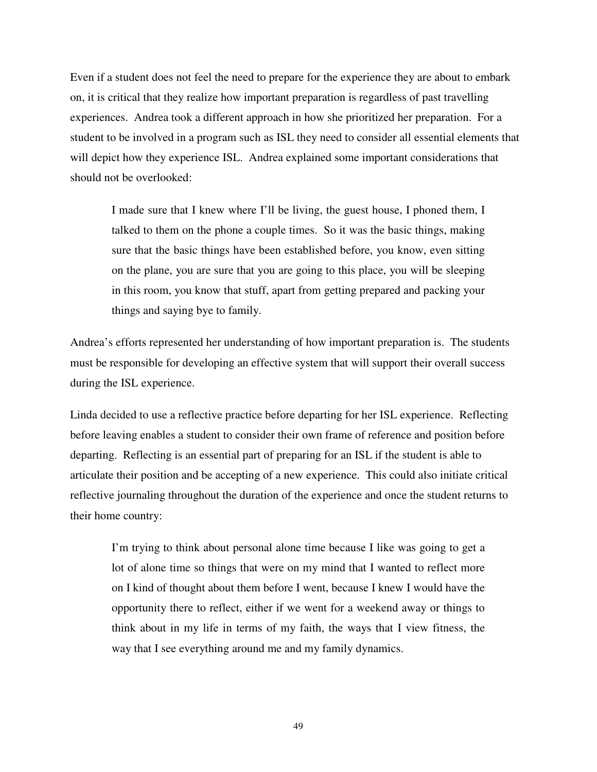Even if a student does not feel the need to prepare for the experience they are about to embark on, it is critical that they realize how important preparation is regardless of past travelling experiences. Andrea took a different approach in how she prioritized her preparation. For a student to be involved in a program such as ISL they need to consider all essential elements that will depict how they experience ISL. Andrea explained some important considerations that should not be overlooked:

I made sure that I knew where I'll be living, the guest house, I phoned them, I talked to them on the phone a couple times. So it was the basic things, making sure that the basic things have been established before, you know, even sitting on the plane, you are sure that you are going to this place, you will be sleeping in this room, you know that stuff, apart from getting prepared and packing your things and saying bye to family.

Andrea's efforts represented her understanding of how important preparation is. The students must be responsible for developing an effective system that will support their overall success during the ISL experience.

Linda decided to use a reflective practice before departing for her ISL experience. Reflecting before leaving enables a student to consider their own frame of reference and position before departing. Reflecting is an essential part of preparing for an ISL if the student is able to articulate their position and be accepting of a new experience. This could also initiate critical reflective journaling throughout the duration of the experience and once the student returns to their home country:

I'm trying to think about personal alone time because I like was going to get a lot of alone time so things that were on my mind that I wanted to reflect more on I kind of thought about them before I went, because I knew I would have the opportunity there to reflect, either if we went for a weekend away or things to think about in my life in terms of my faith, the ways that I view fitness, the way that I see everything around me and my family dynamics.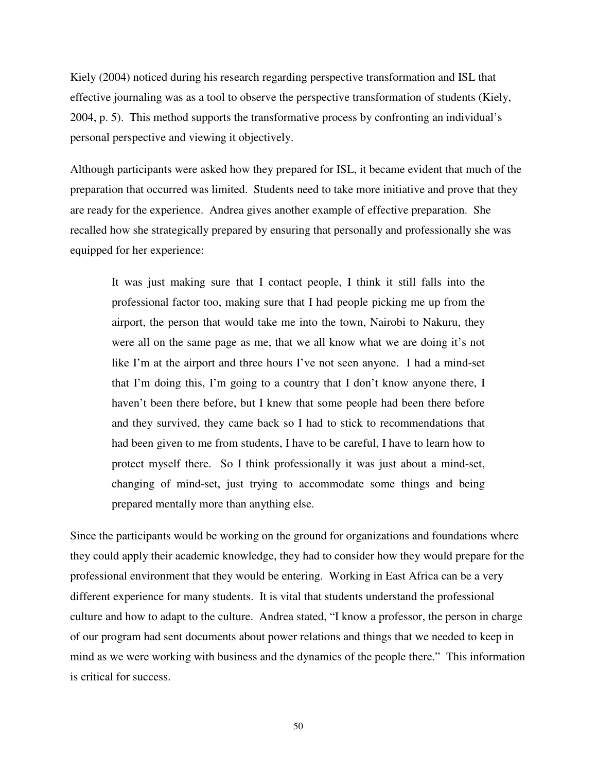Kiely (2004) noticed during his research regarding perspective transformation and ISL that effective journaling was as a tool to observe the perspective transformation of students (Kiely, 2004, p. 5). This method supports the transformative process by confronting an individual's personal perspective and viewing it objectively.

Although participants were asked how they prepared for ISL, it became evident that much of the preparation that occurred was limited. Students need to take more initiative and prove that they are ready for the experience. Andrea gives another example of effective preparation. She recalled how she strategically prepared by ensuring that personally and professionally she was equipped for her experience:

It was just making sure that I contact people, I think it still falls into the professional factor too, making sure that I had people picking me up from the airport, the person that would take me into the town, Nairobi to Nakuru, they were all on the same page as me, that we all know what we are doing it's not like I'm at the airport and three hours I've not seen anyone. I had a mind-set that I'm doing this, I'm going to a country that I don't know anyone there, I haven't been there before, but I knew that some people had been there before and they survived, they came back so I had to stick to recommendations that had been given to me from students, I have to be careful, I have to learn how to protect myself there. So I think professionally it was just about a mind-set, changing of mind-set, just trying to accommodate some things and being prepared mentally more than anything else.

Since the participants would be working on the ground for organizations and foundations where they could apply their academic knowledge, they had to consider how they would prepare for the professional environment that they would be entering. Working in East Africa can be a very different experience for many students. It is vital that students understand the professional culture and how to adapt to the culture. Andrea stated, "I know a professor, the person in charge of our program had sent documents about power relations and things that we needed to keep in mind as we were working with business and the dynamics of the people there." This information is critical for success.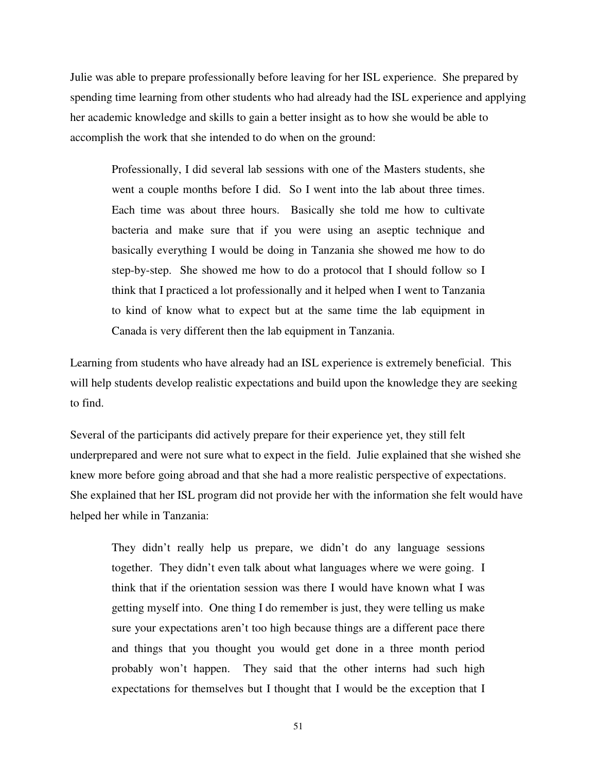Julie was able to prepare professionally before leaving for her ISL experience. She prepared by spending time learning from other students who had already had the ISL experience and applying her academic knowledge and skills to gain a better insight as to how she would be able to accomplish the work that she intended to do when on the ground:

Professionally, I did several lab sessions with one of the Masters students, she went a couple months before I did. So I went into the lab about three times. Each time was about three hours. Basically she told me how to cultivate bacteria and make sure that if you were using an aseptic technique and basically everything I would be doing in Tanzania she showed me how to do step-by-step. She showed me how to do a protocol that I should follow so I think that I practiced a lot professionally and it helped when I went to Tanzania to kind of know what to expect but at the same time the lab equipment in Canada is very different then the lab equipment in Tanzania.

Learning from students who have already had an ISL experience is extremely beneficial. This will help students develop realistic expectations and build upon the knowledge they are seeking to find.

Several of the participants did actively prepare for their experience yet, they still felt underprepared and were not sure what to expect in the field. Julie explained that she wished she knew more before going abroad and that she had a more realistic perspective of expectations. She explained that her ISL program did not provide her with the information she felt would have helped her while in Tanzania:

They didn't really help us prepare, we didn't do any language sessions together. They didn't even talk about what languages where we were going. I think that if the orientation session was there I would have known what I was getting myself into. One thing I do remember is just, they were telling us make sure your expectations aren't too high because things are a different pace there and things that you thought you would get done in a three month period probably won't happen. They said that the other interns had such high expectations for themselves but I thought that I would be the exception that I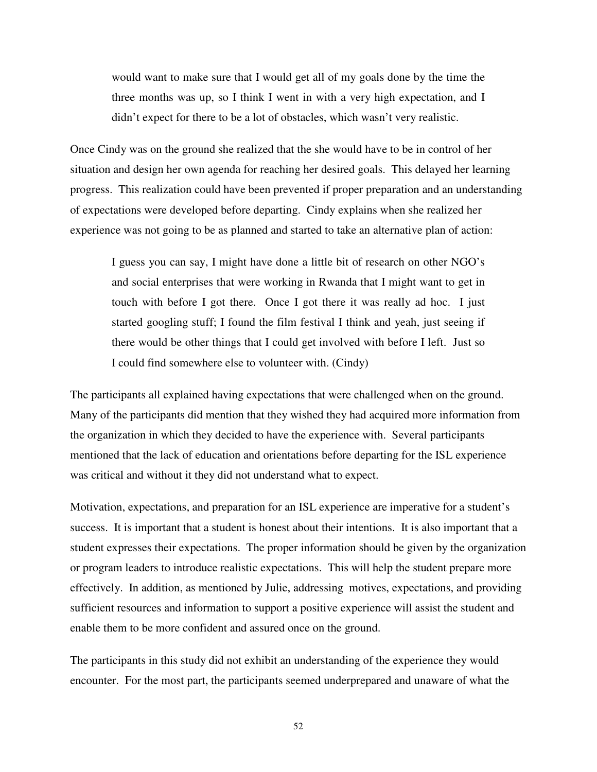would want to make sure that I would get all of my goals done by the time the three months was up, so I think I went in with a very high expectation, and I didn't expect for there to be a lot of obstacles, which wasn't very realistic.

Once Cindy was on the ground she realized that the she would have to be in control of her situation and design her own agenda for reaching her desired goals. This delayed her learning progress. This realization could have been prevented if proper preparation and an understanding of expectations were developed before departing. Cindy explains when she realized her experience was not going to be as planned and started to take an alternative plan of action:

I guess you can say, I might have done a little bit of research on other NGO's and social enterprises that were working in Rwanda that I might want to get in touch with before I got there. Once I got there it was really ad hoc. I just started googling stuff; I found the film festival I think and yeah, just seeing if there would be other things that I could get involved with before I left. Just so I could find somewhere else to volunteer with. (Cindy)

The participants all explained having expectations that were challenged when on the ground. Many of the participants did mention that they wished they had acquired more information from the organization in which they decided to have the experience with. Several participants mentioned that the lack of education and orientations before departing for the ISL experience was critical and without it they did not understand what to expect.

Motivation, expectations, and preparation for an ISL experience are imperative for a student's success. It is important that a student is honest about their intentions. It is also important that a student expresses their expectations. The proper information should be given by the organization or program leaders to introduce realistic expectations. This will help the student prepare more effectively. In addition, as mentioned by Julie, addressing motives, expectations, and providing sufficient resources and information to support a positive experience will assist the student and enable them to be more confident and assured once on the ground.

The participants in this study did not exhibit an understanding of the experience they would encounter. For the most part, the participants seemed underprepared and unaware of what the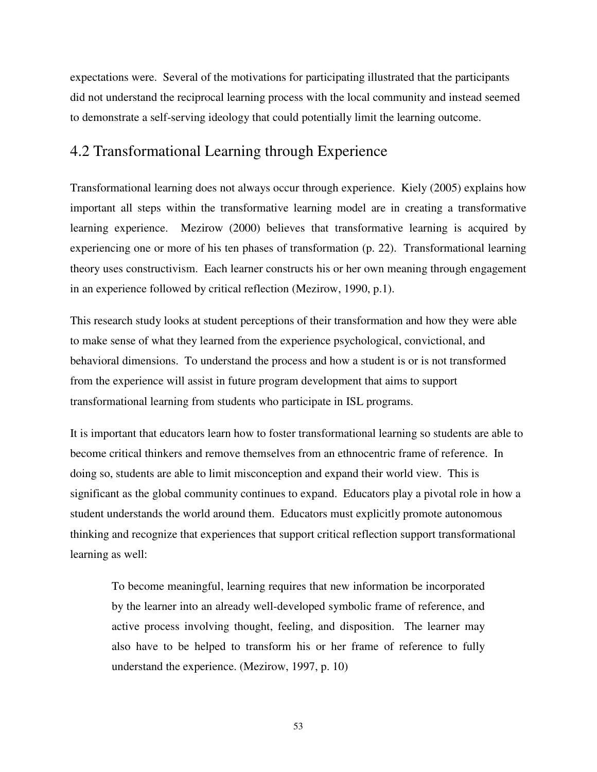expectations were. Several of the motivations for participating illustrated that the participants did not understand the reciprocal learning process with the local community and instead seemed to demonstrate a self-serving ideology that could potentially limit the learning outcome.

### 4.2 Transformational Learning through Experience

Transformational learning does not always occur through experience. Kiely (2005) explains how important all steps within the transformative learning model are in creating a transformative learning experience. Mezirow (2000) believes that transformative learning is acquired by experiencing one or more of his ten phases of transformation (p. 22). Transformational learning theory uses constructivism. Each learner constructs his or her own meaning through engagement in an experience followed by critical reflection (Mezirow, 1990, p.1).

This research study looks at student perceptions of their transformation and how they were able to make sense of what they learned from the experience psychological, convictional, and behavioral dimensions. To understand the process and how a student is or is not transformed from the experience will assist in future program development that aims to support transformational learning from students who participate in ISL programs.

It is important that educators learn how to foster transformational learning so students are able to become critical thinkers and remove themselves from an ethnocentric frame of reference. In doing so, students are able to limit misconception and expand their world view. This is significant as the global community continues to expand. Educators play a pivotal role in how a student understands the world around them. Educators must explicitly promote autonomous thinking and recognize that experiences that support critical reflection support transformational learning as well:

To become meaningful, learning requires that new information be incorporated by the learner into an already well-developed symbolic frame of reference, and active process involving thought, feeling, and disposition. The learner may also have to be helped to transform his or her frame of reference to fully understand the experience. (Mezirow, 1997, p. 10)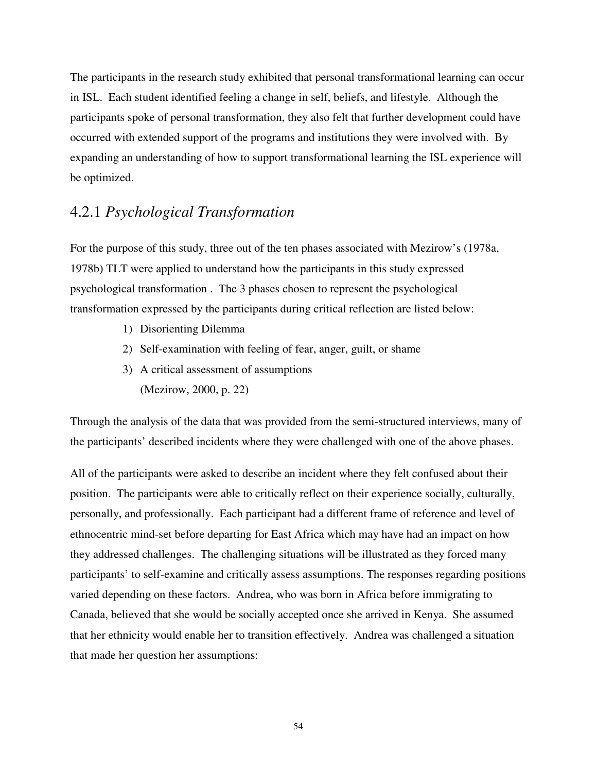The participants in the research study exhibited that personal transformational learning can occur in ISL. Each student identified feeling a change in self, beliefs, and lifestyle. Although the participants spoke of personal transformation, they also felt that further development could have occurred with extended support of the programs and institutions they were involved with. By expanding an understanding of how to support transformational learning the ISL experience will be optimized.

### 4.2.1 *Psychological Transformation*

For the purpose of this study, three out of the ten phases associated with Mezirow's (1978a, 1978b) TLT were applied to understand how the participants in this study expressed psychological transformation . The 3 phases chosen to represent the psychological transformation expressed by the participants during critical reflection are listed below:

- 1) Disorienting Dilemma
- 2) Self-examination with feeling of fear, anger, guilt, or shame
- 3) A critical assessment of assumptions (Mezirow, 2000, p. 22)

Through the analysis of the data that was provided from the semi-structured interviews, many of the participants' described incidents where they were challenged with one of the above phases.

All of the participants were asked to describe an incident where they felt confused about their position. The participants were able to critically reflect on their experience socially, culturally, personally, and professionally. Each participant had a different frame of reference and level of ethnocentric mind-set before departing for East Africa which may have had an impact on how they addressed challenges. The challenging situations will be illustrated as they forced many participants' to self-examine and critically assess assumptions. The responses regarding positions varied depending on these factors. Andrea, who was born in Africa before immigrating to Canada, believed that she would be socially accepted once she arrived in Kenya. She assumed that her ethnicity would enable her to transition effectively. Andrea was challenged a situation that made her question her assumptions: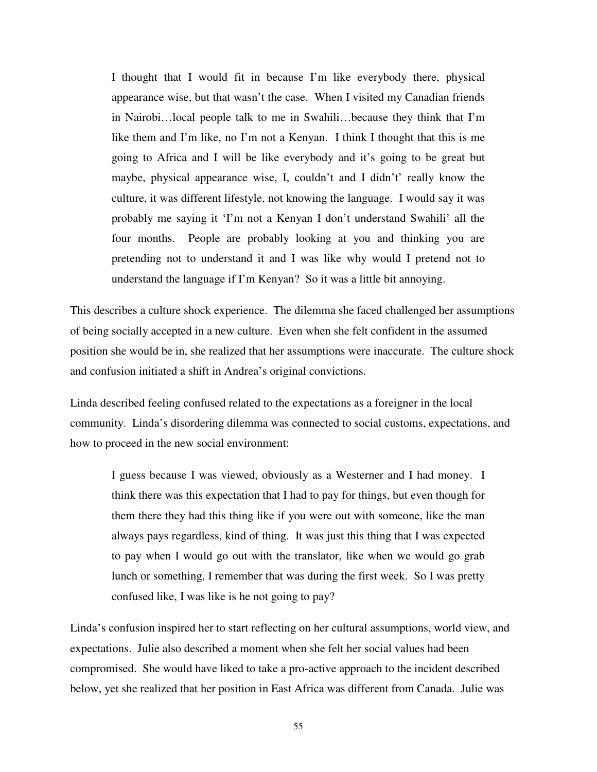I thought that I would fit in because I'm like everybody there, physical appearance wise, but that wasn't the case. When I visited my Canadian friends in Nairobi…local people talk to me in Swahili…because they think that I'm like them and I'm like, no I'm not a Kenyan. I think I thought that this is me going to Africa and I will be like everybody and it's going to be great but maybe, physical appearance wise, I, couldn't and I didn't' really know the culture, it was different lifestyle, not knowing the language. I would say it was probably me saying it 'I'm not a Kenyan I don't understand Swahili' all the four months. People are probably looking at you and thinking you are pretending not to understand it and I was like why would I pretend not to understand the language if I'm Kenyan? So it was a little bit annoying.

This describes a culture shock experience. The dilemma she faced challenged her assumptions of being socially accepted in a new culture. Even when she felt confident in the assumed position she would be in, she realized that her assumptions were inaccurate. The culture shock and confusion initiated a shift in Andrea's original convictions.

Linda described feeling confused related to the expectations as a foreigner in the local community. Linda's disordering dilemma was connected to social customs, expectations, and how to proceed in the new social environment:

I guess because I was viewed, obviously as a Westerner and I had money. I think there was this expectation that I had to pay for things, but even though for them there they had this thing like if you were out with someone, like the man always pays regardless, kind of thing. It was just this thing that I was expected to pay when I would go out with the translator, like when we would go grab lunch or something, I remember that was during the first week. So I was pretty confused like, I was like is he not going to pay?

Linda's confusion inspired her to start reflecting on her cultural assumptions, world view, and expectations. Julie also described a moment when she felt her social values had been compromised. She would have liked to take a pro-active approach to the incident described below, yet she realized that her position in East Africa was different from Canada. Julie was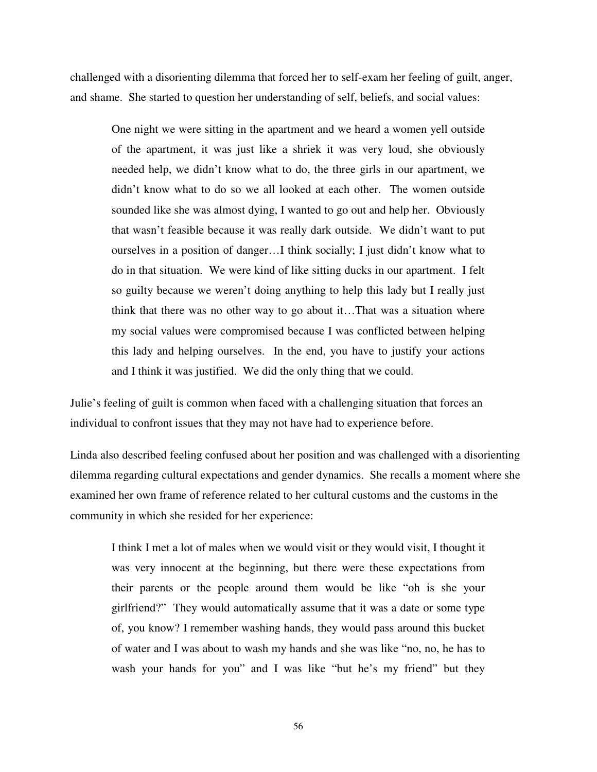challenged with a disorienting dilemma that forced her to self-exam her feeling of guilt, anger, and shame. She started to question her understanding of self, beliefs, and social values:

One night we were sitting in the apartment and we heard a women yell outside of the apartment, it was just like a shriek it was very loud, she obviously needed help, we didn't know what to do, the three girls in our apartment, we didn't know what to do so we all looked at each other. The women outside sounded like she was almost dying, I wanted to go out and help her. Obviously that wasn't feasible because it was really dark outside. We didn't want to put ourselves in a position of danger…I think socially; I just didn't know what to do in that situation. We were kind of like sitting ducks in our apartment. I felt so guilty because we weren't doing anything to help this lady but I really just think that there was no other way to go about it…That was a situation where my social values were compromised because I was conflicted between helping this lady and helping ourselves. In the end, you have to justify your actions and I think it was justified. We did the only thing that we could.

Julie's feeling of guilt is common when faced with a challenging situation that forces an individual to confront issues that they may not have had to experience before.

Linda also described feeling confused about her position and was challenged with a disorienting dilemma regarding cultural expectations and gender dynamics. She recalls a moment where she examined her own frame of reference related to her cultural customs and the customs in the community in which she resided for her experience:

I think I met a lot of males when we would visit or they would visit, I thought it was very innocent at the beginning, but there were these expectations from their parents or the people around them would be like "oh is she your girlfriend?" They would automatically assume that it was a date or some type of, you know? I remember washing hands, they would pass around this bucket of water and I was about to wash my hands and she was like "no, no, he has to wash your hands for you" and I was like "but he's my friend" but they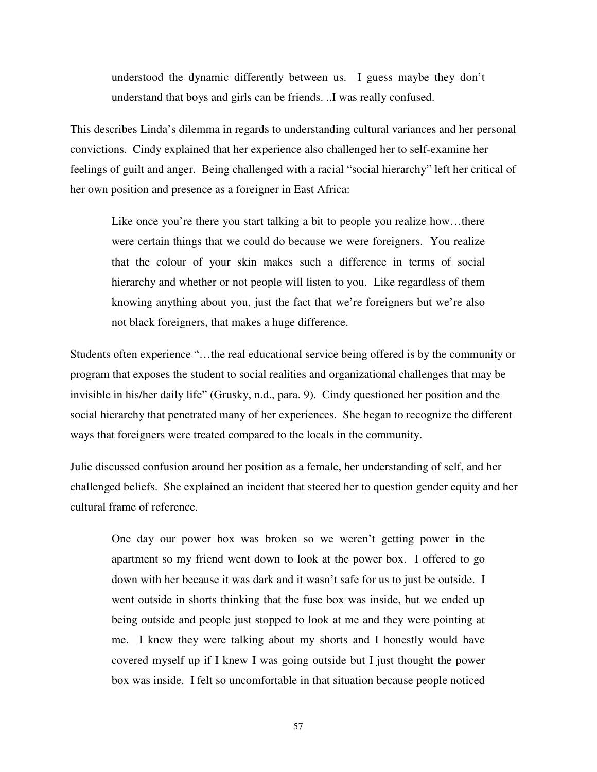understood the dynamic differently between us. I guess maybe they don't understand that boys and girls can be friends. ..I was really confused.

This describes Linda's dilemma in regards to understanding cultural variances and her personal convictions. Cindy explained that her experience also challenged her to self-examine her feelings of guilt and anger. Being challenged with a racial "social hierarchy" left her critical of her own position and presence as a foreigner in East Africa:

Like once you're there you start talking a bit to people you realize how...there were certain things that we could do because we were foreigners. You realize that the colour of your skin makes such a difference in terms of social hierarchy and whether or not people will listen to you. Like regardless of them knowing anything about you, just the fact that we're foreigners but we're also not black foreigners, that makes a huge difference.

Students often experience "…the real educational service being offered is by the community or program that exposes the student to social realities and organizational challenges that may be invisible in his/her daily life" (Grusky, n.d., para. 9). Cindy questioned her position and the social hierarchy that penetrated many of her experiences. She began to recognize the different ways that foreigners were treated compared to the locals in the community.

Julie discussed confusion around her position as a female, her understanding of self, and her challenged beliefs. She explained an incident that steered her to question gender equity and her cultural frame of reference.

One day our power box was broken so we weren't getting power in the apartment so my friend went down to look at the power box. I offered to go down with her because it was dark and it wasn't safe for us to just be outside. I went outside in shorts thinking that the fuse box was inside, but we ended up being outside and people just stopped to look at me and they were pointing at me. I knew they were talking about my shorts and I honestly would have covered myself up if I knew I was going outside but I just thought the power box was inside. I felt so uncomfortable in that situation because people noticed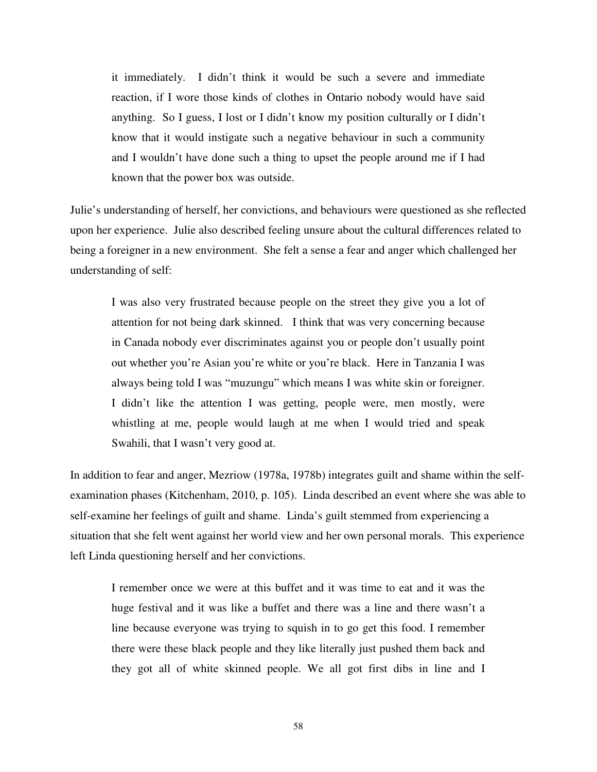it immediately. I didn't think it would be such a severe and immediate reaction, if I wore those kinds of clothes in Ontario nobody would have said anything. So I guess, I lost or I didn't know my position culturally or I didn't know that it would instigate such a negative behaviour in such a community and I wouldn't have done such a thing to upset the people around me if I had known that the power box was outside.

Julie's understanding of herself, her convictions, and behaviours were questioned as she reflected upon her experience. Julie also described feeling unsure about the cultural differences related to being a foreigner in a new environment. She felt a sense a fear and anger which challenged her understanding of self:

I was also very frustrated because people on the street they give you a lot of attention for not being dark skinned. I think that was very concerning because in Canada nobody ever discriminates against you or people don't usually point out whether you're Asian you're white or you're black. Here in Tanzania I was always being told I was "muzungu" which means I was white skin or foreigner. I didn't like the attention I was getting, people were, men mostly, were whistling at me, people would laugh at me when I would tried and speak Swahili, that I wasn't very good at.

In addition to fear and anger, Mezriow (1978a, 1978b) integrates guilt and shame within the selfexamination phases (Kitchenham, 2010, p. 105). Linda described an event where she was able to self-examine her feelings of guilt and shame. Linda's guilt stemmed from experiencing a situation that she felt went against her world view and her own personal morals. This experience left Linda questioning herself and her convictions.

I remember once we were at this buffet and it was time to eat and it was the huge festival and it was like a buffet and there was a line and there wasn't a line because everyone was trying to squish in to go get this food. I remember there were these black people and they like literally just pushed them back and they got all of white skinned people. We all got first dibs in line and I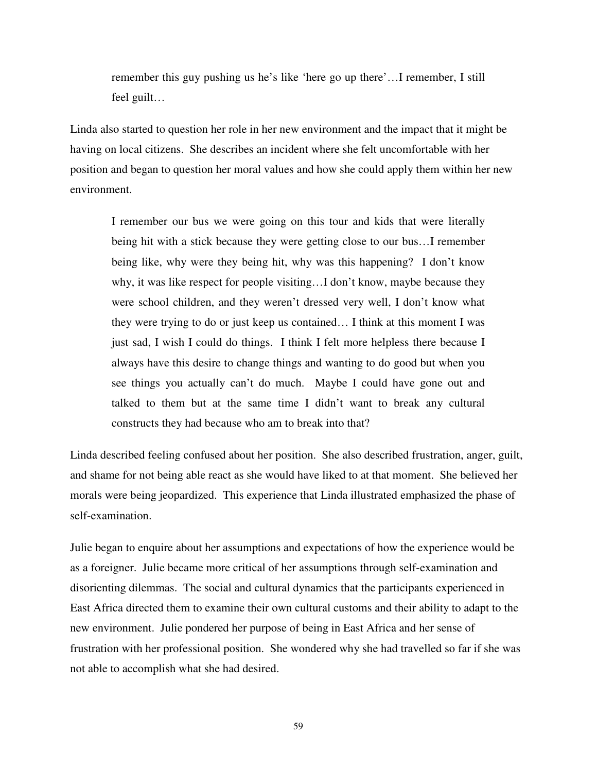remember this guy pushing us he's like 'here go up there'…I remember, I still feel guilt…

Linda also started to question her role in her new environment and the impact that it might be having on local citizens. She describes an incident where she felt uncomfortable with her position and began to question her moral values and how she could apply them within her new environment.

I remember our bus we were going on this tour and kids that were literally being hit with a stick because they were getting close to our bus…I remember being like, why were they being hit, why was this happening? I don't know why, it was like respect for people visiting…I don't know, maybe because they were school children, and they weren't dressed very well, I don't know what they were trying to do or just keep us contained… I think at this moment I was just sad, I wish I could do things. I think I felt more helpless there because I always have this desire to change things and wanting to do good but when you see things you actually can't do much. Maybe I could have gone out and talked to them but at the same time I didn't want to break any cultural constructs they had because who am to break into that?

Linda described feeling confused about her position. She also described frustration, anger, guilt, and shame for not being able react as she would have liked to at that moment. She believed her morals were being jeopardized. This experience that Linda illustrated emphasized the phase of self-examination.

Julie began to enquire about her assumptions and expectations of how the experience would be as a foreigner. Julie became more critical of her assumptions through self-examination and disorienting dilemmas. The social and cultural dynamics that the participants experienced in East Africa directed them to examine their own cultural customs and their ability to adapt to the new environment. Julie pondered her purpose of being in East Africa and her sense of frustration with her professional position. She wondered why she had travelled so far if she was not able to accomplish what she had desired.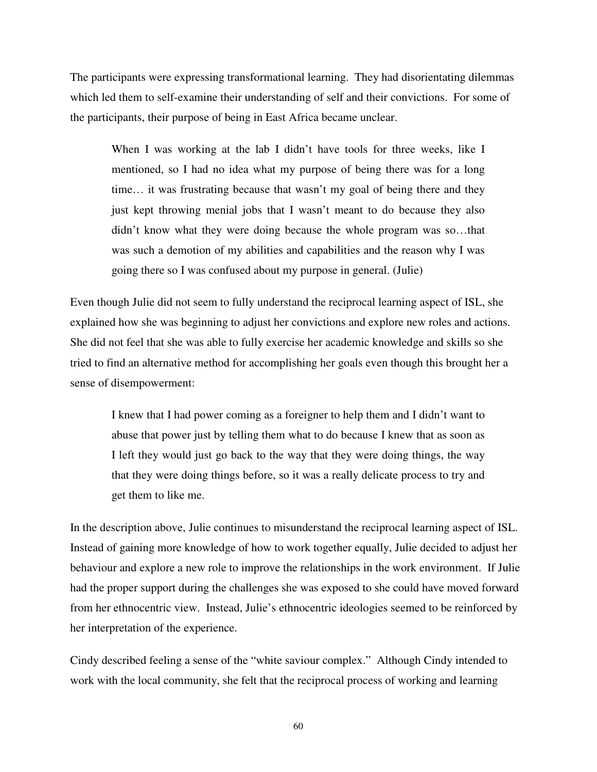The participants were expressing transformational learning. They had disorientating dilemmas which led them to self-examine their understanding of self and their convictions. For some of the participants, their purpose of being in East Africa became unclear.

When I was working at the lab I didn't have tools for three weeks, like I mentioned, so I had no idea what my purpose of being there was for a long time… it was frustrating because that wasn't my goal of being there and they just kept throwing menial jobs that I wasn't meant to do because they also didn't know what they were doing because the whole program was so…that was such a demotion of my abilities and capabilities and the reason why I was going there so I was confused about my purpose in general. (Julie)

Even though Julie did not seem to fully understand the reciprocal learning aspect of ISL, she explained how she was beginning to adjust her convictions and explore new roles and actions. She did not feel that she was able to fully exercise her academic knowledge and skills so she tried to find an alternative method for accomplishing her goals even though this brought her a sense of disempowerment:

I knew that I had power coming as a foreigner to help them and I didn't want to abuse that power just by telling them what to do because I knew that as soon as I left they would just go back to the way that they were doing things, the way that they were doing things before, so it was a really delicate process to try and get them to like me.

In the description above, Julie continues to misunderstand the reciprocal learning aspect of ISL. Instead of gaining more knowledge of how to work together equally, Julie decided to adjust her behaviour and explore a new role to improve the relationships in the work environment. If Julie had the proper support during the challenges she was exposed to she could have moved forward from her ethnocentric view. Instead, Julie's ethnocentric ideologies seemed to be reinforced by her interpretation of the experience.

Cindy described feeling a sense of the "white saviour complex." Although Cindy intended to work with the local community, she felt that the reciprocal process of working and learning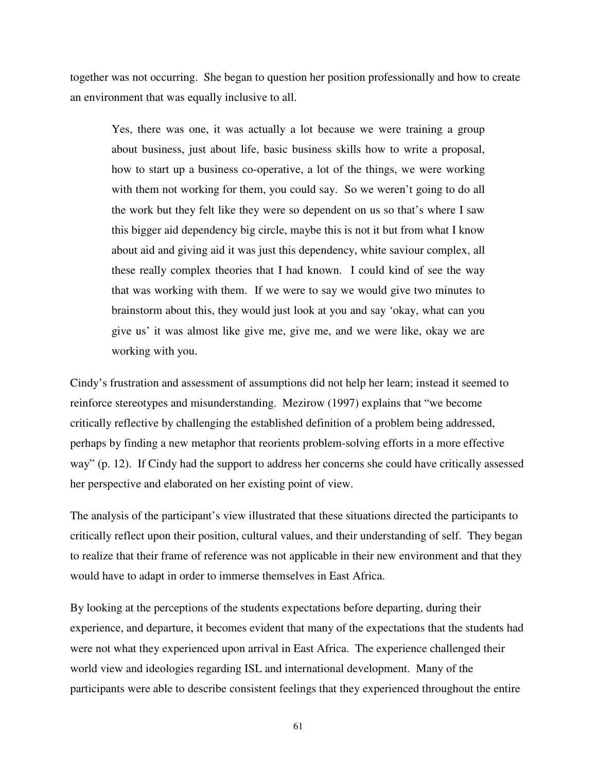together was not occurring. She began to question her position professionally and how to create an environment that was equally inclusive to all.

Yes, there was one, it was actually a lot because we were training a group about business, just about life, basic business skills how to write a proposal, how to start up a business co-operative, a lot of the things, we were working with them not working for them, you could say. So we weren't going to do all the work but they felt like they were so dependent on us so that's where I saw this bigger aid dependency big circle, maybe this is not it but from what I know about aid and giving aid it was just this dependency, white saviour complex, all these really complex theories that I had known. I could kind of see the way that was working with them. If we were to say we would give two minutes to brainstorm about this, they would just look at you and say 'okay, what can you give us' it was almost like give me, give me, and we were like, okay we are working with you.

Cindy's frustration and assessment of assumptions did not help her learn; instead it seemed to reinforce stereotypes and misunderstanding. Mezirow (1997) explains that "we become critically reflective by challenging the established definition of a problem being addressed, perhaps by finding a new metaphor that reorients problem-solving efforts in a more effective way" (p. 12). If Cindy had the support to address her concerns she could have critically assessed her perspective and elaborated on her existing point of view.

The analysis of the participant's view illustrated that these situations directed the participants to critically reflect upon their position, cultural values, and their understanding of self. They began to realize that their frame of reference was not applicable in their new environment and that they would have to adapt in order to immerse themselves in East Africa.

By looking at the perceptions of the students expectations before departing, during their experience, and departure, it becomes evident that many of the expectations that the students had were not what they experienced upon arrival in East Africa. The experience challenged their world view and ideologies regarding ISL and international development. Many of the participants were able to describe consistent feelings that they experienced throughout the entire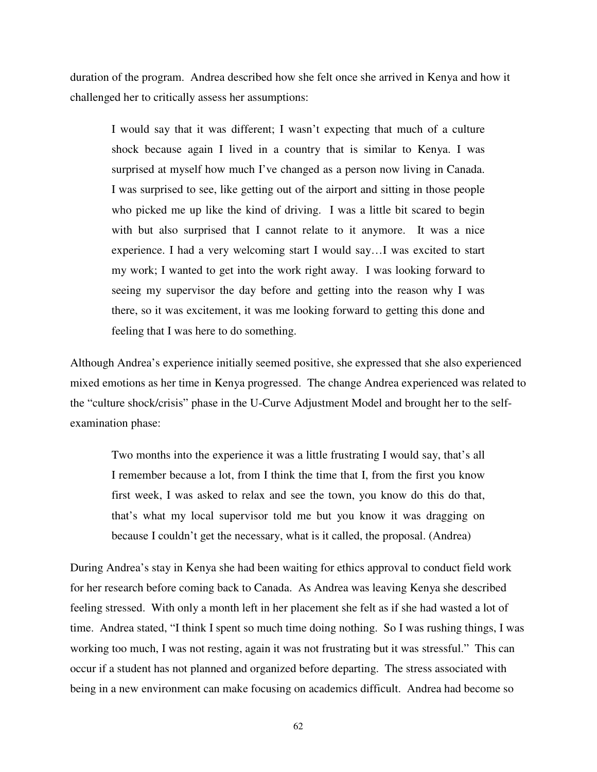duration of the program. Andrea described how she felt once she arrived in Kenya and how it challenged her to critically assess her assumptions:

I would say that it was different; I wasn't expecting that much of a culture shock because again I lived in a country that is similar to Kenya. I was surprised at myself how much I've changed as a person now living in Canada. I was surprised to see, like getting out of the airport and sitting in those people who picked me up like the kind of driving. I was a little bit scared to begin with but also surprised that I cannot relate to it anymore. It was a nice experience. I had a very welcoming start I would say…I was excited to start my work; I wanted to get into the work right away. I was looking forward to seeing my supervisor the day before and getting into the reason why I was there, so it was excitement, it was me looking forward to getting this done and feeling that I was here to do something.

Although Andrea's experience initially seemed positive, she expressed that she also experienced mixed emotions as her time in Kenya progressed. The change Andrea experienced was related to the "culture shock/crisis" phase in the U-Curve Adjustment Model and brought her to the selfexamination phase:

Two months into the experience it was a little frustrating I would say, that's all I remember because a lot, from I think the time that I, from the first you know first week, I was asked to relax and see the town, you know do this do that, that's what my local supervisor told me but you know it was dragging on because I couldn't get the necessary, what is it called, the proposal. (Andrea)

During Andrea's stay in Kenya she had been waiting for ethics approval to conduct field work for her research before coming back to Canada. As Andrea was leaving Kenya she described feeling stressed. With only a month left in her placement she felt as if she had wasted a lot of time. Andrea stated, "I think I spent so much time doing nothing. So I was rushing things, I was working too much, I was not resting, again it was not frustrating but it was stressful." This can occur if a student has not planned and organized before departing. The stress associated with being in a new environment can make focusing on academics difficult. Andrea had become so

<sup>62</sup>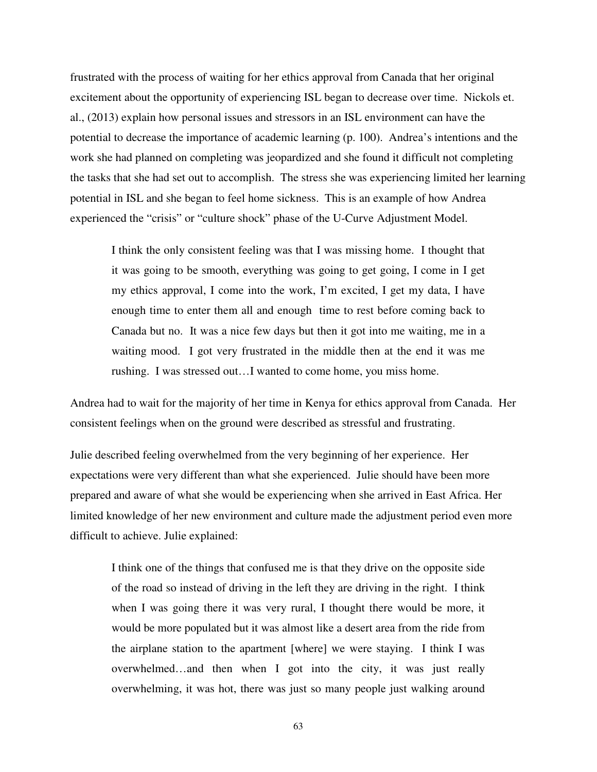frustrated with the process of waiting for her ethics approval from Canada that her original excitement about the opportunity of experiencing ISL began to decrease over time. Nickols et. al., (2013) explain how personal issues and stressors in an ISL environment can have the potential to decrease the importance of academic learning (p. 100). Andrea's intentions and the work she had planned on completing was jeopardized and she found it difficult not completing the tasks that she had set out to accomplish. The stress she was experiencing limited her learning potential in ISL and she began to feel home sickness. This is an example of how Andrea experienced the "crisis" or "culture shock" phase of the U-Curve Adjustment Model.

I think the only consistent feeling was that I was missing home. I thought that it was going to be smooth, everything was going to get going, I come in I get my ethics approval, I come into the work, I'm excited, I get my data, I have enough time to enter them all and enough time to rest before coming back to Canada but no. It was a nice few days but then it got into me waiting, me in a waiting mood. I got very frustrated in the middle then at the end it was me rushing. I was stressed out…I wanted to come home, you miss home.

Andrea had to wait for the majority of her time in Kenya for ethics approval from Canada. Her consistent feelings when on the ground were described as stressful and frustrating.

Julie described feeling overwhelmed from the very beginning of her experience. Her expectations were very different than what she experienced. Julie should have been more prepared and aware of what she would be experiencing when she arrived in East Africa. Her limited knowledge of her new environment and culture made the adjustment period even more difficult to achieve. Julie explained:

I think one of the things that confused me is that they drive on the opposite side of the road so instead of driving in the left they are driving in the right. I think when I was going there it was very rural, I thought there would be more, it would be more populated but it was almost like a desert area from the ride from the airplane station to the apartment [where] we were staying. I think I was overwhelmed…and then when I got into the city, it was just really overwhelming, it was hot, there was just so many people just walking around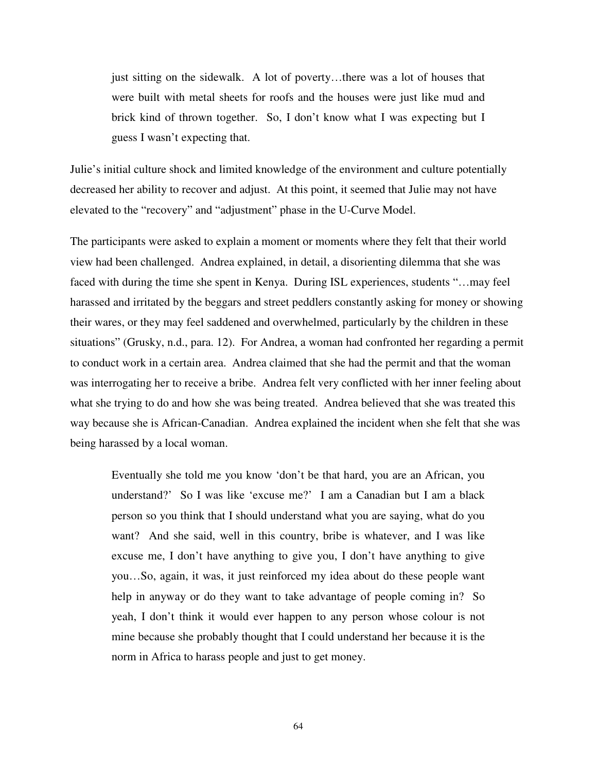just sitting on the sidewalk. A lot of poverty…there was a lot of houses that were built with metal sheets for roofs and the houses were just like mud and brick kind of thrown together. So, I don't know what I was expecting but I guess I wasn't expecting that.

Julie's initial culture shock and limited knowledge of the environment and culture potentially decreased her ability to recover and adjust. At this point, it seemed that Julie may not have elevated to the "recovery" and "adjustment" phase in the U-Curve Model.

The participants were asked to explain a moment or moments where they felt that their world view had been challenged. Andrea explained, in detail, a disorienting dilemma that she was faced with during the time she spent in Kenya. During ISL experiences, students "…may feel harassed and irritated by the beggars and street peddlers constantly asking for money or showing their wares, or they may feel saddened and overwhelmed, particularly by the children in these situations" (Grusky, n.d., para. 12). For Andrea, a woman had confronted her regarding a permit to conduct work in a certain area. Andrea claimed that she had the permit and that the woman was interrogating her to receive a bribe. Andrea felt very conflicted with her inner feeling about what she trying to do and how she was being treated. Andrea believed that she was treated this way because she is African-Canadian. Andrea explained the incident when she felt that she was being harassed by a local woman.

Eventually she told me you know 'don't be that hard, you are an African, you understand?' So I was like 'excuse me?' I am a Canadian but I am a black person so you think that I should understand what you are saying, what do you want? And she said, well in this country, bribe is whatever, and I was like excuse me, I don't have anything to give you, I don't have anything to give you…So, again, it was, it just reinforced my idea about do these people want help in anyway or do they want to take advantage of people coming in? So yeah, I don't think it would ever happen to any person whose colour is not mine because she probably thought that I could understand her because it is the norm in Africa to harass people and just to get money.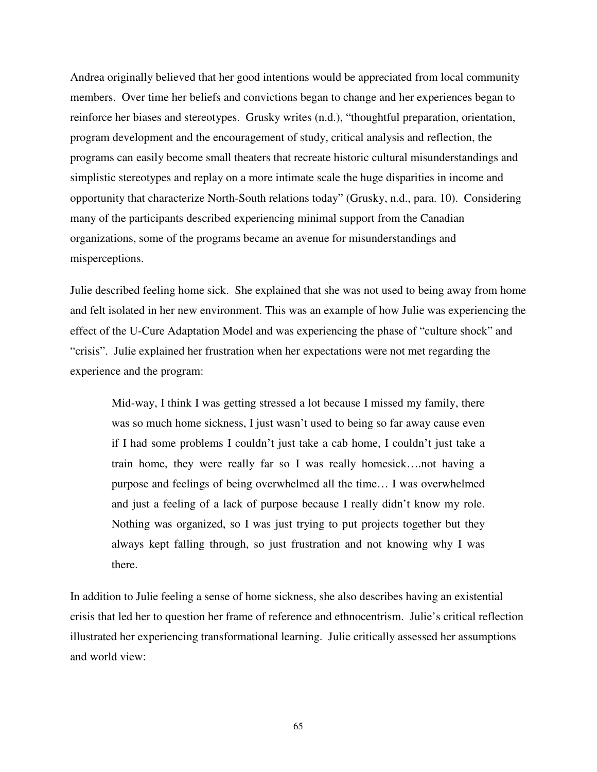Andrea originally believed that her good intentions would be appreciated from local community members. Over time her beliefs and convictions began to change and her experiences began to reinforce her biases and stereotypes. Grusky writes (n.d.), "thoughtful preparation, orientation, program development and the encouragement of study, critical analysis and reflection, the programs can easily become small theaters that recreate historic cultural misunderstandings and simplistic stereotypes and replay on a more intimate scale the huge disparities in income and opportunity that characterize North-South relations today" (Grusky, n.d., para. 10). Considering many of the participants described experiencing minimal support from the Canadian organizations, some of the programs became an avenue for misunderstandings and misperceptions.

Julie described feeling home sick. She explained that she was not used to being away from home and felt isolated in her new environment. This was an example of how Julie was experiencing the effect of the U-Cure Adaptation Model and was experiencing the phase of "culture shock" and "crisis". Julie explained her frustration when her expectations were not met regarding the experience and the program:

Mid-way, I think I was getting stressed a lot because I missed my family, there was so much home sickness, I just wasn't used to being so far away cause even if I had some problems I couldn't just take a cab home, I couldn't just take a train home, they were really far so I was really homesick….not having a purpose and feelings of being overwhelmed all the time… I was overwhelmed and just a feeling of a lack of purpose because I really didn't know my role. Nothing was organized, so I was just trying to put projects together but they always kept falling through, so just frustration and not knowing why I was there.

In addition to Julie feeling a sense of home sickness, she also describes having an existential crisis that led her to question her frame of reference and ethnocentrism. Julie's critical reflection illustrated her experiencing transformational learning. Julie critically assessed her assumptions and world view: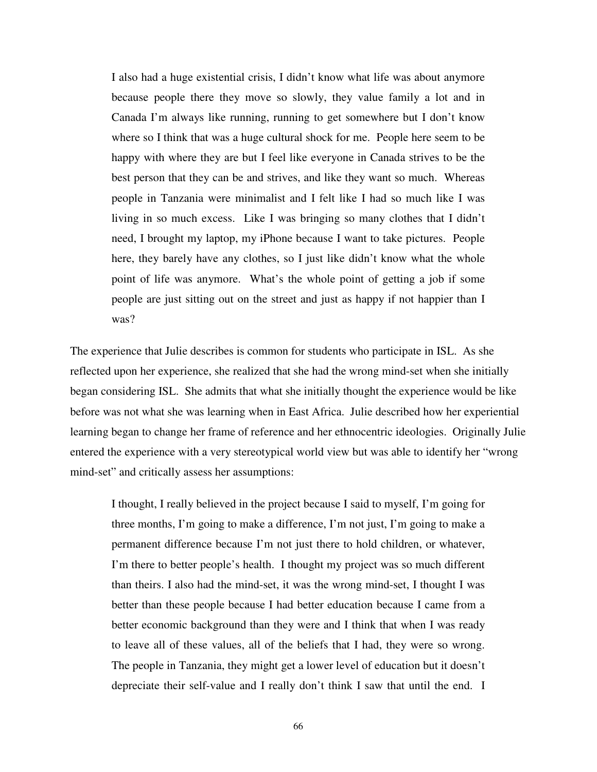I also had a huge existential crisis, I didn't know what life was about anymore because people there they move so slowly, they value family a lot and in Canada I'm always like running, running to get somewhere but I don't know where so I think that was a huge cultural shock for me. People here seem to be happy with where they are but I feel like everyone in Canada strives to be the best person that they can be and strives, and like they want so much. Whereas people in Tanzania were minimalist and I felt like I had so much like I was living in so much excess. Like I was bringing so many clothes that I didn't need, I brought my laptop, my iPhone because I want to take pictures. People here, they barely have any clothes, so I just like didn't know what the whole point of life was anymore. What's the whole point of getting a job if some people are just sitting out on the street and just as happy if not happier than I was?

The experience that Julie describes is common for students who participate in ISL. As she reflected upon her experience, she realized that she had the wrong mind-set when she initially began considering ISL. She admits that what she initially thought the experience would be like before was not what she was learning when in East Africa. Julie described how her experiential learning began to change her frame of reference and her ethnocentric ideologies. Originally Julie entered the experience with a very stereotypical world view but was able to identify her "wrong mind-set" and critically assess her assumptions:

I thought, I really believed in the project because I said to myself, I'm going for three months, I'm going to make a difference, I'm not just, I'm going to make a permanent difference because I'm not just there to hold children, or whatever, I'm there to better people's health. I thought my project was so much different than theirs. I also had the mind-set, it was the wrong mind-set, I thought I was better than these people because I had better education because I came from a better economic background than they were and I think that when I was ready to leave all of these values, all of the beliefs that I had, they were so wrong. The people in Tanzania, they might get a lower level of education but it doesn't depreciate their self-value and I really don't think I saw that until the end. I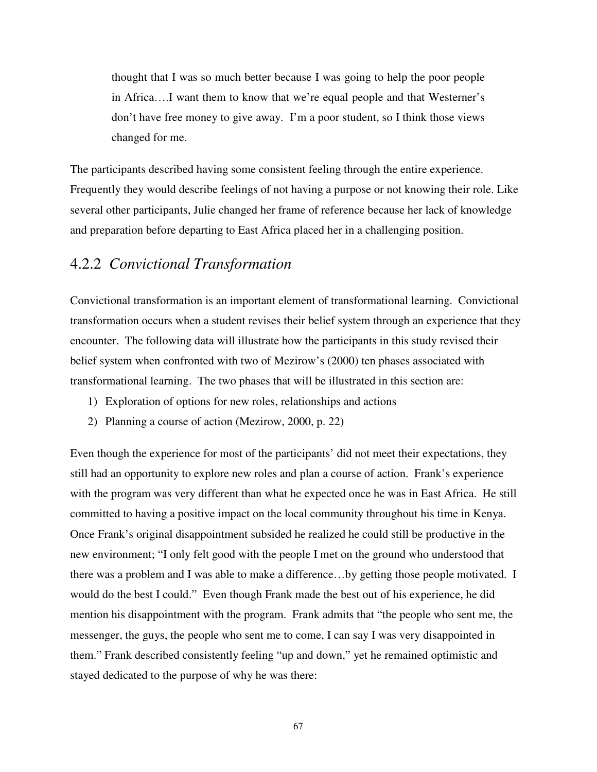thought that I was so much better because I was going to help the poor people in Africa….I want them to know that we're equal people and that Westerner's don't have free money to give away. I'm a poor student, so I think those views changed for me.

The participants described having some consistent feeling through the entire experience. Frequently they would describe feelings of not having a purpose or not knowing their role. Like several other participants, Julie changed her frame of reference because her lack of knowledge and preparation before departing to East Africa placed her in a challenging position.

# 4.2.2 *Convictional Transformation*

Convictional transformation is an important element of transformational learning. Convictional transformation occurs when a student revises their belief system through an experience that they encounter. The following data will illustrate how the participants in this study revised their belief system when confronted with two of Mezirow's (2000) ten phases associated with transformational learning. The two phases that will be illustrated in this section are:

- 1) Exploration of options for new roles, relationships and actions
- 2) Planning a course of action (Mezirow, 2000, p. 22)

Even though the experience for most of the participants' did not meet their expectations, they still had an opportunity to explore new roles and plan a course of action. Frank's experience with the program was very different than what he expected once he was in East Africa. He still committed to having a positive impact on the local community throughout his time in Kenya. Once Frank's original disappointment subsided he realized he could still be productive in the new environment; "I only felt good with the people I met on the ground who understood that there was a problem and I was able to make a difference…by getting those people motivated. I would do the best I could." Even though Frank made the best out of his experience, he did mention his disappointment with the program. Frank admits that "the people who sent me, the messenger, the guys, the people who sent me to come, I can say I was very disappointed in them." Frank described consistently feeling "up and down," yet he remained optimistic and stayed dedicated to the purpose of why he was there: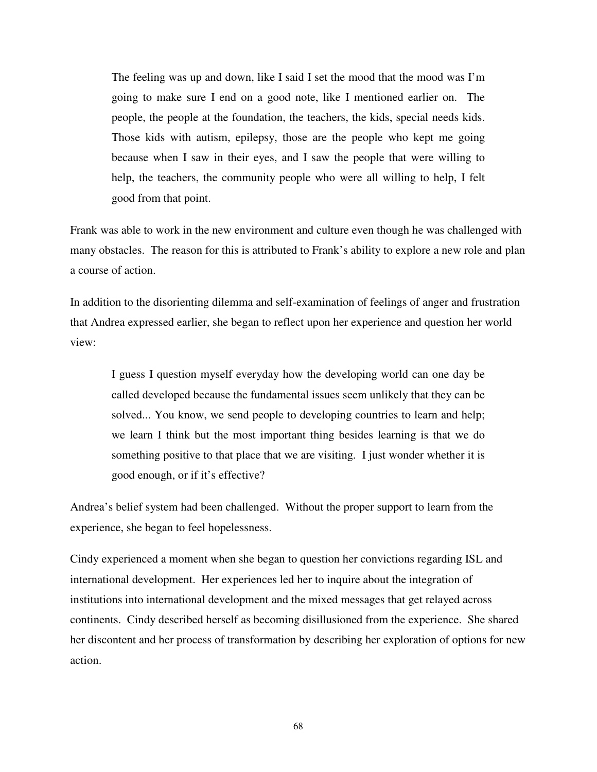The feeling was up and down, like I said I set the mood that the mood was I'm going to make sure I end on a good note, like I mentioned earlier on. The people, the people at the foundation, the teachers, the kids, special needs kids. Those kids with autism, epilepsy, those are the people who kept me going because when I saw in their eyes, and I saw the people that were willing to help, the teachers, the community people who were all willing to help, I felt good from that point.

Frank was able to work in the new environment and culture even though he was challenged with many obstacles. The reason for this is attributed to Frank's ability to explore a new role and plan a course of action.

In addition to the disorienting dilemma and self-examination of feelings of anger and frustration that Andrea expressed earlier, she began to reflect upon her experience and question her world view:

I guess I question myself everyday how the developing world can one day be called developed because the fundamental issues seem unlikely that they can be solved... You know, we send people to developing countries to learn and help; we learn I think but the most important thing besides learning is that we do something positive to that place that we are visiting. I just wonder whether it is good enough, or if it's effective?

Andrea's belief system had been challenged. Without the proper support to learn from the experience, she began to feel hopelessness.

Cindy experienced a moment when she began to question her convictions regarding ISL and international development. Her experiences led her to inquire about the integration of institutions into international development and the mixed messages that get relayed across continents. Cindy described herself as becoming disillusioned from the experience. She shared her discontent and her process of transformation by describing her exploration of options for new action.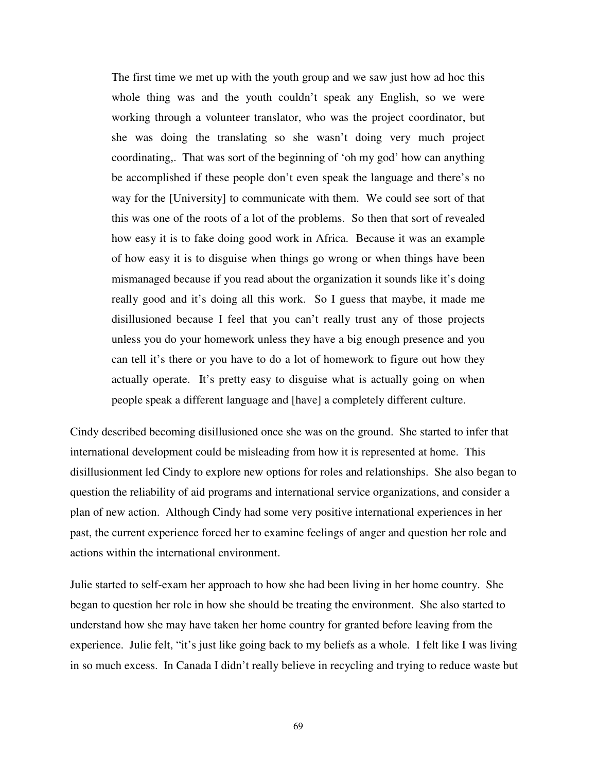The first time we met up with the youth group and we saw just how ad hoc this whole thing was and the youth couldn't speak any English, so we were working through a volunteer translator, who was the project coordinator, but she was doing the translating so she wasn't doing very much project coordinating,. That was sort of the beginning of 'oh my god' how can anything be accomplished if these people don't even speak the language and there's no way for the [University] to communicate with them. We could see sort of that this was one of the roots of a lot of the problems. So then that sort of revealed how easy it is to fake doing good work in Africa. Because it was an example of how easy it is to disguise when things go wrong or when things have been mismanaged because if you read about the organization it sounds like it's doing really good and it's doing all this work. So I guess that maybe, it made me disillusioned because I feel that you can't really trust any of those projects unless you do your homework unless they have a big enough presence and you can tell it's there or you have to do a lot of homework to figure out how they actually operate. It's pretty easy to disguise what is actually going on when people speak a different language and [have] a completely different culture.

Cindy described becoming disillusioned once she was on the ground. She started to infer that international development could be misleading from how it is represented at home. This disillusionment led Cindy to explore new options for roles and relationships. She also began to question the reliability of aid programs and international service organizations, and consider a plan of new action. Although Cindy had some very positive international experiences in her past, the current experience forced her to examine feelings of anger and question her role and actions within the international environment.

Julie started to self-exam her approach to how she had been living in her home country. She began to question her role in how she should be treating the environment. She also started to understand how she may have taken her home country for granted before leaving from the experience. Julie felt, "it's just like going back to my beliefs as a whole. I felt like I was living in so much excess. In Canada I didn't really believe in recycling and trying to reduce waste but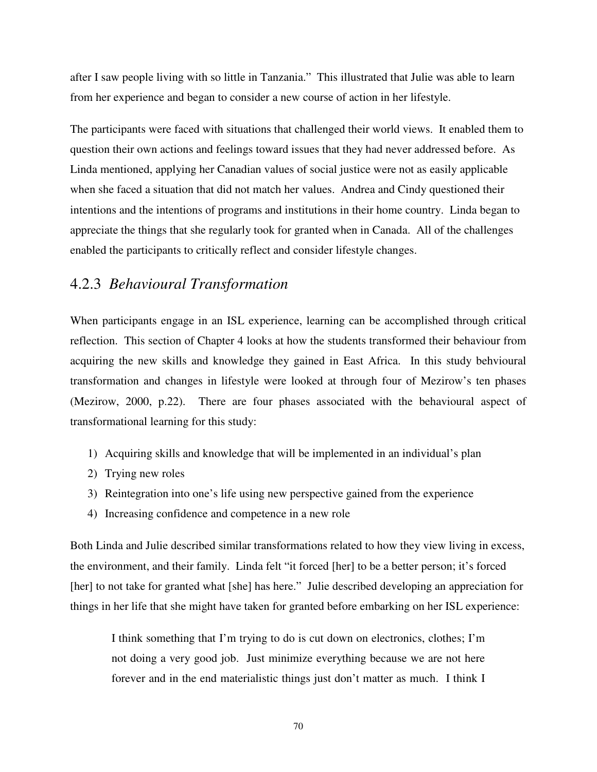after I saw people living with so little in Tanzania." This illustrated that Julie was able to learn from her experience and began to consider a new course of action in her lifestyle.

The participants were faced with situations that challenged their world views. It enabled them to question their own actions and feelings toward issues that they had never addressed before. As Linda mentioned, applying her Canadian values of social justice were not as easily applicable when she faced a situation that did not match her values. Andrea and Cindy questioned their intentions and the intentions of programs and institutions in their home country. Linda began to appreciate the things that she regularly took for granted when in Canada. All of the challenges enabled the participants to critically reflect and consider lifestyle changes.

### 4.2.3 *Behavioural Transformation*

When participants engage in an ISL experience, learning can be accomplished through critical reflection. This section of Chapter 4 looks at how the students transformed their behaviour from acquiring the new skills and knowledge they gained in East Africa. In this study behvioural transformation and changes in lifestyle were looked at through four of Mezirow's ten phases (Mezirow, 2000, p.22). There are four phases associated with the behavioural aspect of transformational learning for this study:

- 1) Acquiring skills and knowledge that will be implemented in an individual's plan
- 2) Trying new roles
- 3) Reintegration into one's life using new perspective gained from the experience
- 4) Increasing confidence and competence in a new role

Both Linda and Julie described similar transformations related to how they view living in excess, the environment, and their family. Linda felt "it forced [her] to be a better person; it's forced [her] to not take for granted what [she] has here." Julie described developing an appreciation for things in her life that she might have taken for granted before embarking on her ISL experience:

I think something that I'm trying to do is cut down on electronics, clothes; I'm not doing a very good job. Just minimize everything because we are not here forever and in the end materialistic things just don't matter as much. I think I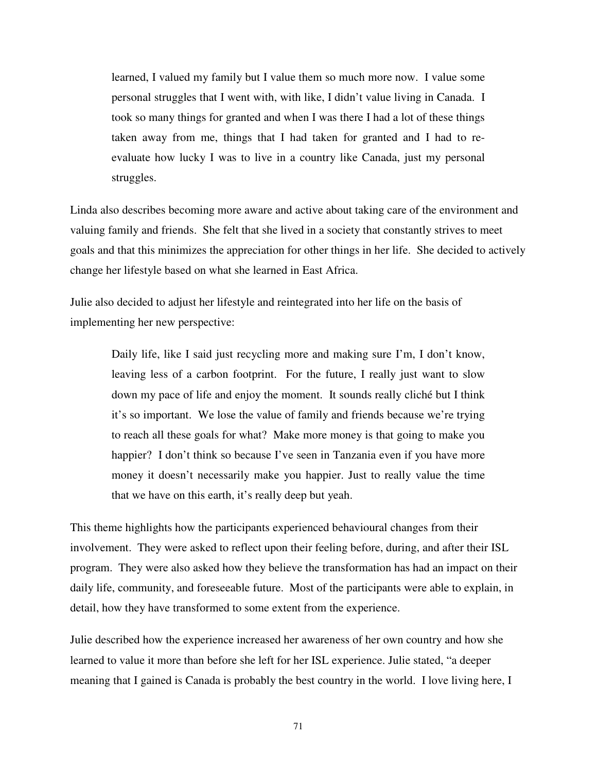learned, I valued my family but I value them so much more now. I value some personal struggles that I went with, with like, I didn't value living in Canada. I took so many things for granted and when I was there I had a lot of these things taken away from me, things that I had taken for granted and I had to reevaluate how lucky I was to live in a country like Canada, just my personal struggles.

Linda also describes becoming more aware and active about taking care of the environment and valuing family and friends. She felt that she lived in a society that constantly strives to meet goals and that this minimizes the appreciation for other things in her life. She decided to actively change her lifestyle based on what she learned in East Africa.

Julie also decided to adjust her lifestyle and reintegrated into her life on the basis of implementing her new perspective:

> Daily life, like I said just recycling more and making sure I'm, I don't know, leaving less of a carbon footprint. For the future, I really just want to slow down my pace of life and enjoy the moment. It sounds really cliché but I think it's so important. We lose the value of family and friends because we're trying to reach all these goals for what? Make more money is that going to make you happier? I don't think so because I've seen in Tanzania even if you have more money it doesn't necessarily make you happier. Just to really value the time that we have on this earth, it's really deep but yeah.

This theme highlights how the participants experienced behavioural changes from their involvement. They were asked to reflect upon their feeling before, during, and after their ISL program. They were also asked how they believe the transformation has had an impact on their daily life, community, and foreseeable future. Most of the participants were able to explain, in detail, how they have transformed to some extent from the experience.

Julie described how the experience increased her awareness of her own country and how she learned to value it more than before she left for her ISL experience. Julie stated, "a deeper meaning that I gained is Canada is probably the best country in the world. I love living here, I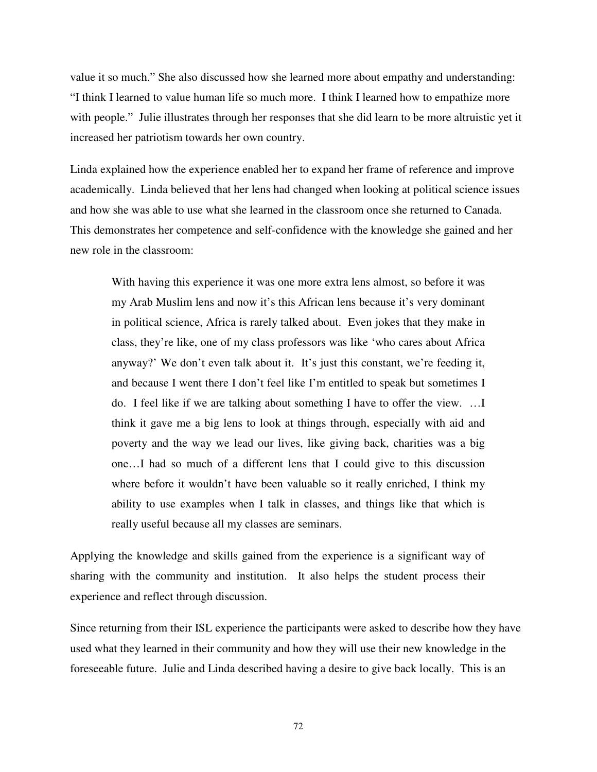value it so much." She also discussed how she learned more about empathy and understanding: "I think I learned to value human life so much more. I think I learned how to empathize more with people." Julie illustrates through her responses that she did learn to be more altruistic yet it increased her patriotism towards her own country.

Linda explained how the experience enabled her to expand her frame of reference and improve academically. Linda believed that her lens had changed when looking at political science issues and how she was able to use what she learned in the classroom once she returned to Canada. This demonstrates her competence and self-confidence with the knowledge she gained and her new role in the classroom:

With having this experience it was one more extra lens almost, so before it was my Arab Muslim lens and now it's this African lens because it's very dominant in political science, Africa is rarely talked about. Even jokes that they make in class, they're like, one of my class professors was like 'who cares about Africa anyway?' We don't even talk about it. It's just this constant, we're feeding it, and because I went there I don't feel like I'm entitled to speak but sometimes I do. I feel like if we are talking about something I have to offer the view. …I think it gave me a big lens to look at things through, especially with aid and poverty and the way we lead our lives, like giving back, charities was a big one…I had so much of a different lens that I could give to this discussion where before it wouldn't have been valuable so it really enriched, I think my ability to use examples when I talk in classes, and things like that which is really useful because all my classes are seminars.

Applying the knowledge and skills gained from the experience is a significant way of sharing with the community and institution. It also helps the student process their experience and reflect through discussion.

Since returning from their ISL experience the participants were asked to describe how they have used what they learned in their community and how they will use their new knowledge in the foreseeable future. Julie and Linda described having a desire to give back locally. This is an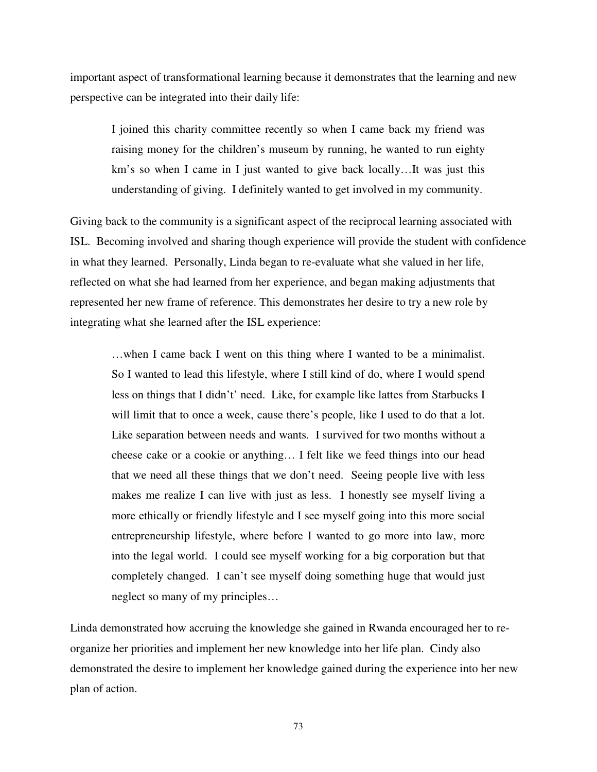important aspect of transformational learning because it demonstrates that the learning and new perspective can be integrated into their daily life:

I joined this charity committee recently so when I came back my friend was raising money for the children's museum by running, he wanted to run eighty km's so when I came in I just wanted to give back locally…It was just this understanding of giving. I definitely wanted to get involved in my community.

Giving back to the community is a significant aspect of the reciprocal learning associated with ISL. Becoming involved and sharing though experience will provide the student with confidence in what they learned. Personally, Linda began to re-evaluate what she valued in her life, reflected on what she had learned from her experience, and began making adjustments that represented her new frame of reference. This demonstrates her desire to try a new role by integrating what she learned after the ISL experience:

…when I came back I went on this thing where I wanted to be a minimalist. So I wanted to lead this lifestyle, where I still kind of do, where I would spend less on things that I didn't' need. Like, for example like lattes from Starbucks I will limit that to once a week, cause there's people, like I used to do that a lot. Like separation between needs and wants. I survived for two months without a cheese cake or a cookie or anything… I felt like we feed things into our head that we need all these things that we don't need. Seeing people live with less makes me realize I can live with just as less. I honestly see myself living a more ethically or friendly lifestyle and I see myself going into this more social entrepreneurship lifestyle, where before I wanted to go more into law, more into the legal world. I could see myself working for a big corporation but that completely changed. I can't see myself doing something huge that would just neglect so many of my principles…

Linda demonstrated how accruing the knowledge she gained in Rwanda encouraged her to reorganize her priorities and implement her new knowledge into her life plan. Cindy also demonstrated the desire to implement her knowledge gained during the experience into her new plan of action.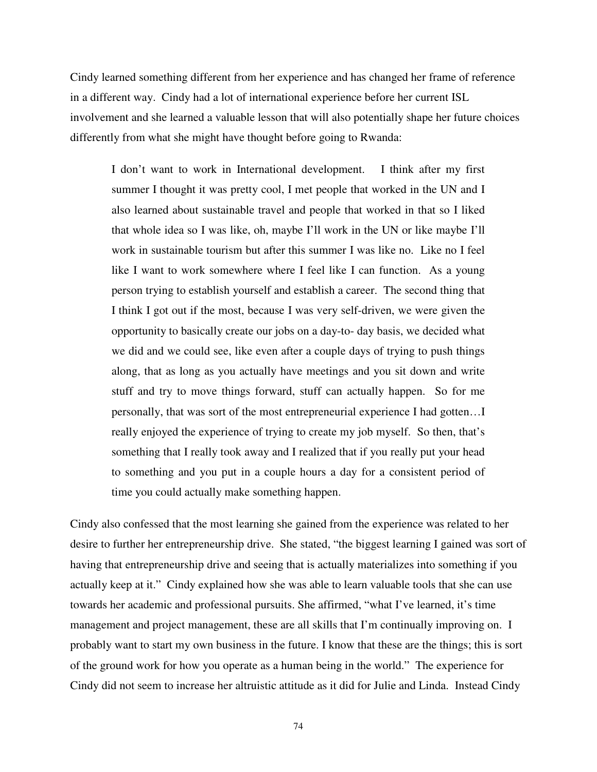Cindy learned something different from her experience and has changed her frame of reference in a different way. Cindy had a lot of international experience before her current ISL involvement and she learned a valuable lesson that will also potentially shape her future choices differently from what she might have thought before going to Rwanda:

I don't want to work in International development. I think after my first summer I thought it was pretty cool, I met people that worked in the UN and I also learned about sustainable travel and people that worked in that so I liked that whole idea so I was like, oh, maybe I'll work in the UN or like maybe I'll work in sustainable tourism but after this summer I was like no. Like no I feel like I want to work somewhere where I feel like I can function. As a young person trying to establish yourself and establish a career. The second thing that I think I got out if the most, because I was very self-driven, we were given the opportunity to basically create our jobs on a day-to- day basis, we decided what we did and we could see, like even after a couple days of trying to push things along, that as long as you actually have meetings and you sit down and write stuff and try to move things forward, stuff can actually happen. So for me personally, that was sort of the most entrepreneurial experience I had gotten…I really enjoyed the experience of trying to create my job myself. So then, that's something that I really took away and I realized that if you really put your head to something and you put in a couple hours a day for a consistent period of time you could actually make something happen.

Cindy also confessed that the most learning she gained from the experience was related to her desire to further her entrepreneurship drive. She stated, "the biggest learning I gained was sort of having that entrepreneurship drive and seeing that is actually materializes into something if you actually keep at it." Cindy explained how she was able to learn valuable tools that she can use towards her academic and professional pursuits. She affirmed, "what I've learned, it's time management and project management, these are all skills that I'm continually improving on. I probably want to start my own business in the future. I know that these are the things; this is sort of the ground work for how you operate as a human being in the world." The experience for Cindy did not seem to increase her altruistic attitude as it did for Julie and Linda. Instead Cindy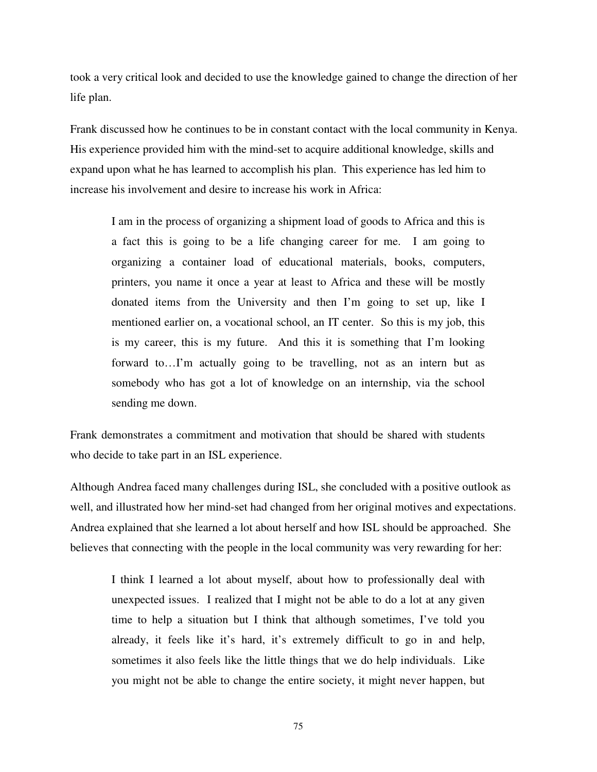took a very critical look and decided to use the knowledge gained to change the direction of her life plan.

Frank discussed how he continues to be in constant contact with the local community in Kenya. His experience provided him with the mind-set to acquire additional knowledge, skills and expand upon what he has learned to accomplish his plan. This experience has led him to increase his involvement and desire to increase his work in Africa:

I am in the process of organizing a shipment load of goods to Africa and this is a fact this is going to be a life changing career for me. I am going to organizing a container load of educational materials, books, computers, printers, you name it once a year at least to Africa and these will be mostly donated items from the University and then I'm going to set up, like I mentioned earlier on, a vocational school, an IT center. So this is my job, this is my career, this is my future. And this it is something that I'm looking forward to…I'm actually going to be travelling, not as an intern but as somebody who has got a lot of knowledge on an internship, via the school sending me down.

Frank demonstrates a commitment and motivation that should be shared with students who decide to take part in an ISL experience.

Although Andrea faced many challenges during ISL, she concluded with a positive outlook as well, and illustrated how her mind-set had changed from her original motives and expectations. Andrea explained that she learned a lot about herself and how ISL should be approached. She believes that connecting with the people in the local community was very rewarding for her:

I think I learned a lot about myself, about how to professionally deal with unexpected issues. I realized that I might not be able to do a lot at any given time to help a situation but I think that although sometimes, I've told you already, it feels like it's hard, it's extremely difficult to go in and help, sometimes it also feels like the little things that we do help individuals. Like you might not be able to change the entire society, it might never happen, but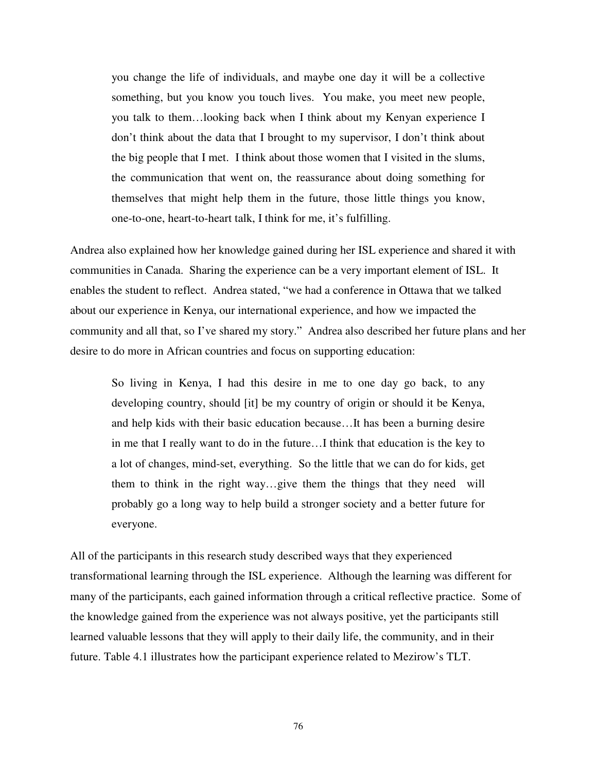you change the life of individuals, and maybe one day it will be a collective something, but you know you touch lives. You make, you meet new people, you talk to them…looking back when I think about my Kenyan experience I don't think about the data that I brought to my supervisor, I don't think about the big people that I met. I think about those women that I visited in the slums, the communication that went on, the reassurance about doing something for themselves that might help them in the future, those little things you know, one-to-one, heart-to-heart talk, I think for me, it's fulfilling.

Andrea also explained how her knowledge gained during her ISL experience and shared it with communities in Canada. Sharing the experience can be a very important element of ISL. It enables the student to reflect. Andrea stated, "we had a conference in Ottawa that we talked about our experience in Kenya, our international experience, and how we impacted the community and all that, so I've shared my story." Andrea also described her future plans and her desire to do more in African countries and focus on supporting education:

So living in Kenya, I had this desire in me to one day go back, to any developing country, should [it] be my country of origin or should it be Kenya, and help kids with their basic education because…It has been a burning desire in me that I really want to do in the future…I think that education is the key to a lot of changes, mind-set, everything. So the little that we can do for kids, get them to think in the right way…give them the things that they need will probably go a long way to help build a stronger society and a better future for everyone.

All of the participants in this research study described ways that they experienced transformational learning through the ISL experience. Although the learning was different for many of the participants, each gained information through a critical reflective practice. Some of the knowledge gained from the experience was not always positive, yet the participants still learned valuable lessons that they will apply to their daily life, the community, and in their future. Table 4.1 illustrates how the participant experience related to Mezirow's TLT.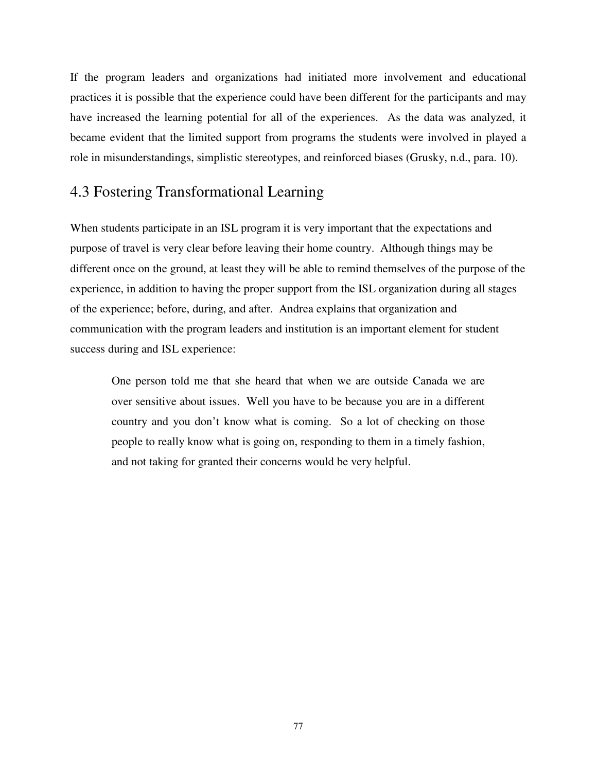If the program leaders and organizations had initiated more involvement and educational practices it is possible that the experience could have been different for the participants and may have increased the learning potential for all of the experiences. As the data was analyzed, it became evident that the limited support from programs the students were involved in played a role in misunderstandings, simplistic stereotypes, and reinforced biases (Grusky, n.d., para. 10).

# 4.3 Fostering Transformational Learning

When students participate in an ISL program it is very important that the expectations and purpose of travel is very clear before leaving their home country. Although things may be different once on the ground, at least they will be able to remind themselves of the purpose of the experience, in addition to having the proper support from the ISL organization during all stages of the experience; before, during, and after. Andrea explains that organization and communication with the program leaders and institution is an important element for student success during and ISL experience:

One person told me that she heard that when we are outside Canada we are over sensitive about issues. Well you have to be because you are in a different country and you don't know what is coming. So a lot of checking on those people to really know what is going on, responding to them in a timely fashion, and not taking for granted their concerns would be very helpful.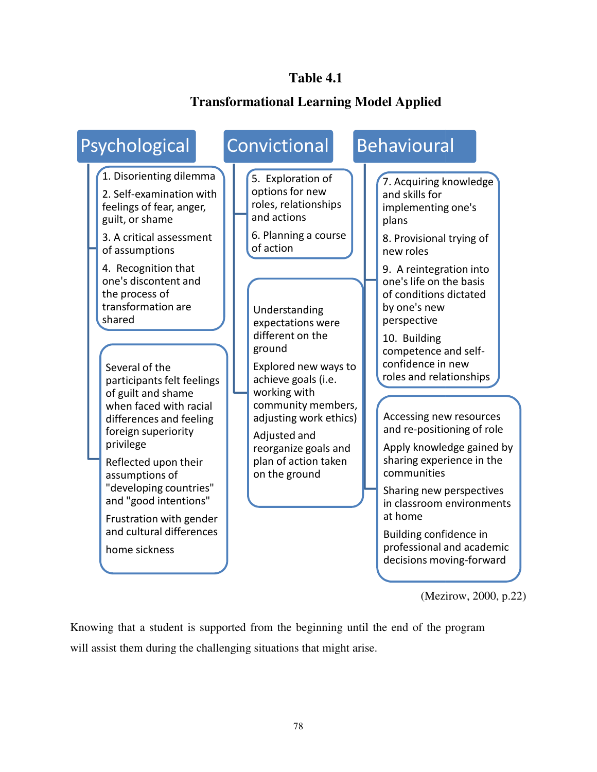# **Table 4.1**

# **Transformational Learning Model Applied Applied**

| 1. Disorienting dilemma                                                                                                                                                                                                                                                                                                                                                                                                           | 5. Exploration of                                                                                                                                                                                                                                                | 7. Acquiring knowledge                                                                                                                                                                                                                                                                                                                                                                                                                                                                       |
|-----------------------------------------------------------------------------------------------------------------------------------------------------------------------------------------------------------------------------------------------------------------------------------------------------------------------------------------------------------------------------------------------------------------------------------|------------------------------------------------------------------------------------------------------------------------------------------------------------------------------------------------------------------------------------------------------------------|----------------------------------------------------------------------------------------------------------------------------------------------------------------------------------------------------------------------------------------------------------------------------------------------------------------------------------------------------------------------------------------------------------------------------------------------------------------------------------------------|
| 2. Self-examination with                                                                                                                                                                                                                                                                                                                                                                                                          | options for new                                                                                                                                                                                                                                                  | and skills for                                                                                                                                                                                                                                                                                                                                                                                                                                                                               |
| feelings of fear, anger,                                                                                                                                                                                                                                                                                                                                                                                                          | roles, relationships                                                                                                                                                                                                                                             | implementing one's                                                                                                                                                                                                                                                                                                                                                                                                                                                                           |
| guilt, or shame                                                                                                                                                                                                                                                                                                                                                                                                                   | and actions                                                                                                                                                                                                                                                      | plans                                                                                                                                                                                                                                                                                                                                                                                                                                                                                        |
| 3. A critical assessment                                                                                                                                                                                                                                                                                                                                                                                                          | 6. Planning a course                                                                                                                                                                                                                                             | 8. Provisional trying of                                                                                                                                                                                                                                                                                                                                                                                                                                                                     |
| of assumptions                                                                                                                                                                                                                                                                                                                                                                                                                    | of action                                                                                                                                                                                                                                                        | new roles                                                                                                                                                                                                                                                                                                                                                                                                                                                                                    |
| 4. Recognition that<br>one's discontent and<br>the process of<br>transformation are<br>shared<br>Several of the<br>participants felt feelings<br>of guilt and shame<br>when faced with racial<br>differences and feeling<br>foreign superiority<br>privilege<br>Reflected upon their<br>assumptions of<br>"developing countries"<br>and "good intentions"<br>Frustration with gender<br>and cultural differences<br>home sickness | Understanding<br>expectations were<br>different on the<br>ground<br>Explored new ways to<br>achieve goals (i.e.<br>working with<br>community members,<br>adjusting work ethics)<br>Adjusted and<br>reorganize goals and<br>plan of action taken<br>on the ground | 9. A reintegration into<br>one's life on the basis<br>of conditions dictated<br>by one's new<br>perspective<br>10. Building<br>competence and self-<br>confidence in new<br>roles and relationships<br>Accessing new resources<br>and re-positioning of role<br>Apply knowledge gained by<br>sharing experience in the<br>communities<br>Sharing new perspectives<br>in classroom environments<br>at home<br>Building confidence in<br>professional and academic<br>decisions moving-forward |

(Mezirow, 2000, p.22)

Knowing that a student is supported from the beginning until the end of the program will assist them during the challenging situations that might arise.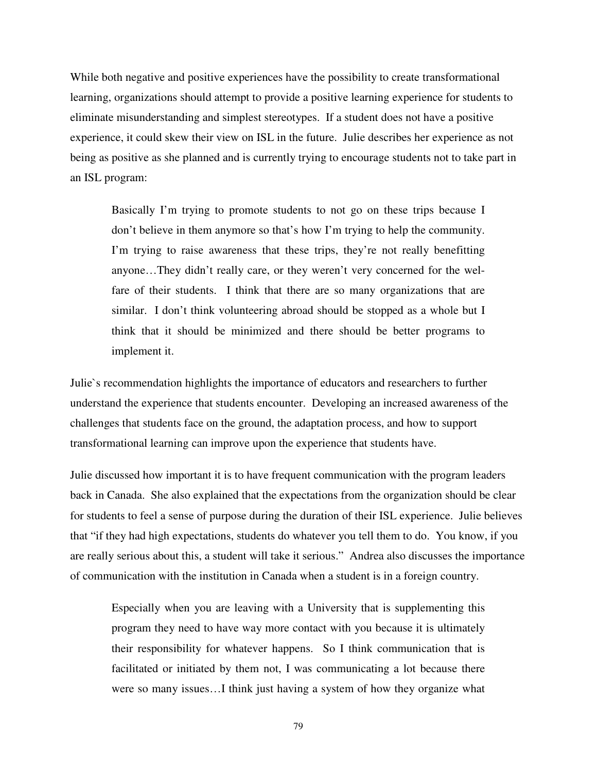While both negative and positive experiences have the possibility to create transformational learning, organizations should attempt to provide a positive learning experience for students to eliminate misunderstanding and simplest stereotypes. If a student does not have a positive experience, it could skew their view on ISL in the future. Julie describes her experience as not being as positive as she planned and is currently trying to encourage students not to take part in an ISL program:

Basically I'm trying to promote students to not go on these trips because I don't believe in them anymore so that's how I'm trying to help the community. I'm trying to raise awareness that these trips, they're not really benefitting anyone…They didn't really care, or they weren't very concerned for the welfare of their students. I think that there are so many organizations that are similar. I don't think volunteering abroad should be stopped as a whole but I think that it should be minimized and there should be better programs to implement it.

Julie`s recommendation highlights the importance of educators and researchers to further understand the experience that students encounter. Developing an increased awareness of the challenges that students face on the ground, the adaptation process, and how to support transformational learning can improve upon the experience that students have.

Julie discussed how important it is to have frequent communication with the program leaders back in Canada. She also explained that the expectations from the organization should be clear for students to feel a sense of purpose during the duration of their ISL experience. Julie believes that "if they had high expectations, students do whatever you tell them to do. You know, if you are really serious about this, a student will take it serious." Andrea also discusses the importance of communication with the institution in Canada when a student is in a foreign country.

Especially when you are leaving with a University that is supplementing this program they need to have way more contact with you because it is ultimately their responsibility for whatever happens. So I think communication that is facilitated or initiated by them not, I was communicating a lot because there were so many issues…I think just having a system of how they organize what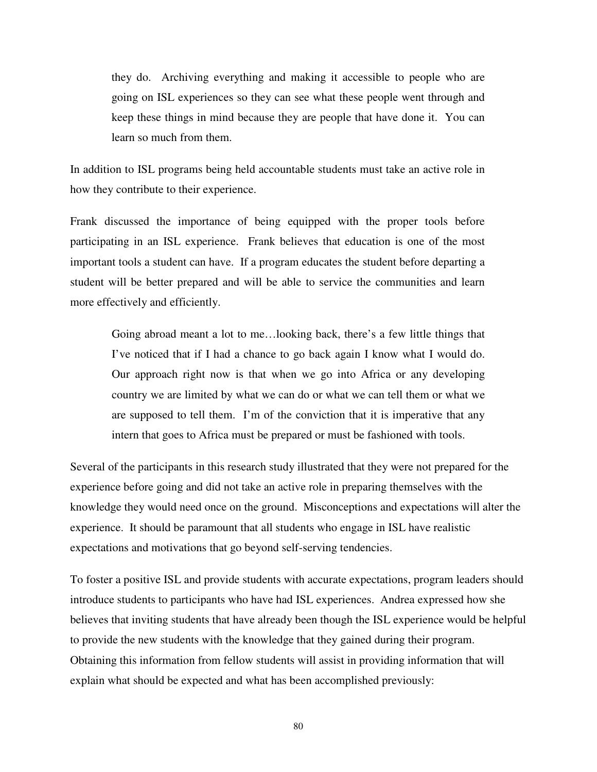they do. Archiving everything and making it accessible to people who are going on ISL experiences so they can see what these people went through and keep these things in mind because they are people that have done it. You can learn so much from them.

In addition to ISL programs being held accountable students must take an active role in how they contribute to their experience.

Frank discussed the importance of being equipped with the proper tools before participating in an ISL experience. Frank believes that education is one of the most important tools a student can have. If a program educates the student before departing a student will be better prepared and will be able to service the communities and learn more effectively and efficiently.

Going abroad meant a lot to me…looking back, there's a few little things that I've noticed that if I had a chance to go back again I know what I would do. Our approach right now is that when we go into Africa or any developing country we are limited by what we can do or what we can tell them or what we are supposed to tell them. I'm of the conviction that it is imperative that any intern that goes to Africa must be prepared or must be fashioned with tools.

Several of the participants in this research study illustrated that they were not prepared for the experience before going and did not take an active role in preparing themselves with the knowledge they would need once on the ground. Misconceptions and expectations will alter the experience. It should be paramount that all students who engage in ISL have realistic expectations and motivations that go beyond self-serving tendencies.

To foster a positive ISL and provide students with accurate expectations, program leaders should introduce students to participants who have had ISL experiences. Andrea expressed how she believes that inviting students that have already been though the ISL experience would be helpful to provide the new students with the knowledge that they gained during their program. Obtaining this information from fellow students will assist in providing information that will explain what should be expected and what has been accomplished previously: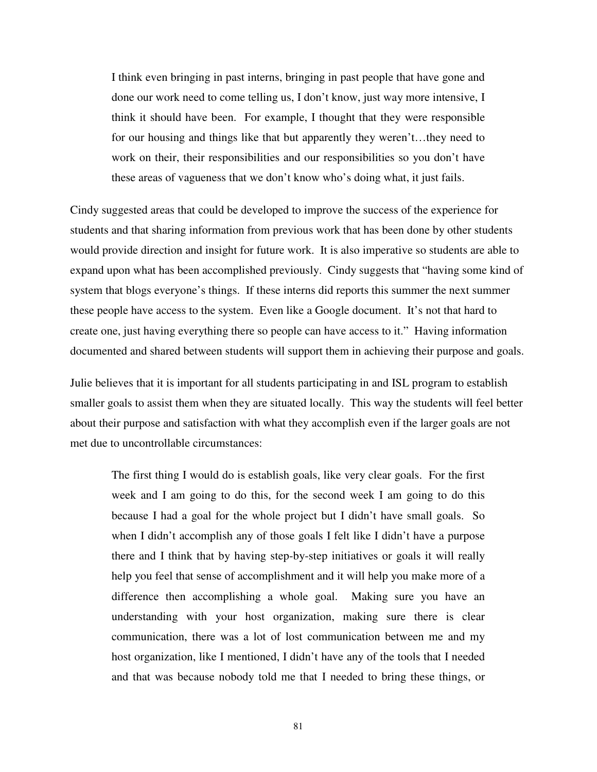I think even bringing in past interns, bringing in past people that have gone and done our work need to come telling us, I don't know, just way more intensive, I think it should have been. For example, I thought that they were responsible for our housing and things like that but apparently they weren't…they need to work on their, their responsibilities and our responsibilities so you don't have these areas of vagueness that we don't know who's doing what, it just fails.

Cindy suggested areas that could be developed to improve the success of the experience for students and that sharing information from previous work that has been done by other students would provide direction and insight for future work. It is also imperative so students are able to expand upon what has been accomplished previously. Cindy suggests that "having some kind of system that blogs everyone's things. If these interns did reports this summer the next summer these people have access to the system. Even like a Google document. It's not that hard to create one, just having everything there so people can have access to it." Having information documented and shared between students will support them in achieving their purpose and goals.

Julie believes that it is important for all students participating in and ISL program to establish smaller goals to assist them when they are situated locally. This way the students will feel better about their purpose and satisfaction with what they accomplish even if the larger goals are not met due to uncontrollable circumstances:

The first thing I would do is establish goals, like very clear goals. For the first week and I am going to do this, for the second week I am going to do this because I had a goal for the whole project but I didn't have small goals. So when I didn't accomplish any of those goals I felt like I didn't have a purpose there and I think that by having step-by-step initiatives or goals it will really help you feel that sense of accomplishment and it will help you make more of a difference then accomplishing a whole goal. Making sure you have an understanding with your host organization, making sure there is clear communication, there was a lot of lost communication between me and my host organization, like I mentioned, I didn't have any of the tools that I needed and that was because nobody told me that I needed to bring these things, or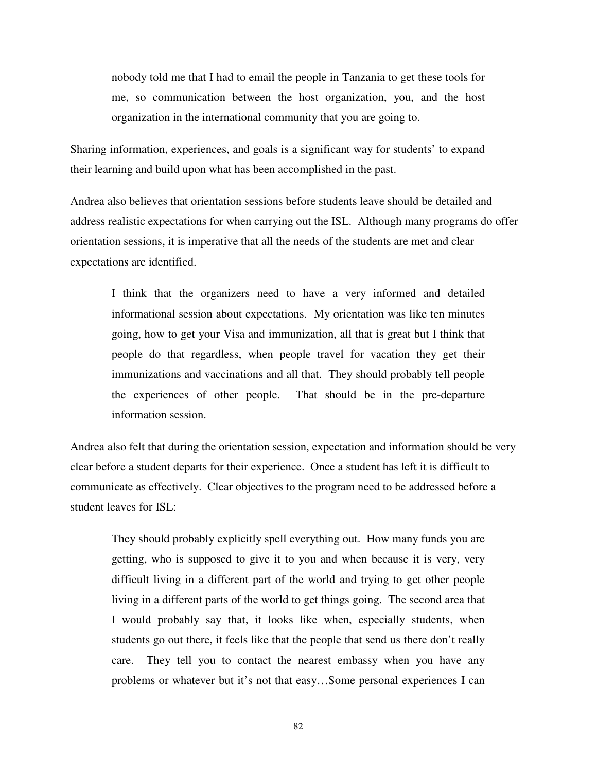nobody told me that I had to email the people in Tanzania to get these tools for me, so communication between the host organization, you, and the host organization in the international community that you are going to.

Sharing information, experiences, and goals is a significant way for students' to expand their learning and build upon what has been accomplished in the past.

Andrea also believes that orientation sessions before students leave should be detailed and address realistic expectations for when carrying out the ISL. Although many programs do offer orientation sessions, it is imperative that all the needs of the students are met and clear expectations are identified.

I think that the organizers need to have a very informed and detailed informational session about expectations. My orientation was like ten minutes going, how to get your Visa and immunization, all that is great but I think that people do that regardless, when people travel for vacation they get their immunizations and vaccinations and all that. They should probably tell people the experiences of other people. That should be in the pre-departure information session.

Andrea also felt that during the orientation session, expectation and information should be very clear before a student departs for their experience. Once a student has left it is difficult to communicate as effectively. Clear objectives to the program need to be addressed before a student leaves for ISL:

They should probably explicitly spell everything out. How many funds you are getting, who is supposed to give it to you and when because it is very, very difficult living in a different part of the world and trying to get other people living in a different parts of the world to get things going. The second area that I would probably say that, it looks like when, especially students, when students go out there, it feels like that the people that send us there don't really care. They tell you to contact the nearest embassy when you have any problems or whatever but it's not that easy…Some personal experiences I can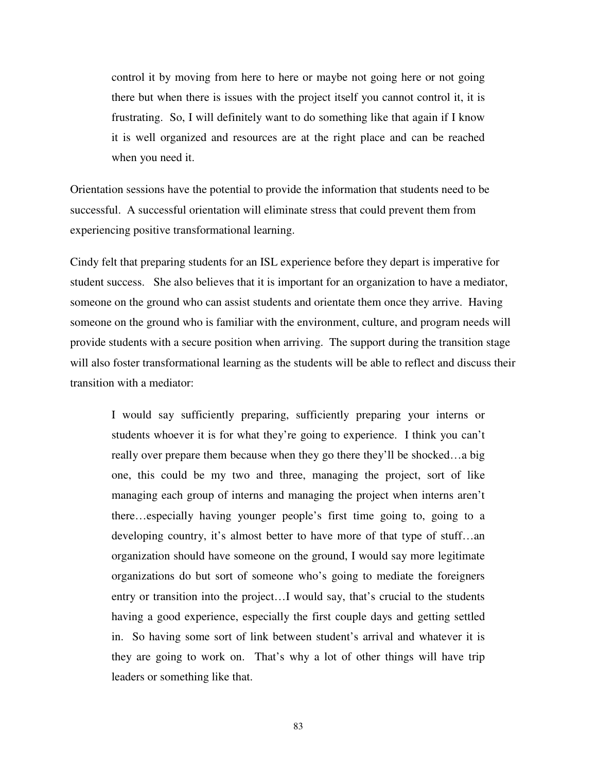control it by moving from here to here or maybe not going here or not going there but when there is issues with the project itself you cannot control it, it is frustrating. So, I will definitely want to do something like that again if I know it is well organized and resources are at the right place and can be reached when you need it.

Orientation sessions have the potential to provide the information that students need to be successful. A successful orientation will eliminate stress that could prevent them from experiencing positive transformational learning.

Cindy felt that preparing students for an ISL experience before they depart is imperative for student success. She also believes that it is important for an organization to have a mediator, someone on the ground who can assist students and orientate them once they arrive. Having someone on the ground who is familiar with the environment, culture, and program needs will provide students with a secure position when arriving. The support during the transition stage will also foster transformational learning as the students will be able to reflect and discuss their transition with a mediator:

I would say sufficiently preparing, sufficiently preparing your interns or students whoever it is for what they're going to experience. I think you can't really over prepare them because when they go there they'll be shocked…a big one, this could be my two and three, managing the project, sort of like managing each group of interns and managing the project when interns aren't there…especially having younger people's first time going to, going to a developing country, it's almost better to have more of that type of stuff…an organization should have someone on the ground, I would say more legitimate organizations do but sort of someone who's going to mediate the foreigners entry or transition into the project…I would say, that's crucial to the students having a good experience, especially the first couple days and getting settled in. So having some sort of link between student's arrival and whatever it is they are going to work on. That's why a lot of other things will have trip leaders or something like that.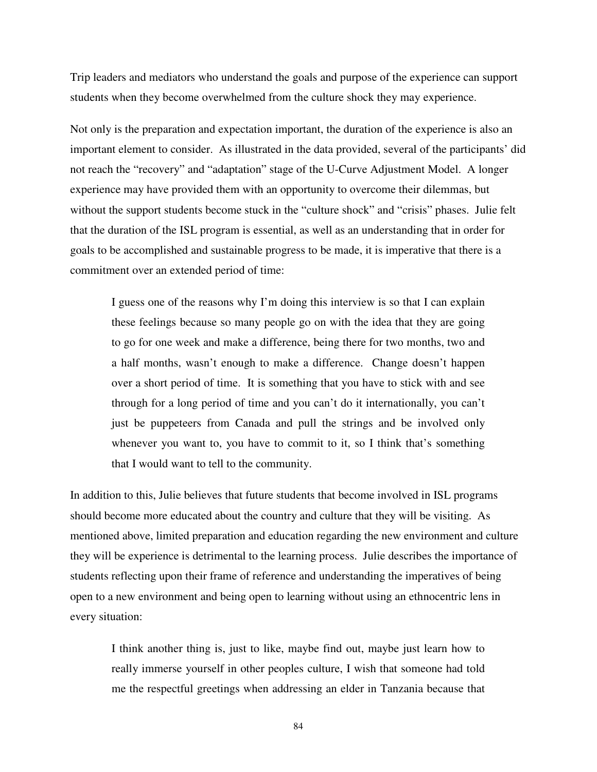Trip leaders and mediators who understand the goals and purpose of the experience can support students when they become overwhelmed from the culture shock they may experience.

Not only is the preparation and expectation important, the duration of the experience is also an important element to consider. As illustrated in the data provided, several of the participants' did not reach the "recovery" and "adaptation" stage of the U-Curve Adjustment Model. A longer experience may have provided them with an opportunity to overcome their dilemmas, but without the support students become stuck in the "culture shock" and "crisis" phases. Julie felt that the duration of the ISL program is essential, as well as an understanding that in order for goals to be accomplished and sustainable progress to be made, it is imperative that there is a commitment over an extended period of time:

I guess one of the reasons why I'm doing this interview is so that I can explain these feelings because so many people go on with the idea that they are going to go for one week and make a difference, being there for two months, two and a half months, wasn't enough to make a difference. Change doesn't happen over a short period of time. It is something that you have to stick with and see through for a long period of time and you can't do it internationally, you can't just be puppeteers from Canada and pull the strings and be involved only whenever you want to, you have to commit to it, so I think that's something that I would want to tell to the community.

In addition to this, Julie believes that future students that become involved in ISL programs should become more educated about the country and culture that they will be visiting. As mentioned above, limited preparation and education regarding the new environment and culture they will be experience is detrimental to the learning process. Julie describes the importance of students reflecting upon their frame of reference and understanding the imperatives of being open to a new environment and being open to learning without using an ethnocentric lens in every situation:

I think another thing is, just to like, maybe find out, maybe just learn how to really immerse yourself in other peoples culture, I wish that someone had told me the respectful greetings when addressing an elder in Tanzania because that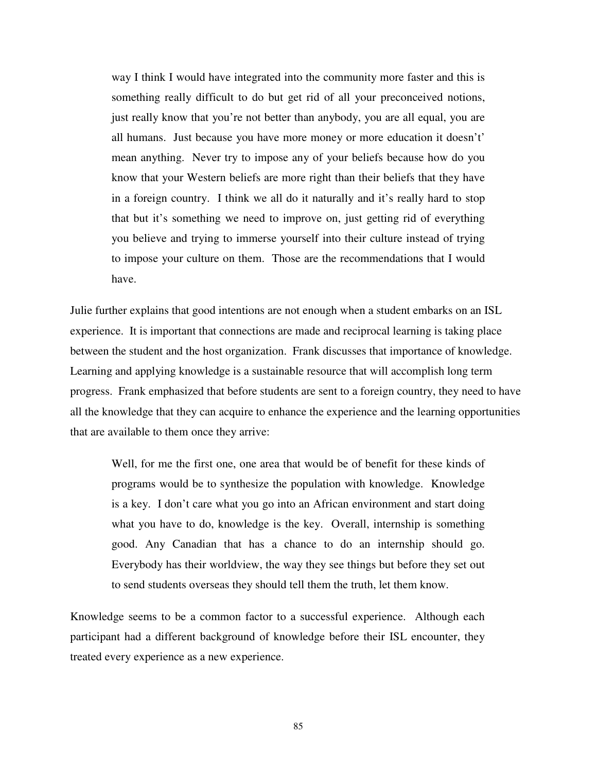way I think I would have integrated into the community more faster and this is something really difficult to do but get rid of all your preconceived notions, just really know that you're not better than anybody, you are all equal, you are all humans. Just because you have more money or more education it doesn't' mean anything. Never try to impose any of your beliefs because how do you know that your Western beliefs are more right than their beliefs that they have in a foreign country. I think we all do it naturally and it's really hard to stop that but it's something we need to improve on, just getting rid of everything you believe and trying to immerse yourself into their culture instead of trying to impose your culture on them. Those are the recommendations that I would have.

Julie further explains that good intentions are not enough when a student embarks on an ISL experience. It is important that connections are made and reciprocal learning is taking place between the student and the host organization. Frank discusses that importance of knowledge. Learning and applying knowledge is a sustainable resource that will accomplish long term progress. Frank emphasized that before students are sent to a foreign country, they need to have all the knowledge that they can acquire to enhance the experience and the learning opportunities that are available to them once they arrive:

Well, for me the first one, one area that would be of benefit for these kinds of programs would be to synthesize the population with knowledge. Knowledge is a key. I don't care what you go into an African environment and start doing what you have to do, knowledge is the key. Overall, internship is something good. Any Canadian that has a chance to do an internship should go. Everybody has their worldview, the way they see things but before they set out to send students overseas they should tell them the truth, let them know.

Knowledge seems to be a common factor to a successful experience. Although each participant had a different background of knowledge before their ISL encounter, they treated every experience as a new experience.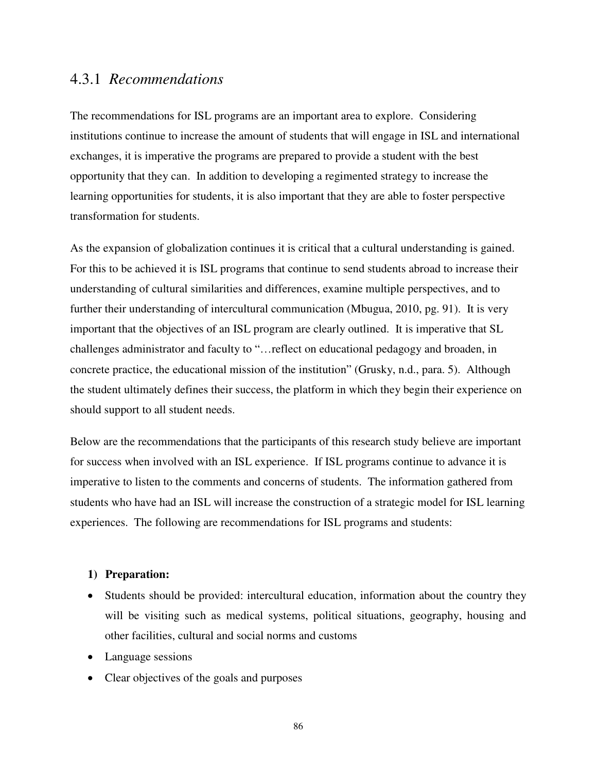#### 4.3.1 *Recommendations*

The recommendations for ISL programs are an important area to explore. Considering institutions continue to increase the amount of students that will engage in ISL and international exchanges, it is imperative the programs are prepared to provide a student with the best opportunity that they can. In addition to developing a regimented strategy to increase the learning opportunities for students, it is also important that they are able to foster perspective transformation for students.

As the expansion of globalization continues it is critical that a cultural understanding is gained. For this to be achieved it is ISL programs that continue to send students abroad to increase their understanding of cultural similarities and differences, examine multiple perspectives, and to further their understanding of intercultural communication (Mbugua, 2010, pg. 91). It is very important that the objectives of an ISL program are clearly outlined. It is imperative that SL challenges administrator and faculty to "…reflect on educational pedagogy and broaden, in concrete practice, the educational mission of the institution" (Grusky, n.d., para. 5). Although the student ultimately defines their success, the platform in which they begin their experience on should support to all student needs.

Below are the recommendations that the participants of this research study believe are important for success when involved with an ISL experience. If ISL programs continue to advance it is imperative to listen to the comments and concerns of students. The information gathered from students who have had an ISL will increase the construction of a strategic model for ISL learning experiences. The following are recommendations for ISL programs and students:

#### **1) Preparation:**

- Students should be provided: intercultural education, information about the country they will be visiting such as medical systems, political situations, geography, housing and other facilities, cultural and social norms and customs
- Language sessions
- Clear objectives of the goals and purposes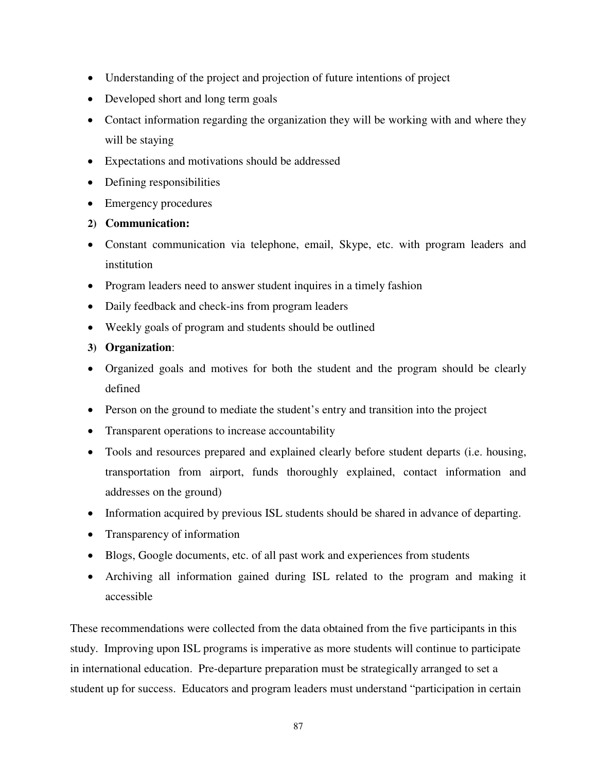- Understanding of the project and projection of future intentions of project
- Developed short and long term goals
- Contact information regarding the organization they will be working with and where they will be staying
- Expectations and motivations should be addressed
- Defining responsibilities
- Emergency procedures
- **2) Communication:**
- Constant communication via telephone, email, Skype, etc. with program leaders and institution
- Program leaders need to answer student inquires in a timely fashion
- Daily feedback and check-ins from program leaders
- Weekly goals of program and students should be outlined
- **3) Organization**:
- Organized goals and motives for both the student and the program should be clearly defined
- Person on the ground to mediate the student's entry and transition into the project
- Transparent operations to increase accountability
- Tools and resources prepared and explained clearly before student departs (i.e. housing, transportation from airport, funds thoroughly explained, contact information and addresses on the ground)
- Information acquired by previous ISL students should be shared in advance of departing.
- Transparency of information
- Blogs, Google documents, etc. of all past work and experiences from students
- Archiving all information gained during ISL related to the program and making it accessible

These recommendations were collected from the data obtained from the five participants in this study. Improving upon ISL programs is imperative as more students will continue to participate in international education. Pre-departure preparation must be strategically arranged to set a student up for success. Educators and program leaders must understand "participation in certain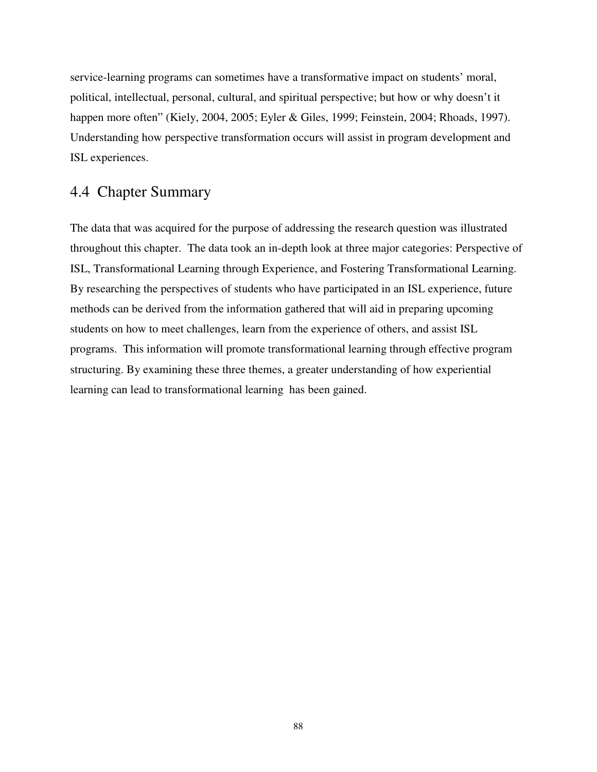service-learning programs can sometimes have a transformative impact on students' moral, political, intellectual, personal, cultural, and spiritual perspective; but how or why doesn't it happen more often" (Kiely, 2004, 2005; Eyler & Giles, 1999; Feinstein, 2004; Rhoads, 1997). Understanding how perspective transformation occurs will assist in program development and ISL experiences.

# 4.4 Chapter Summary

The data that was acquired for the purpose of addressing the research question was illustrated throughout this chapter. The data took an in-depth look at three major categories: Perspective of ISL, Transformational Learning through Experience, and Fostering Transformational Learning. By researching the perspectives of students who have participated in an ISL experience, future methods can be derived from the information gathered that will aid in preparing upcoming students on how to meet challenges, learn from the experience of others, and assist ISL programs. This information will promote transformational learning through effective program structuring. By examining these three themes, a greater understanding of how experiential learning can lead to transformational learning has been gained.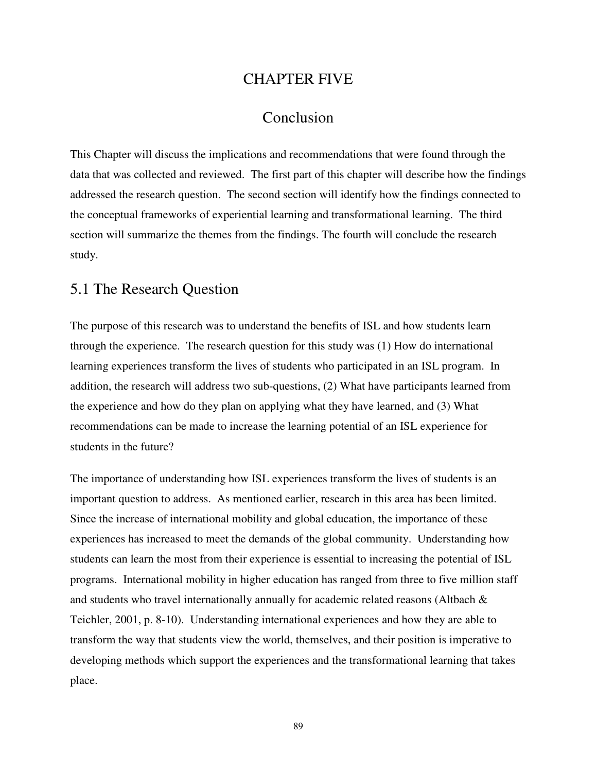# CHAPTER FIVE

#### Conclusion

This Chapter will discuss the implications and recommendations that were found through the data that was collected and reviewed. The first part of this chapter will describe how the findings addressed the research question. The second section will identify how the findings connected to the conceptual frameworks of experiential learning and transformational learning. The third section will summarize the themes from the findings. The fourth will conclude the research study.

#### 5.1 The Research Question

The purpose of this research was to understand the benefits of ISL and how students learn through the experience. The research question for this study was (1) How do international learning experiences transform the lives of students who participated in an ISL program. In addition, the research will address two sub-questions, (2) What have participants learned from the experience and how do they plan on applying what they have learned, and (3) What recommendations can be made to increase the learning potential of an ISL experience for students in the future?

The importance of understanding how ISL experiences transform the lives of students is an important question to address. As mentioned earlier, research in this area has been limited. Since the increase of international mobility and global education, the importance of these experiences has increased to meet the demands of the global community. Understanding how students can learn the most from their experience is essential to increasing the potential of ISL programs. International mobility in higher education has ranged from three to five million staff and students who travel internationally annually for academic related reasons (Altbach & Teichler, 2001, p. 8-10). Understanding international experiences and how they are able to transform the way that students view the world, themselves, and their position is imperative to developing methods which support the experiences and the transformational learning that takes place.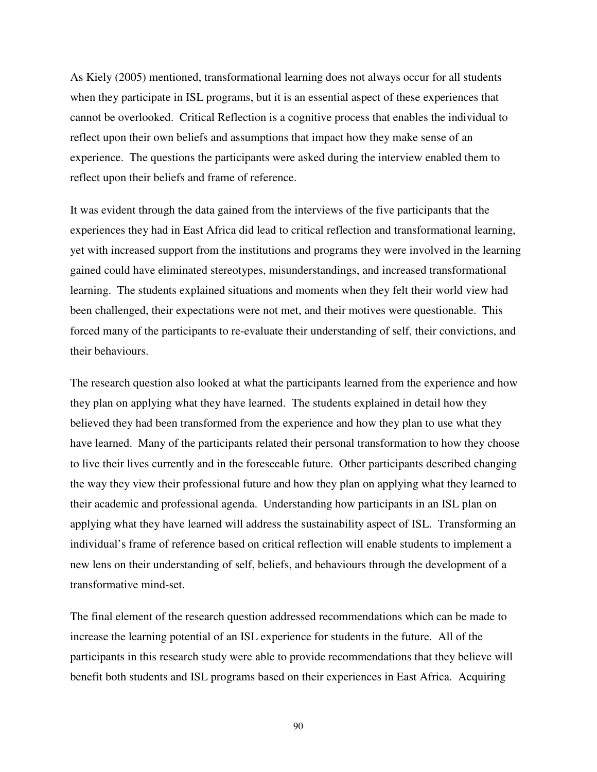As Kiely (2005) mentioned, transformational learning does not always occur for all students when they participate in ISL programs, but it is an essential aspect of these experiences that cannot be overlooked. Critical Reflection is a cognitive process that enables the individual to reflect upon their own beliefs and assumptions that impact how they make sense of an experience. The questions the participants were asked during the interview enabled them to reflect upon their beliefs and frame of reference.

It was evident through the data gained from the interviews of the five participants that the experiences they had in East Africa did lead to critical reflection and transformational learning, yet with increased support from the institutions and programs they were involved in the learning gained could have eliminated stereotypes, misunderstandings, and increased transformational learning. The students explained situations and moments when they felt their world view had been challenged, their expectations were not met, and their motives were questionable. This forced many of the participants to re-evaluate their understanding of self, their convictions, and their behaviours.

The research question also looked at what the participants learned from the experience and how they plan on applying what they have learned. The students explained in detail how they believed they had been transformed from the experience and how they plan to use what they have learned. Many of the participants related their personal transformation to how they choose to live their lives currently and in the foreseeable future. Other participants described changing the way they view their professional future and how they plan on applying what they learned to their academic and professional agenda. Understanding how participants in an ISL plan on applying what they have learned will address the sustainability aspect of ISL. Transforming an individual's frame of reference based on critical reflection will enable students to implement a new lens on their understanding of self, beliefs, and behaviours through the development of a transformative mind-set.

The final element of the research question addressed recommendations which can be made to increase the learning potential of an ISL experience for students in the future. All of the participants in this research study were able to provide recommendations that they believe will benefit both students and ISL programs based on their experiences in East Africa. Acquiring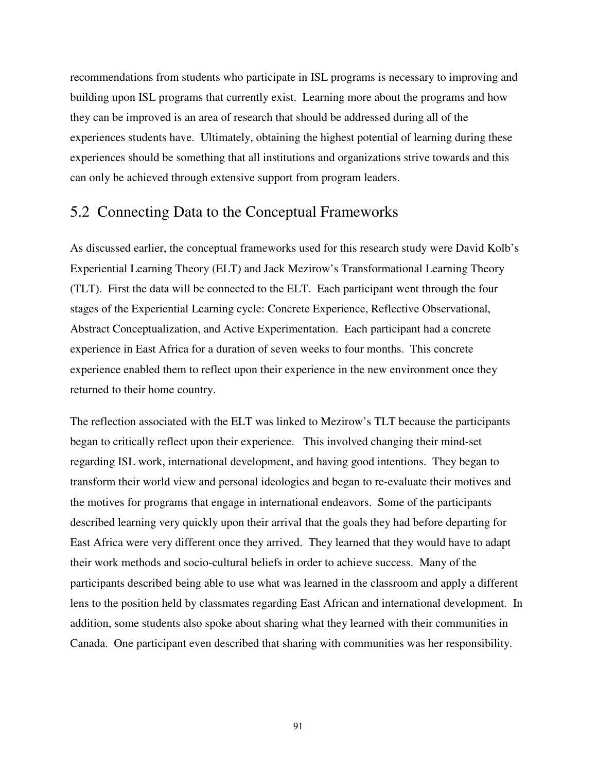recommendations from students who participate in ISL programs is necessary to improving and building upon ISL programs that currently exist. Learning more about the programs and how they can be improved is an area of research that should be addressed during all of the experiences students have. Ultimately, obtaining the highest potential of learning during these experiences should be something that all institutions and organizations strive towards and this can only be achieved through extensive support from program leaders.

### 5.2 Connecting Data to the Conceptual Frameworks

As discussed earlier, the conceptual frameworks used for this research study were David Kolb's Experiential Learning Theory (ELT) and Jack Mezirow's Transformational Learning Theory (TLT). First the data will be connected to the ELT. Each participant went through the four stages of the Experiential Learning cycle: Concrete Experience, Reflective Observational, Abstract Conceptualization, and Active Experimentation. Each participant had a concrete experience in East Africa for a duration of seven weeks to four months. This concrete experience enabled them to reflect upon their experience in the new environment once they returned to their home country.

The reflection associated with the ELT was linked to Mezirow's TLT because the participants began to critically reflect upon their experience. This involved changing their mind-set regarding ISL work, international development, and having good intentions. They began to transform their world view and personal ideologies and began to re-evaluate their motives and the motives for programs that engage in international endeavors. Some of the participants described learning very quickly upon their arrival that the goals they had before departing for East Africa were very different once they arrived. They learned that they would have to adapt their work methods and socio-cultural beliefs in order to achieve success. Many of the participants described being able to use what was learned in the classroom and apply a different lens to the position held by classmates regarding East African and international development. In addition, some students also spoke about sharing what they learned with their communities in Canada. One participant even described that sharing with communities was her responsibility.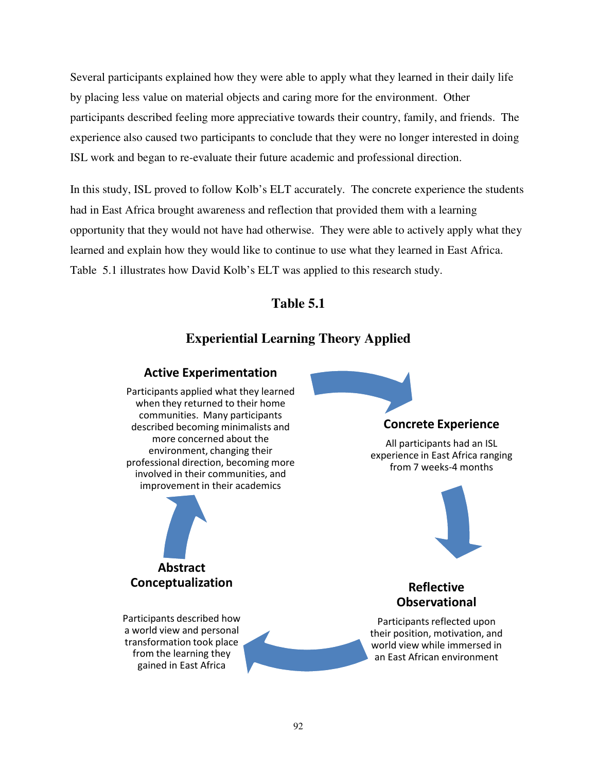Several participants explained how they were able to apply what they learned in their daily life by placing less value on material objects and caring more for the environment. Other participants described feeling more appreciative towards their country, family, and friends. The experience also caused two participants to conclude that they were no longer interested in doing ISL work and began to re-evaluate their future academic and professional direction.

In this study, ISL proved to follow Kolb's ELT accurately. The concrete experience the students had in East Africa brought awareness and reflection that provided them with a learning opportunity that they would not have had otherwise. They were able to actively apply what they learned and explain how they would like to continue to use what they learned in East Africa. Table 5.1 illustrates how David Kolb's ELT was applied to this research study.

# **Table 5.1**

# **Experiential Learning Theory Applied**

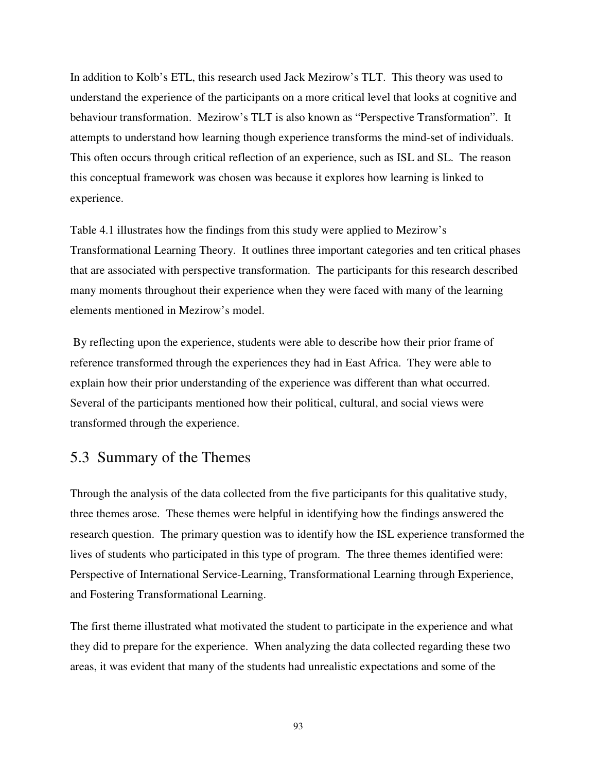In addition to Kolb's ETL, this research used Jack Mezirow's TLT. This theory was used to understand the experience of the participants on a more critical level that looks at cognitive and behaviour transformation. Mezirow's TLT is also known as "Perspective Transformation". It attempts to understand how learning though experience transforms the mind-set of individuals. This often occurs through critical reflection of an experience, such as ISL and SL. The reason this conceptual framework was chosen was because it explores how learning is linked to experience.

Table 4.1 illustrates how the findings from this study were applied to Mezirow's Transformational Learning Theory. It outlines three important categories and ten critical phases that are associated with perspective transformation. The participants for this research described many moments throughout their experience when they were faced with many of the learning elements mentioned in Mezirow's model.

 By reflecting upon the experience, students were able to describe how their prior frame of reference transformed through the experiences they had in East Africa. They were able to explain how their prior understanding of the experience was different than what occurred. Several of the participants mentioned how their political, cultural, and social views were transformed through the experience.

# 5.3 Summary of the Themes

Through the analysis of the data collected from the five participants for this qualitative study, three themes arose. These themes were helpful in identifying how the findings answered the research question. The primary question was to identify how the ISL experience transformed the lives of students who participated in this type of program. The three themes identified were: Perspective of International Service-Learning, Transformational Learning through Experience, and Fostering Transformational Learning.

The first theme illustrated what motivated the student to participate in the experience and what they did to prepare for the experience. When analyzing the data collected regarding these two areas, it was evident that many of the students had unrealistic expectations and some of the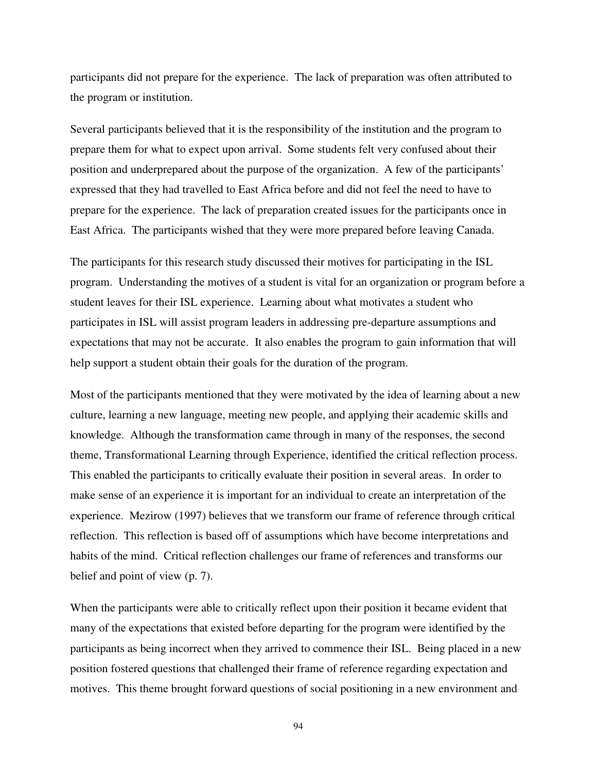participants did not prepare for the experience. The lack of preparation was often attributed to the program or institution.

Several participants believed that it is the responsibility of the institution and the program to prepare them for what to expect upon arrival. Some students felt very confused about their position and underprepared about the purpose of the organization. A few of the participants' expressed that they had travelled to East Africa before and did not feel the need to have to prepare for the experience. The lack of preparation created issues for the participants once in East Africa. The participants wished that they were more prepared before leaving Canada.

The participants for this research study discussed their motives for participating in the ISL program. Understanding the motives of a student is vital for an organization or program before a student leaves for their ISL experience. Learning about what motivates a student who participates in ISL will assist program leaders in addressing pre-departure assumptions and expectations that may not be accurate. It also enables the program to gain information that will help support a student obtain their goals for the duration of the program.

Most of the participants mentioned that they were motivated by the idea of learning about a new culture, learning a new language, meeting new people, and applying their academic skills and knowledge. Although the transformation came through in many of the responses, the second theme, Transformational Learning through Experience, identified the critical reflection process. This enabled the participants to critically evaluate their position in several areas. In order to make sense of an experience it is important for an individual to create an interpretation of the experience. Mezirow (1997) believes that we transform our frame of reference through critical reflection. This reflection is based off of assumptions which have become interpretations and habits of the mind. Critical reflection challenges our frame of references and transforms our belief and point of view (p. 7).

When the participants were able to critically reflect upon their position it became evident that many of the expectations that existed before departing for the program were identified by the participants as being incorrect when they arrived to commence their ISL. Being placed in a new position fostered questions that challenged their frame of reference regarding expectation and motives. This theme brought forward questions of social positioning in a new environment and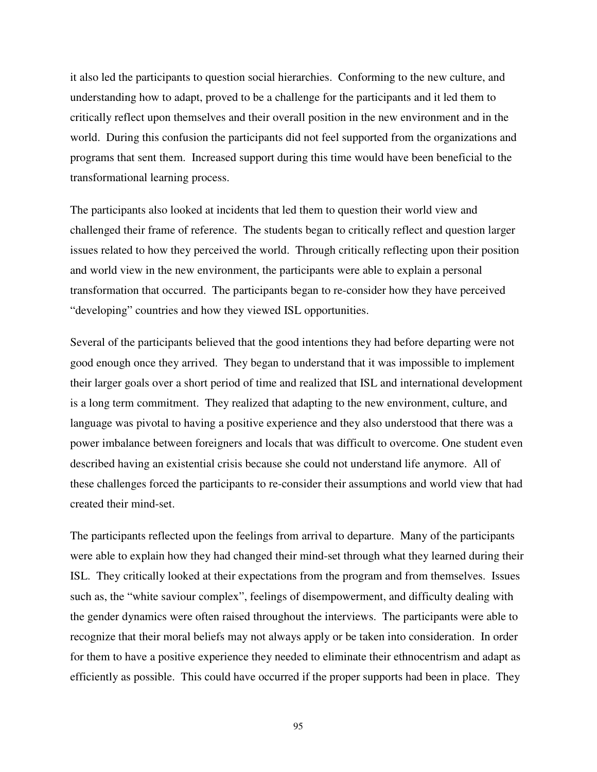it also led the participants to question social hierarchies. Conforming to the new culture, and understanding how to adapt, proved to be a challenge for the participants and it led them to critically reflect upon themselves and their overall position in the new environment and in the world. During this confusion the participants did not feel supported from the organizations and programs that sent them. Increased support during this time would have been beneficial to the transformational learning process.

The participants also looked at incidents that led them to question their world view and challenged their frame of reference. The students began to critically reflect and question larger issues related to how they perceived the world. Through critically reflecting upon their position and world view in the new environment, the participants were able to explain a personal transformation that occurred. The participants began to re-consider how they have perceived "developing" countries and how they viewed ISL opportunities.

Several of the participants believed that the good intentions they had before departing were not good enough once they arrived. They began to understand that it was impossible to implement their larger goals over a short period of time and realized that ISL and international development is a long term commitment. They realized that adapting to the new environment, culture, and language was pivotal to having a positive experience and they also understood that there was a power imbalance between foreigners and locals that was difficult to overcome. One student even described having an existential crisis because she could not understand life anymore. All of these challenges forced the participants to re-consider their assumptions and world view that had created their mind-set.

The participants reflected upon the feelings from arrival to departure. Many of the participants were able to explain how they had changed their mind-set through what they learned during their ISL. They critically looked at their expectations from the program and from themselves. Issues such as, the "white saviour complex", feelings of disempowerment, and difficulty dealing with the gender dynamics were often raised throughout the interviews. The participants were able to recognize that their moral beliefs may not always apply or be taken into consideration. In order for them to have a positive experience they needed to eliminate their ethnocentrism and adapt as efficiently as possible. This could have occurred if the proper supports had been in place. They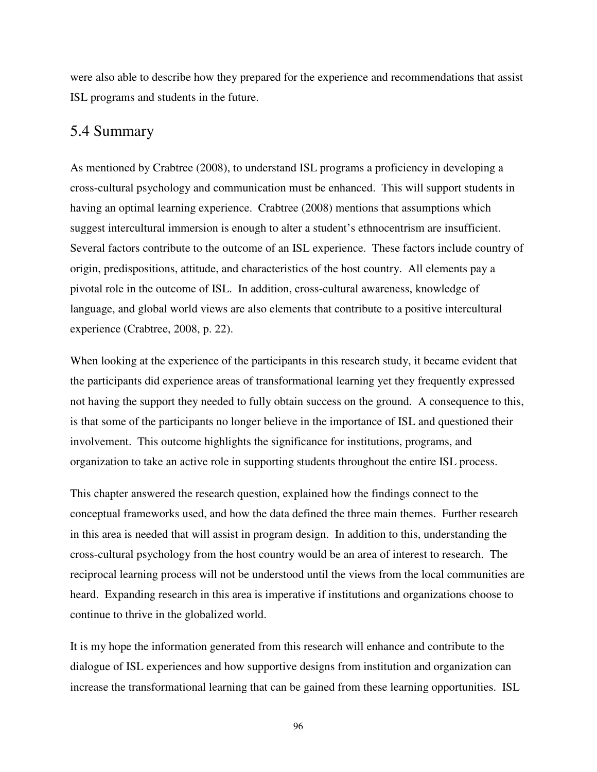were also able to describe how they prepared for the experience and recommendations that assist ISL programs and students in the future.

# 5.4 Summary

As mentioned by Crabtree (2008), to understand ISL programs a proficiency in developing a cross-cultural psychology and communication must be enhanced. This will support students in having an optimal learning experience. Crabtree (2008) mentions that assumptions which suggest intercultural immersion is enough to alter a student's ethnocentrism are insufficient. Several factors contribute to the outcome of an ISL experience. These factors include country of origin, predispositions, attitude, and characteristics of the host country. All elements pay a pivotal role in the outcome of ISL. In addition, cross-cultural awareness, knowledge of language, and global world views are also elements that contribute to a positive intercultural experience (Crabtree, 2008, p. 22).

When looking at the experience of the participants in this research study, it became evident that the participants did experience areas of transformational learning yet they frequently expressed not having the support they needed to fully obtain success on the ground. A consequence to this, is that some of the participants no longer believe in the importance of ISL and questioned their involvement. This outcome highlights the significance for institutions, programs, and organization to take an active role in supporting students throughout the entire ISL process.

This chapter answered the research question, explained how the findings connect to the conceptual frameworks used, and how the data defined the three main themes. Further research in this area is needed that will assist in program design. In addition to this, understanding the cross-cultural psychology from the host country would be an area of interest to research. The reciprocal learning process will not be understood until the views from the local communities are heard. Expanding research in this area is imperative if institutions and organizations choose to continue to thrive in the globalized world.

It is my hope the information generated from this research will enhance and contribute to the dialogue of ISL experiences and how supportive designs from institution and organization can increase the transformational learning that can be gained from these learning opportunities. ISL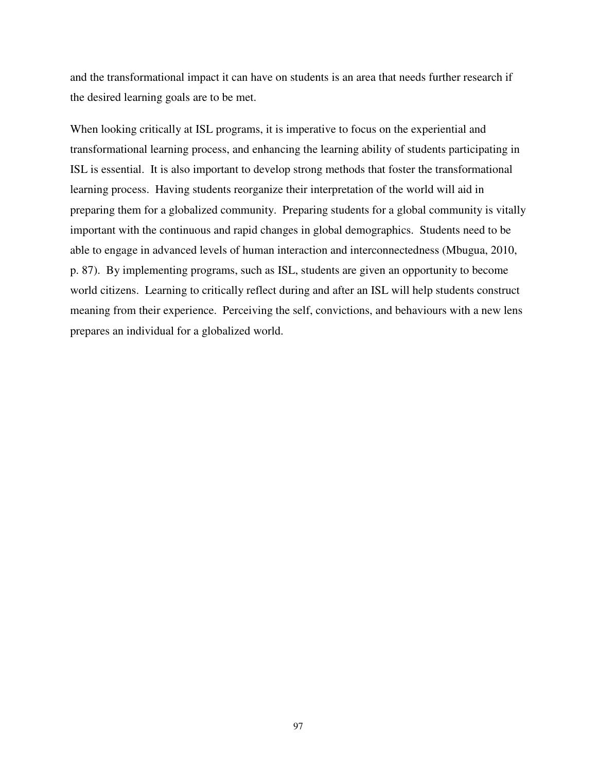and the transformational impact it can have on students is an area that needs further research if the desired learning goals are to be met.

When looking critically at ISL programs, it is imperative to focus on the experiential and transformational learning process, and enhancing the learning ability of students participating in ISL is essential. It is also important to develop strong methods that foster the transformational learning process. Having students reorganize their interpretation of the world will aid in preparing them for a globalized community. Preparing students for a global community is vitally important with the continuous and rapid changes in global demographics. Students need to be able to engage in advanced levels of human interaction and interconnectedness (Mbugua, 2010, p. 87). By implementing programs, such as ISL, students are given an opportunity to become world citizens. Learning to critically reflect during and after an ISL will help students construct meaning from their experience. Perceiving the self, convictions, and behaviours with a new lens prepares an individual for a globalized world.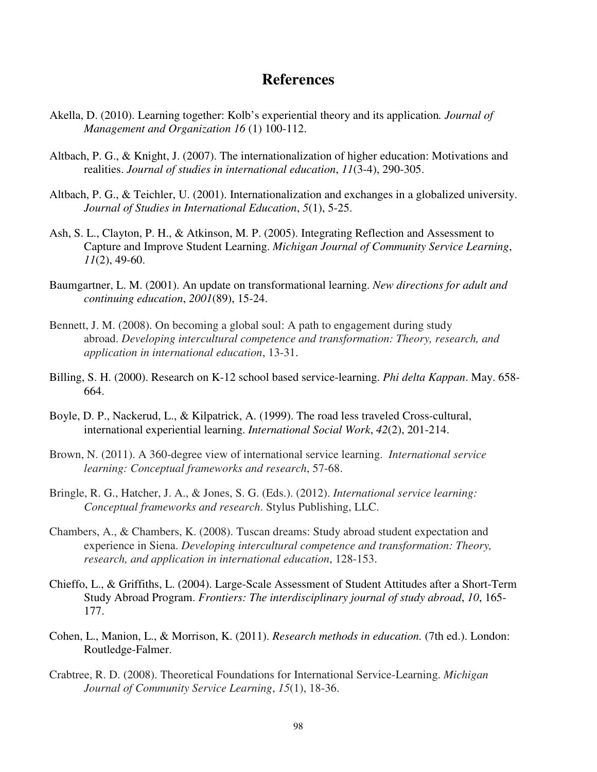### **References**

- Akella, D. (2010). Learning together: Kolb's experiential theory and its application*. Journal of Management and Organization 16* (1) 100-112.
- Altbach, P. G., & Knight, J. (2007). The internationalization of higher education: Motivations and realities. *Journal of studies in international education*, *11*(3-4), 290-305.
- Altbach, P. G., & Teichler, U. (2001). Internationalization and exchanges in a globalized university. *Journal of Studies in International Education*, *5*(1), 5-25.
- Ash, S. L., Clayton, P. H., & Atkinson, M. P. (2005). Integrating Reflection and Assessment to Capture and Improve Student Learning. *Michigan Journal of Community Service Learning*, *11*(2), 49-60.
- Baumgartner, L. M. (2001). An update on transformational learning. *New directions for adult and continuing education*, *2001*(89), 15-24.
- Bennett, J. M. (2008). On becoming a global soul: A path to engagement during study abroad. *Developing intercultural competence and transformation: Theory, research, and application in international education*, 13-31.
- Billing, S. H. (2000). Research on K-12 school based service-learning. *Phi delta Kappan*. May. 658- 664.
- Boyle, D. P., Nackerud, L., & Kilpatrick, A. (1999). The road less traveled Cross-cultural, international experiential learning. *International Social Work*, *42*(2), 201-214.
- Brown, N. (2011). A 360-degree view of international service learning. *International service learning: Conceptual frameworks and research*, 57-68.
- Bringle, R. G., Hatcher, J. A., & Jones, S. G. (Eds.). (2012). *International service learning: Conceptual frameworks and research*. Stylus Publishing, LLC.
- Chambers, A., & Chambers, K. (2008). Tuscan dreams: Study abroad student expectation and experience in Siena. *Developing intercultural competence and transformation: Theory, research, and application in international education*, 128-153.
- Chieffo, L., & Griffiths, L. (2004). Large-Scale Assessment of Student Attitudes after a Short-Term Study Abroad Program. *Frontiers: The interdisciplinary journal of study abroad*, *10*, 165- 177.
- Cohen, L., Manion, L., & Morrison, K. (2011). *Research methods in education.* (7th ed.). London: Routledge-Falmer.
- Crabtree, R. D. (2008). Theoretical Foundations for International Service-Learning. *Michigan Journal of Community Service Learning*, *15*(1), 18-36.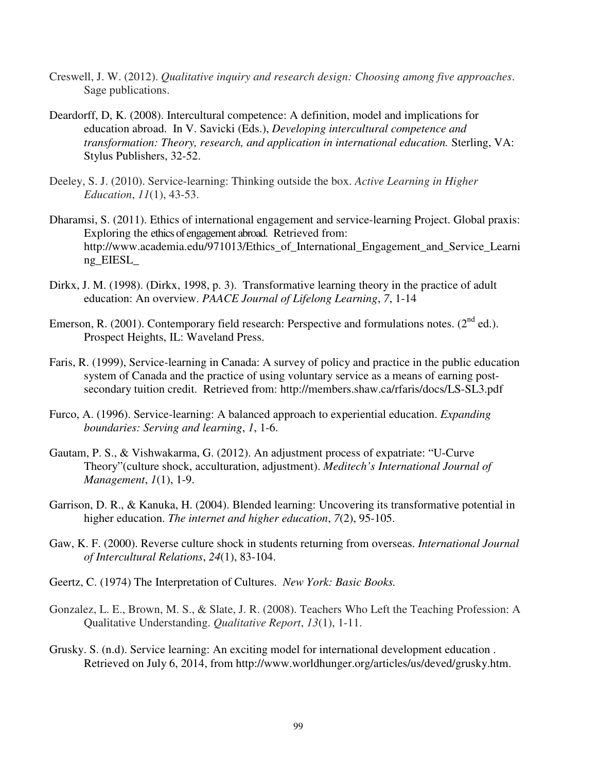- Creswell, J. W. (2012). *Qualitative inquiry and research design: Choosing among five approaches*. Sage publications.
- Deardorff, D, K. (2008). Intercultural competence: A definition, model and implications for education abroad. In V. Savicki (Eds.), *Developing intercultural competence and transformation: Theory, research, and application in international education.* Sterling, VA: Stylus Publishers, 32-52.
- Deeley, S. J. (2010). Service-learning: Thinking outside the box. *Active Learning in Higher Education*, *11*(1), 43-53.
- Dharamsi, S. (2011). Ethics of international engagement and service-learning Project. Global praxis: Exploring the ethics of engagement abroad. Retrieved from: http://www.academia.edu/971013/Ethics\_of\_International\_Engagement\_and\_Service\_Learni ng\_EIESL\_
- Dirkx, J. M. (1998). (Dirkx, 1998, p. 3). Transformative learning theory in the practice of adult education: An overview. *PAACE Journal of Lifelong Learning*, *7*, 1-14
- Emerson, R. (2001). Contemporary field research: Perspective and formulations notes. ( $2^{nd}$  ed.). Prospect Heights, IL: Waveland Press.
- Faris, R. (1999), Service-learning in Canada: A survey of policy and practice in the public education system of Canada and the practice of using voluntary service as a means of earning postsecondary tuition credit. Retrieved from: http://members.shaw.ca/rfaris/docs/LS-SL3.pdf
- Furco, A. (1996). Service-learning: A balanced approach to experiential education. *Expanding boundaries: Serving and learning*, *1*, 1-6.
- Gautam, P. S., & Vishwakarma, G. (2012). An adjustment process of expatriate: "U-Curve Theory"(culture shock, acculturation, adjustment). *Meditech's International Journal of Management*, *1*(1), 1-9.
- Garrison, D. R., & Kanuka, H. (2004). Blended learning: Uncovering its transformative potential in higher education. *The internet and higher education*, *7*(2), 95-105.
- Gaw, K. F. (2000). Reverse culture shock in students returning from overseas. *International Journal of Intercultural Relations*, *24*(1), 83-104.
- Geertz, C. (1974) The Interpretation of Cultures. *New York: Basic Books.*
- Gonzalez, L. E., Brown, M. S., & Slate, J. R. (2008). Teachers Who Left the Teaching Profession: A Qualitative Understanding. *Qualitative Report*, *13*(1), 1-11.
- Grusky. S. (n.d). Service learning: An exciting model for international development education . Retrieved on July 6, 2014, from http://www.worldhunger.org/articles/us/deved/grusky.htm.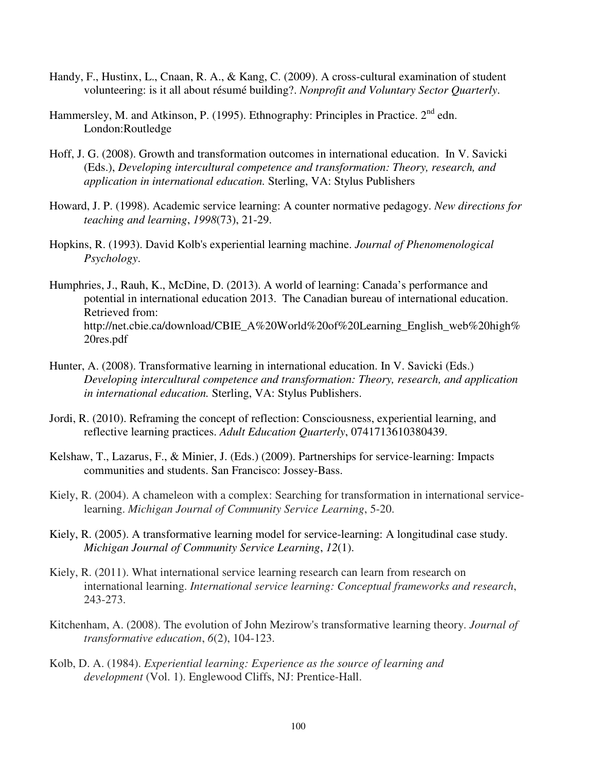- Handy, F., Hustinx, L., Cnaan, R. A., & Kang, C. (2009). A cross-cultural examination of student volunteering: is it all about résumé building?. *Nonprofit and Voluntary Sector Quarterly*.
- Hammersley, M. and Atkinson, P. (1995). Ethnography: Principles in Practice.  $2<sup>nd</sup>$  edn. London:Routledge
- Hoff, J. G. (2008). Growth and transformation outcomes in international education. In V. Savicki (Eds.), *Developing intercultural competence and transformation: Theory, research, and application in international education.* Sterling, VA: Stylus Publishers
- Howard, J. P. (1998). Academic service learning: A counter normative pedagogy. *New directions for teaching and learning*, *1998*(73), 21-29.
- Hopkins, R. (1993). David Kolb's experiential learning machine. *Journal of Phenomenological Psychology*.
- Humphries, J., Rauh, K., McDine, D. (2013). A world of learning: Canada's performance and potential in international education 2013. The Canadian bureau of international education. Retrieved from: http://net.cbie.ca/download/CBIE\_A%20World%20of%20Learning\_English\_web%20high% 20res.pdf
- Hunter, A. (2008). Transformative learning in international education. In V. Savicki (Eds.) *Developing intercultural competence and transformation: Theory, research, and application in international education.* Sterling, VA: Stylus Publishers.
- Jordi, R. (2010). Reframing the concept of reflection: Consciousness, experiential learning, and reflective learning practices. *Adult Education Quarterly*, 0741713610380439.
- Kelshaw, T., Lazarus, F., & Minier, J. (Eds.) (2009). Partnerships for service-learning: Impacts communities and students. San Francisco: Jossey-Bass.
- Kiely, R. (2004). A chameleon with a complex: Searching for transformation in international servicelearning. *Michigan Journal of Community Service Learning*, 5-20.
- Kiely, R. (2005). A transformative learning model for service-learning: A longitudinal case study. *Michigan Journal of Community Service Learning*, *12*(1).
- Kiely, R. (2011). What international service learning research can learn from research on international learning. *International service learning: Conceptual frameworks and research*, 243-273.
- Kitchenham, A. (2008). The evolution of John Mezirow's transformative learning theory. *Journal of transformative education*, *6*(2), 104-123.
- Kolb, D. A. (1984). *Experiential learning: Experience as the source of learning and development* (Vol. 1). Englewood Cliffs, NJ: Prentice-Hall.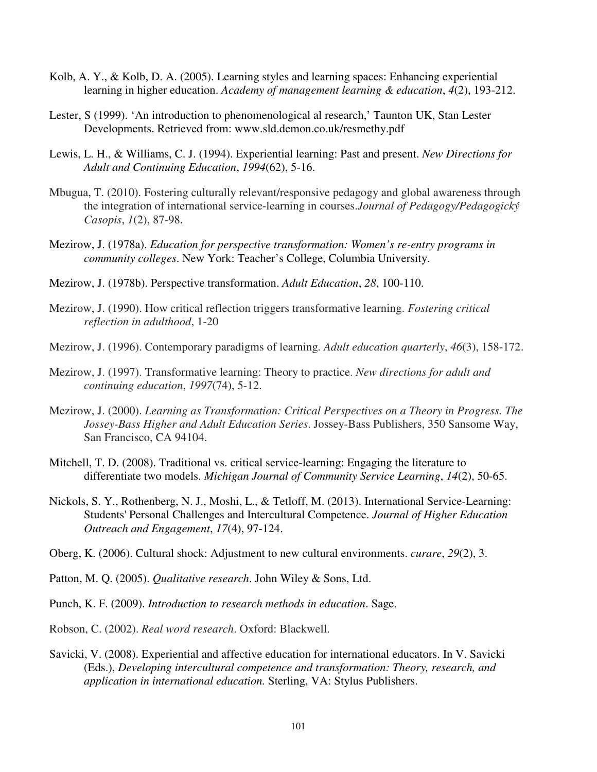- Kolb, A. Y., & Kolb, D. A. (2005). Learning styles and learning spaces: Enhancing experiential learning in higher education. *Academy of management learning & education*, *4*(2), 193-212.
- Lester, S (1999). 'An introduction to phenomenological al research,' Taunton UK, Stan Lester Developments. Retrieved from: www.sld.demon.co.uk/resmethy.pdf
- Lewis, L. H., & Williams, C. J. (1994). Experiential learning: Past and present. *New Directions for Adult and Continuing Education*, *1994*(62), 5-16.
- Mbugua, T. (2010). Fostering culturally relevant/responsive pedagogy and global awareness through the integration of international service-learning in courses.*Journal of Pedagogy/Pedagogický Casopis*, *1*(2), 87-98.
- Mezirow, J. (1978a). *Education for perspective transformation: Women's re-entry programs in community colleges*. New York: Teacher's College, Columbia University.
- Mezirow, J. (1978b). Perspective transformation. *Adult Education*, *28*, 100-110.
- Mezirow, J. (1990). How critical reflection triggers transformative learning. *Fostering critical reflection in adulthood*, 1-20
- Mezirow, J. (1996). Contemporary paradigms of learning. *Adult education quarterly*, *46*(3), 158-172.
- Mezirow, J. (1997). Transformative learning: Theory to practice. *New directions for adult and continuing education*, *1997*(74), 5-12.
- Mezirow, J. (2000). *Learning as Transformation: Critical Perspectives on a Theory in Progress. The Jossey-Bass Higher and Adult Education Series*. Jossey-Bass Publishers, 350 Sansome Way, San Francisco, CA 94104.
- Mitchell, T. D. (2008). Traditional vs. critical service-learning: Engaging the literature to differentiate two models. *Michigan Journal of Community Service Learning*, *14*(2), 50-65.
- Nickols, S. Y., Rothenberg, N. J., Moshi, L., & Tetloff, M. (2013). International Service-Learning: Students' Personal Challenges and Intercultural Competence. *Journal of Higher Education Outreach and Engagement*, *17*(4), 97-124.
- Oberg, K. (2006). Cultural shock: Adjustment to new cultural environments. *curare*, *29*(2), 3.
- Patton, M. Q. (2005). *Qualitative research*. John Wiley & Sons, Ltd.
- Punch, K. F. (2009). *Introduction to research methods in education*. Sage.
- Robson, C. (2002). *Real word research*. Oxford: Blackwell.
- Savicki, V. (2008). Experiential and affective education for international educators. In V. Savicki (Eds.), *Developing intercultural competence and transformation: Theory, research, and application in international education.* Sterling, VA: Stylus Publishers.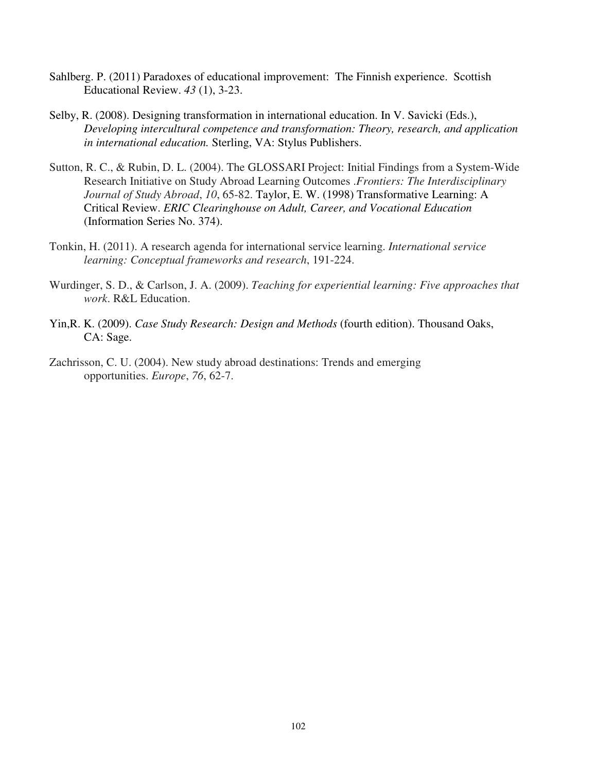- Sahlberg. P. (2011) Paradoxes of educational improvement: The Finnish experience. Scottish Educational Review. *43* (1), 3-23.
- Selby, R. (2008). Designing transformation in international education. In V. Savicki (Eds.), *Developing intercultural competence and transformation: Theory, research, and application in international education.* Sterling, VA: Stylus Publishers.
- Sutton, R. C., & Rubin, D. L. (2004). The GLOSSARI Project: Initial Findings from a System-Wide Research Initiative on Study Abroad Learning Outcomes .*Frontiers: The Interdisciplinary Journal of Study Abroad*, *10*, 65-82. Taylor, E. W. (1998) Transformative Learning: A Critical Review. *ERIC Clearinghouse on Adult, Career, and Vocational Education*  (Information Series No. 374).
- Tonkin, H. (2011). A research agenda for international service learning. *International service learning: Conceptual frameworks and research*, 191-224.
- Wurdinger, S. D., & Carlson, J. A. (2009). *Teaching for experiential learning: Five approaches that work*. R&L Education.
- Yin,R. K. (2009). *Case Study Research: Design and Methods* (fourth edition). Thousand Oaks, CA: Sage.
- Zachrisson, C. U. (2004). New study abroad destinations: Trends and emerging opportunities. *Europe*, *76*, 62-7.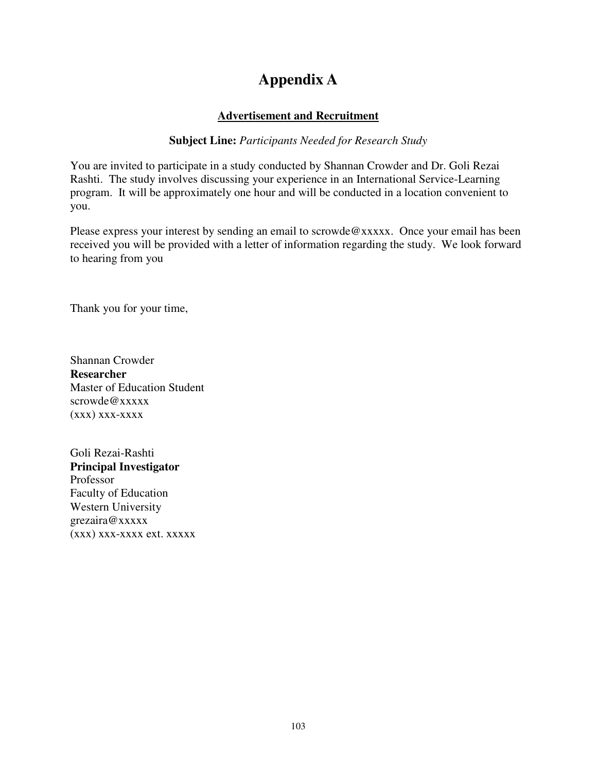# **Appendix A**

## **Advertisement and Recruitment**

#### **Subject Line:** *Participants Needed for Research Study*

You are invited to participate in a study conducted by Shannan Crowder and Dr. Goli Rezai Rashti. The study involves discussing your experience in an International Service-Learning program. It will be approximately one hour and will be conducted in a location convenient to you.

Please express your interest by sending an email to scrowde@xxxxx. Once your email has been received you will be provided with a letter of information regarding the study. We look forward to hearing from you

Thank you for your time,

Shannan Crowder **Researcher**  Master of Education Student scrowde@xxxxx (xxx) xxx-xxxx

Goli Rezai-Rashti **Principal Investigator**  Professor Faculty of Education Western University grezaira@xxxxx (xxx) xxx-xxxx ext. xxxxx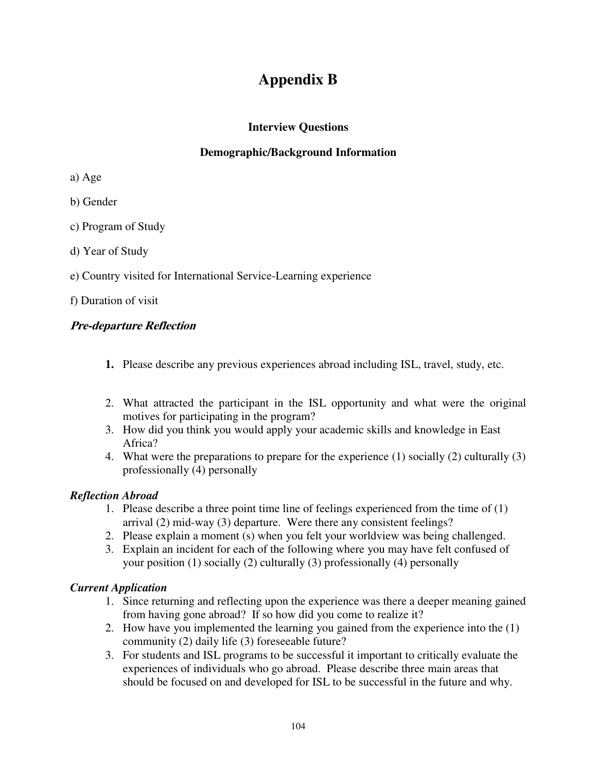# **Appendix B**

## **Interview Questions**

## **Demographic/Background Information**

- a) Age
- b) Gender
- c) Program of Study
- d) Year of Study
- e) Country visited for International Service-Learning experience
- f) Duration of visit

### **Pre-departure Reflection**

- **1.** Please describe any previous experiences abroad including ISL, travel, study, etc.
- 2. What attracted the participant in the ISL opportunity and what were the original motives for participating in the program?
- 3. How did you think you would apply your academic skills and knowledge in East Africa?
- 4. What were the preparations to prepare for the experience (1) socially (2) culturally (3) professionally (4) personally

### *Reflection Abroad*

- 1. Please describe a three point time line of feelings experienced from the time of (1) arrival (2) mid-way (3) departure. Were there any consistent feelings?
- 2. Please explain a moment (s) when you felt your worldview was being challenged.
- 3. Explain an incident for each of the following where you may have felt confused of your position (1) socially (2) culturally (3) professionally (4) personally

## *Current Application*

- 1. Since returning and reflecting upon the experience was there a deeper meaning gained from having gone abroad? If so how did you come to realize it?
- 2. How have you implemented the learning you gained from the experience into the (1) community (2) daily life (3) foreseeable future?
- 3. For students and ISL programs to be successful it important to critically evaluate the experiences of individuals who go abroad. Please describe three main areas that should be focused on and developed for ISL to be successful in the future and why.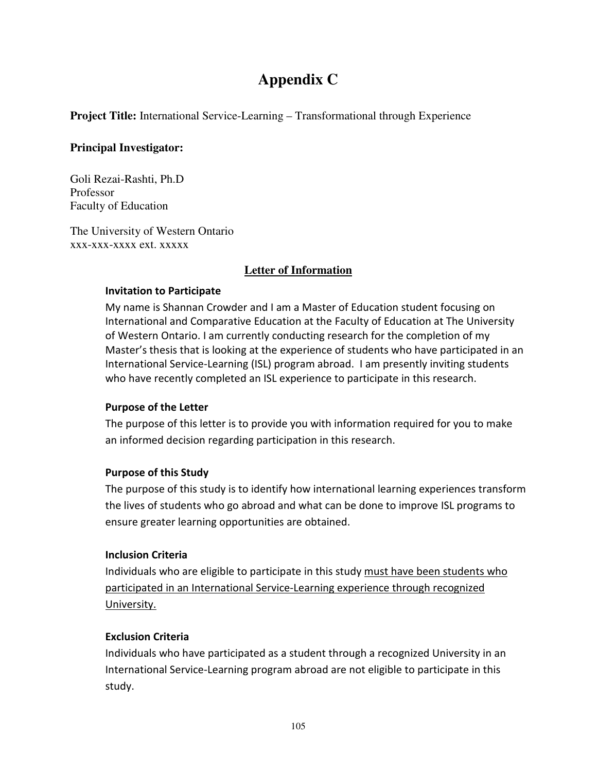# **Appendix C**

**Project Title:** International Service-Learning – Transformational through Experience

### **Principal Investigator:**

Goli Rezai-Rashti, Ph.D Professor Faculty of Education

The University of Western Ontario xxx-xxx-xxxx ext. xxxxx

## **Letter of Information**

### Invitation to Participate

My name is Shannan Crowder and I am a Master of Education student focusing on International and Comparative Education at the Faculty of Education at The University of Western Ontario. I am currently conducting research for the completion of my Master's thesis that is looking at the experience of students who have participated in an International Service-Learning (ISL) program abroad. I am presently inviting students who have recently completed an ISL experience to participate in this research.

### Purpose of the Letter

The purpose of this letter is to provide you with information required for you to make an informed decision regarding participation in this research.

## Purpose of this Study

The purpose of this study is to identify how international learning experiences transform the lives of students who go abroad and what can be done to improve ISL programs to ensure greater learning opportunities are obtained.

### Inclusion Criteria

Individuals who are eligible to participate in this study must have been students who participated in an International Service-Learning experience through recognized University.

### Exclusion Criteria

Individuals who have participated as a student through a recognized University in an International Service-Learning program abroad are not eligible to participate in this study.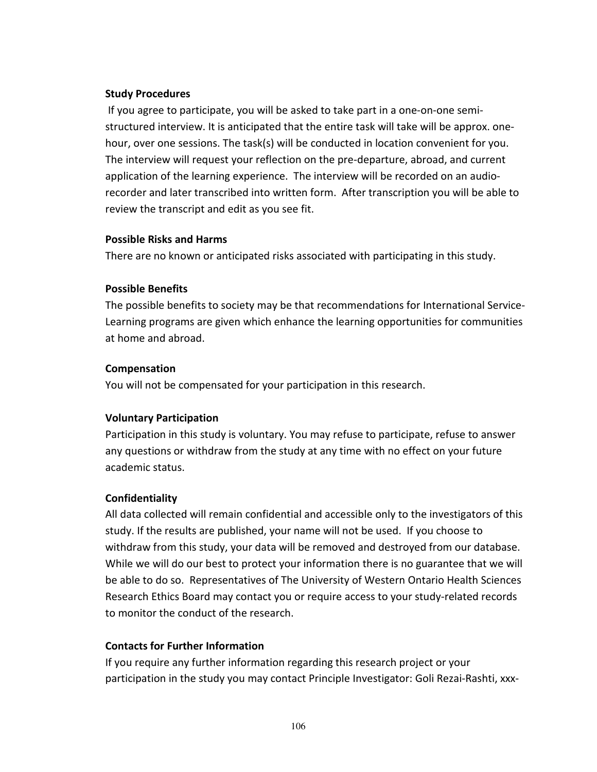#### Study Procedures

 If you agree to participate, you will be asked to take part in a one-on-one semistructured interview. It is anticipated that the entire task will take will be approx. onehour, over one sessions. The task(s) will be conducted in location convenient for you. The interview will request your reflection on the pre-departure, abroad, and current application of the learning experience. The interview will be recorded on an audiorecorder and later transcribed into written form. After transcription you will be able to review the transcript and edit as you see fit.

#### Possible Risks and Harms

There are no known or anticipated risks associated with participating in this study.

#### Possible Benefits

The possible benefits to society may be that recommendations for International Service-Learning programs are given which enhance the learning opportunities for communities at home and abroad.

#### Compensation

You will not be compensated for your participation in this research.

### Voluntary Participation

Participation in this study is voluntary. You may refuse to participate, refuse to answer any questions or withdraw from the study at any time with no effect on your future academic status.

#### **Confidentiality**

All data collected will remain confidential and accessible only to the investigators of this study. If the results are published, your name will not be used. If you choose to withdraw from this study, your data will be removed and destroyed from our database. While we will do our best to protect your information there is no guarantee that we will be able to do so. Representatives of The University of Western Ontario Health Sciences Research Ethics Board may contact you or require access to your study-related records to monitor the conduct of the research.

### Contacts for Further Information

If you require any further information regarding this research project or your participation in the study you may contact Principle Investigator: Goli Rezai-Rashti, xxx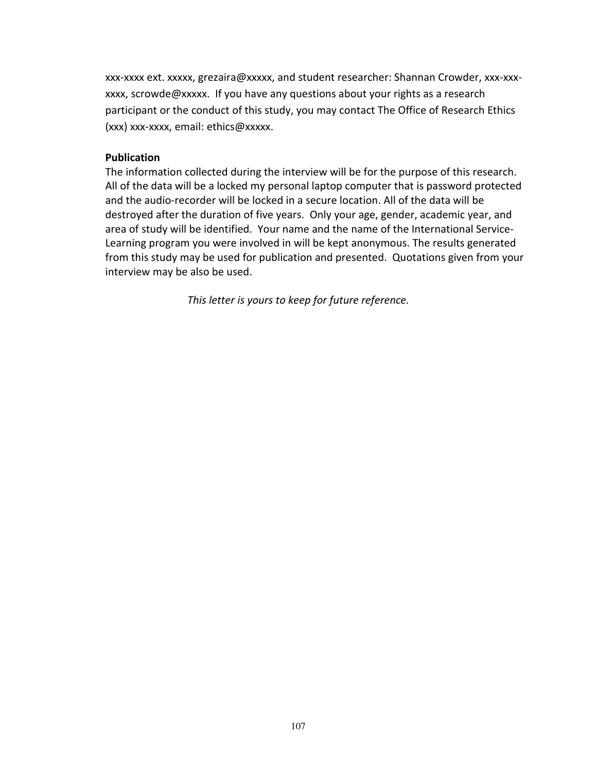xxx-xxxx ext. xxxxx, grezaira@xxxxx, and student researcher: Shannan Crowder, xxx-xxxxxxx, scrowde@xxxxx. If you have any questions about your rights as a research participant or the conduct of this study, you may contact The Office of Research Ethics (xxx) xxx-xxxx, email: ethics@xxxxx.

#### Publication

The information collected during the interview will be for the purpose of this research. All of the data will be a locked my personal laptop computer that is password protected and the audio-recorder will be locked in a secure location. All of the data will be destroyed after the duration of five years. Only your age, gender, academic year, and area of study will be identified. Your name and the name of the International Service-Learning program you were involved in will be kept anonymous. The results generated from this study may be used for publication and presented. Quotations given from your interview may be also be used.

This letter is yours to keep for future reference.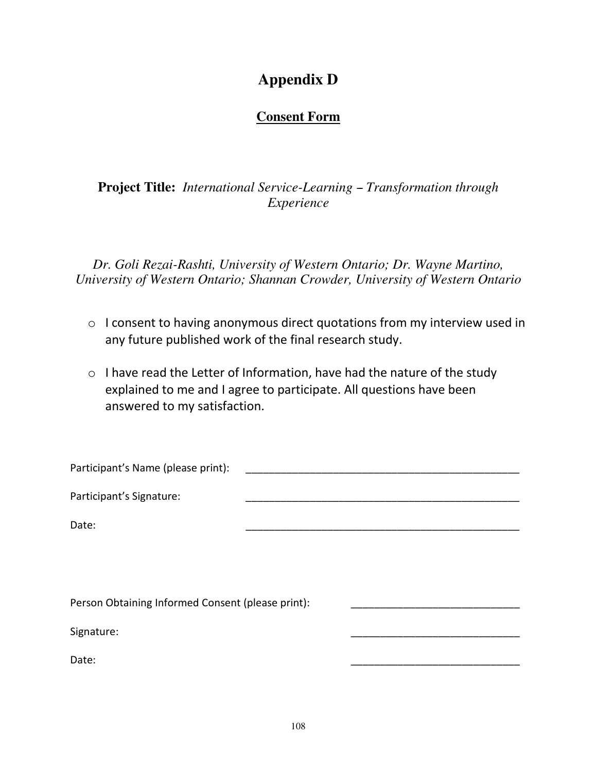# **Appendix D**

# **Consent Form**

**Project Title:** *International Service-Learning – Transformation through Experience* 

*Dr. Goli Rezai-Rashti, University of Western Ontario; Dr. Wayne Martino, University of Western Ontario; Shannan Crowder, University of Western Ontario* 

- o I consent to having anonymous direct quotations from my interview used in any future published work of the final research study.
- o I have read the Letter of Information, have had the nature of the study explained to me and I agree to participate. All questions have been answered to my satisfaction.

| Participant's Name (please print):                |  |
|---------------------------------------------------|--|
| Participant's Signature:                          |  |
| Date:                                             |  |
|                                                   |  |
|                                                   |  |
| Person Obtaining Informed Consent (please print): |  |
| Signature:                                        |  |
| Date:                                             |  |